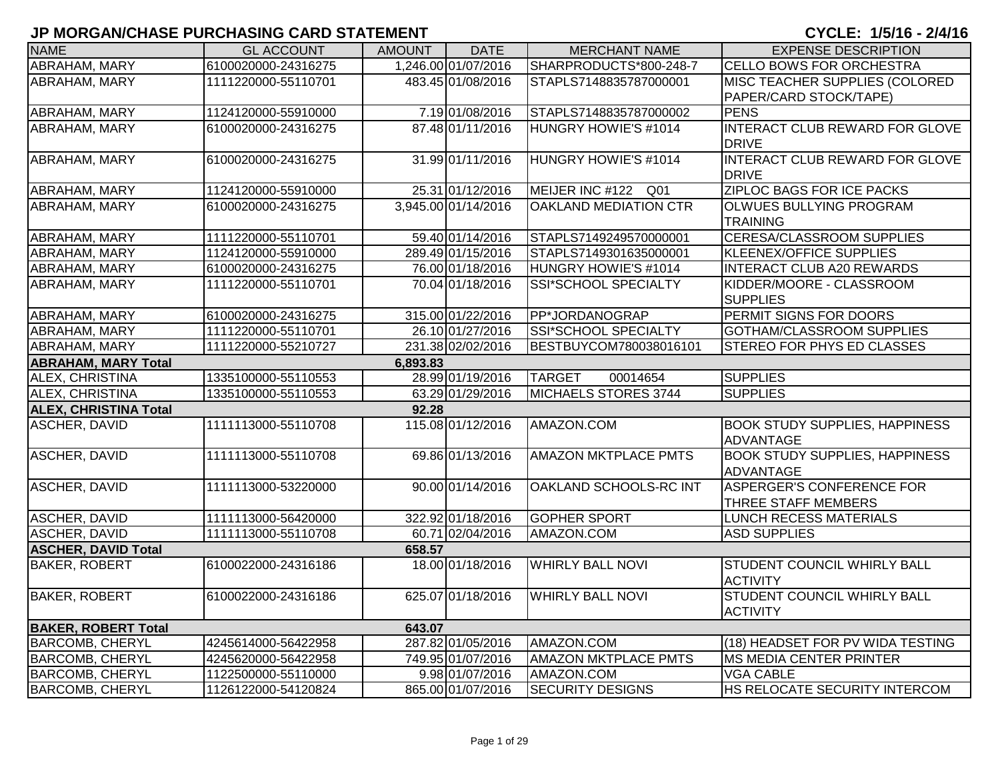| <b>NAME</b>                  | <b>GL ACCOUNT</b>   | <b>AMOUNT</b> | <b>DATE</b>         | <b>MERCHANT NAME</b>        | <b>EXPENSE DESCRIPTION</b>                                |
|------------------------------|---------------------|---------------|---------------------|-----------------------------|-----------------------------------------------------------|
| ABRAHAM, MARY                | 6100020000-24316275 |               | 1,246.00 01/07/2016 | SHARPRODUCTS*800-248-7      | CELLO BOWS FOR ORCHESTRA                                  |
| ABRAHAM, MARY                | 1111220000-55110701 |               | 483.45 01/08/2016   | STAPLS7148835787000001      | MISC TEACHER SUPPLIES (COLORED<br>PAPER/CARD STOCK/TAPE)  |
| ABRAHAM, MARY                | 1124120000-55910000 |               | 7.19 01/08/2016     | STAPLS7148835787000002      | <b>PENS</b>                                               |
| ABRAHAM, MARY                | 6100020000-24316275 |               | 87.48 01/11/2016    | HUNGRY HOWIE'S #1014        | INTERACT CLUB REWARD FOR GLOVE<br><b>DRIVE</b>            |
| <b>ABRAHAM, MARY</b>         | 6100020000-24316275 |               | 31.99 01/11/2016    | <b>HUNGRY HOWIE'S #1014</b> | INTERACT CLUB REWARD FOR GLOVE<br><b>DRIVE</b>            |
| ABRAHAM, MARY                | 1124120000-55910000 |               | 25.31 01/12/2016    | MEIJER INC #122 Q01         | ZIPLOC BAGS FOR ICE PACKS                                 |
| <b>ABRAHAM, MARY</b>         | 6100020000-24316275 |               | 3,945.00 01/14/2016 | OAKLAND MEDIATION CTR       | OLWUES BULLYING PROGRAM<br><b>TRAINING</b>                |
| <b>ABRAHAM, MARY</b>         | 1111220000-55110701 |               | 59.40 01/14/2016    | STAPLS7149249570000001      | <b>CERESA/CLASSROOM SUPPLIES</b>                          |
| <b>ABRAHAM, MARY</b>         | 1124120000-55910000 |               | 289.49 01/15/2016   | STAPLS7149301635000001      | <b>KLEENEX/OFFICE SUPPLIES</b>                            |
| ABRAHAM, MARY                | 6100020000-24316275 |               | 76.00 01/18/2016    | HUNGRY HOWIE'S #1014        | <b>INTERACT CLUB A20 REWARDS</b>                          |
| <b>ABRAHAM, MARY</b>         | 1111220000-55110701 |               | 70.04 01/18/2016    | SSI*SCHOOL SPECIALTY        | KIDDER/MOORE - CLASSROOM<br><b>SUPPLIES</b>               |
| <b>ABRAHAM, MARY</b>         | 6100020000-24316275 |               | 315.00 01/22/2016   | PP*JORDANOGRAP              | PERMIT SIGNS FOR DOORS                                    |
| ABRAHAM, MARY                | 1111220000-55110701 |               | 26.10 01/27/2016    | <b>SSI*SCHOOL SPECIALTY</b> | <b>GOTHAM/CLASSROOM SUPPLIES</b>                          |
| ABRAHAM, MARY                | 1111220000-55210727 |               | 231.38 02/02/2016   | BESTBUYCOM780038016101      | STEREO FOR PHYS ED CLASSES                                |
| <b>ABRAHAM, MARY Total</b>   |                     | 6,893.83      |                     |                             |                                                           |
| ALEX, CHRISTINA              | 1335100000-55110553 |               | 28.99 01/19/2016    | <b>TARGET</b><br>00014654   | <b>SUPPLIES</b>                                           |
| ALEX, CHRISTINA              | 1335100000-55110553 |               | 63.29 01/29/2016    | MICHAELS STORES 3744        | <b>SUPPLIES</b>                                           |
| <b>ALEX, CHRISTINA Total</b> |                     | 92.28         |                     |                             |                                                           |
| <b>ASCHER, DAVID</b>         | 1111113000-55110708 |               | 115.08 01/12/2016   | AMAZON.COM                  | <b>BOOK STUDY SUPPLIES, HAPPINESS</b><br>ADVANTAGE        |
| <b>ASCHER, DAVID</b>         | 1111113000-55110708 |               | 69.86 01/13/2016    | <b>AMAZON MKTPLACE PMTS</b> | <b>BOOK STUDY SUPPLIES, HAPPINESS</b><br><b>ADVANTAGE</b> |
| ASCHER, DAVID                | 1111113000-53220000 |               | 90.00 01/14/2016    | OAKLAND SCHOOLS-RC INT      | <b>ASPERGER'S CONFERENCE FOR</b><br>THREE STAFF MEMBERS   |
| ASCHER, DAVID                | 1111113000-56420000 |               | 322.92 01/18/2016   | <b>GOPHER SPORT</b>         | LUNCH RECESS MATERIALS                                    |
| <b>ASCHER, DAVID</b>         | 1111113000-55110708 |               | 60.71 02/04/2016    | AMAZON.COM                  | <b>ASD SUPPLIES</b>                                       |
| <b>ASCHER, DAVID Total</b>   |                     | 658.57        |                     |                             |                                                           |
| <b>BAKER, ROBERT</b>         | 6100022000-24316186 |               | 18.00 01/18/2016    | <b>WHIRLY BALL NOVI</b>     | <b>STUDENT COUNCIL WHIRLY BALL</b><br><b>ACTIVITY</b>     |
| <b>BAKER, ROBERT</b>         | 6100022000-24316186 |               | 625.07 01/18/2016   | <b>WHIRLY BALL NOVI</b>     | <b>STUDENT COUNCIL WHIRLY BALL</b><br><b>ACTIVITY</b>     |
| <b>BAKER, ROBERT Total</b>   |                     | 643.07        |                     |                             |                                                           |
| <b>BARCOMB, CHERYL</b>       | 4245614000-56422958 |               | 287.82 01/05/2016   | AMAZON.COM                  | (18) HEADSET FOR PV WIDA TESTING                          |
| <b>BARCOMB, CHERYL</b>       | 4245620000-56422958 |               | 749.95 01/07/2016   | <b>AMAZON MKTPLACE PMTS</b> | <b>MS MEDIA CENTER PRINTER</b>                            |
| <b>BARCOMB, CHERYL</b>       | 1122500000-55110000 |               | 9.98 01/07/2016     | AMAZON.COM                  | <b>VGA CABLE</b>                                          |
| <b>BARCOMB, CHERYL</b>       | 1126122000-54120824 |               | 865.00 01/07/2016   | <b>SECURITY DESIGNS</b>     | HS RELOCATE SECURITY INTERCOM                             |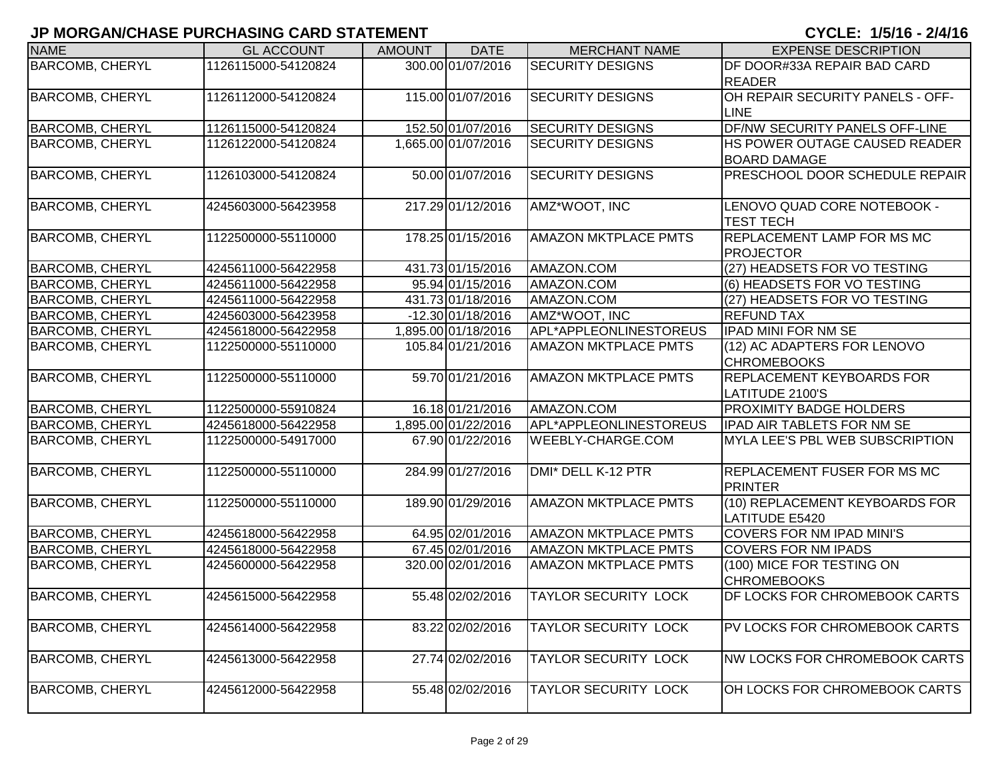| <b>NAME</b>            | <b>GL ACCOUNT</b>   | <b>AMOUNT</b> | <b>DATE</b>         | <b>MERCHANT NAME</b>        | <b>EXPENSE DESCRIPTION</b>            |
|------------------------|---------------------|---------------|---------------------|-----------------------------|---------------------------------------|
| <b>BARCOMB, CHERYL</b> | 1126115000-54120824 |               | 300.00 01/07/2016   | <b>SECURITY DESIGNS</b>     | DF DOOR#33A REPAIR BAD CARD           |
|                        |                     |               |                     |                             | <b>READER</b>                         |
| <b>BARCOMB, CHERYL</b> | 1126112000-54120824 |               | 115.00 01/07/2016   | <b>SECURITY DESIGNS</b>     | OH REPAIR SECURITY PANELS - OFF-      |
|                        |                     |               |                     |                             | <b>LINE</b>                           |
| <b>BARCOMB, CHERYL</b> | 1126115000-54120824 |               | 152.50 01/07/2016   | <b>SECURITY DESIGNS</b>     | <b>DF/NW SECURITY PANELS OFF-LINE</b> |
| <b>BARCOMB, CHERYL</b> | 1126122000-54120824 |               | 1,665.00 01/07/2016 | <b>SECURITY DESIGNS</b>     | HS POWER OUTAGE CAUSED READER         |
|                        |                     |               |                     |                             | <b>BOARD DAMAGE</b>                   |
| <b>BARCOMB, CHERYL</b> | 1126103000-54120824 |               | 50.00 01/07/2016    | <b>SECURITY DESIGNS</b>     | PRESCHOOL DOOR SCHEDULE REPAIR        |
|                        |                     |               |                     |                             |                                       |
| <b>BARCOMB, CHERYL</b> | 4245603000-56423958 |               | 217.29 01/12/2016   | AMZ*WOOT, INC               | LENOVO QUAD CORE NOTEBOOK -           |
|                        |                     |               |                     |                             | <b>TEST TECH</b>                      |
| <b>BARCOMB, CHERYL</b> | 1122500000-55110000 |               | 178.25 01/15/2016   | <b>AMAZON MKTPLACE PMTS</b> | <b>REPLACEMENT LAMP FOR MS MC</b>     |
|                        |                     |               |                     |                             | <b>PROJECTOR</b>                      |
| <b>BARCOMB, CHERYL</b> | 4245611000-56422958 |               | 431.73 01/15/2016   | AMAZON.COM                  | (27) HEADSETS FOR VO TESTING          |
| <b>BARCOMB, CHERYL</b> | 4245611000-56422958 |               | 95.94 01/15/2016    | AMAZON.COM                  | (6) HEADSETS FOR VO TESTING           |
| <b>BARCOMB, CHERYL</b> | 4245611000-56422958 |               | 431.73 01/18/2016   | AMAZON.COM                  | (27) HEADSETS FOR VO TESTING          |
| <b>BARCOMB, CHERYL</b> | 4245603000-56423958 |               | -12.30 01/18/2016   | AMZ*WOOT, INC               | <b>REFUND TAX</b>                     |
| <b>BARCOMB, CHERYL</b> | 4245618000-56422958 |               | 1,895.00 01/18/2016 | APL*APPLEONLINESTOREUS      | <b>IPAD MINI FOR NM SE</b>            |
| <b>BARCOMB, CHERYL</b> | 1122500000-55110000 |               | 105.84 01/21/2016   | <b>AMAZON MKTPLACE PMTS</b> | (12) AC ADAPTERS FOR LENOVO           |
|                        |                     |               |                     |                             | <b>CHROMEBOOKS</b>                    |
| <b>BARCOMB, CHERYL</b> | 1122500000-55110000 |               | 59.70 01/21/2016    | <b>AMAZON MKTPLACE PMTS</b> | <b>REPLACEMENT KEYBOARDS FOR</b>      |
|                        |                     |               |                     |                             | LATITUDE 2100'S                       |
| <b>BARCOMB, CHERYL</b> | 1122500000-55910824 |               | 16.18 01/21/2016    | AMAZON.COM                  | <b>PROXIMITY BADGE HOLDERS</b>        |
| <b>BARCOMB, CHERYL</b> | 4245618000-56422958 |               | 1,895.00 01/22/2016 | APL*APPLEONLINESTOREUS      | <b>IPAD AIR TABLETS FOR NM SE</b>     |
| <b>BARCOMB, CHERYL</b> | 1122500000-54917000 |               | 67.90 01/22/2016    | WEEBLY-CHARGE.COM           | MYLA LEE'S PBL WEB SUBSCRIPTION       |
|                        |                     |               |                     |                             |                                       |
| <b>BARCOMB, CHERYL</b> | 1122500000-55110000 |               | 284.99 01/27/2016   | DMI* DELL K-12 PTR          | <b>REPLACEMENT FUSER FOR MS MC</b>    |
|                        |                     |               |                     |                             | <b>PRINTER</b>                        |
| <b>BARCOMB, CHERYL</b> | 1122500000-55110000 |               | 189.90 01/29/2016   | <b>AMAZON MKTPLACE PMTS</b> | (10) REPLACEMENT KEYBOARDS FOR        |
|                        |                     |               |                     |                             | LATITUDE E5420                        |
| <b>BARCOMB, CHERYL</b> | 4245618000-56422958 |               | 64.95 02/01/2016    | <b>AMAZON MKTPLACE PMTS</b> | <b>COVERS FOR NM IPAD MINI'S</b>      |
| <b>BARCOMB, CHERYL</b> | 4245618000-56422958 |               | 67.45 02/01/2016    | <b>AMAZON MKTPLACE PMTS</b> | <b>COVERS FOR NM IPADS</b>            |
| <b>BARCOMB, CHERYL</b> | 4245600000-56422958 |               | 320.00 02/01/2016   | <b>AMAZON MKTPLACE PMTS</b> | (100) MICE FOR TESTING ON             |
|                        |                     |               |                     |                             | <b>CHROMEBOOKS</b>                    |
| <b>BARCOMB, CHERYL</b> | 4245615000-56422958 |               | 55.48 02/02/2016    | <b>TAYLOR SECURITY LOCK</b> | <b>DF LOCKS FOR CHROMEBOOK CARTS</b>  |
|                        |                     |               |                     |                             |                                       |
| <b>BARCOMB, CHERYL</b> | 4245614000-56422958 |               | 83.22 02/02/2016    | <b>TAYLOR SECURITY LOCK</b> | PV LOCKS FOR CHROMEBOOK CARTS         |
|                        |                     |               |                     |                             |                                       |
| <b>BARCOMB, CHERYL</b> | 4245613000-56422958 |               | 27.74 02/02/2016    | <b>TAYLOR SECURITY LOCK</b> | <b>NW LOCKS FOR CHROMEBOOK CARTS</b>  |
|                        |                     |               |                     |                             |                                       |
| <b>BARCOMB, CHERYL</b> | 4245612000-56422958 |               | 55.48 02/02/2016    | TAYLOR SECURITY LOCK        | OH LOCKS FOR CHROMEBOOK CARTS         |
|                        |                     |               |                     |                             |                                       |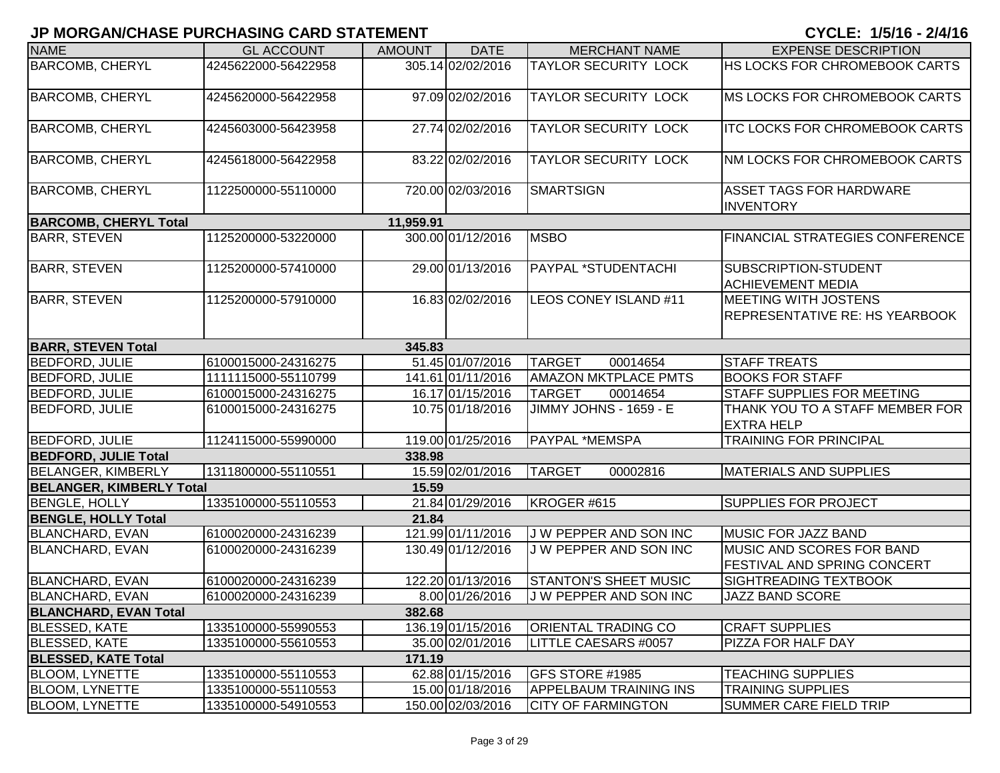| <b>NAME</b>                     | <b>GL ACCOUNT</b>   | <b>AMOUNT</b> | <b>DATE</b>       | <b>MERCHANT NAME</b>          | <b>EXPENSE DESCRIPTION</b>                                           |
|---------------------------------|---------------------|---------------|-------------------|-------------------------------|----------------------------------------------------------------------|
| <b>BARCOMB, CHERYL</b>          | 4245622000-56422958 |               | 305.14 02/02/2016 | <b>TAYLOR SECURITY LOCK</b>   | HS LOCKS FOR CHROMEBOOK CARTS                                        |
| <b>BARCOMB, CHERYL</b>          | 4245620000-56422958 |               | 97.09 02/02/2016  | <b>TAYLOR SECURITY LOCK</b>   | MS LOCKS FOR CHROMEBOOK CARTS                                        |
| <b>BARCOMB, CHERYL</b>          | 4245603000-56423958 |               | 27.74 02/02/2016  | <b>TAYLOR SECURITY LOCK</b>   | <b>ITC LOCKS FOR CHROMEBOOK CARTS</b>                                |
| <b>BARCOMB, CHERYL</b>          | 4245618000-56422958 |               | 83.22 02/02/2016  | <b>TAYLOR SECURITY LOCK</b>   | NM LOCKS FOR CHROMEBOOK CARTS                                        |
| <b>BARCOMB, CHERYL</b>          | 1122500000-55110000 |               | 720.00 02/03/2016 | <b>SMARTSIGN</b>              | <b>ASSET TAGS FOR HARDWARE</b><br><b>INVENTORY</b>                   |
| <b>BARCOMB, CHERYL Total</b>    |                     | 11,959.91     |                   |                               |                                                                      |
| <b>BARR, STEVEN</b>             | 1125200000-53220000 |               | 300.00 01/12/2016 | <b>MSBO</b>                   | <b>FINANCIAL STRATEGIES CONFERENCE</b>                               |
| <b>BARR, STEVEN</b>             | 1125200000-57410000 |               | 29.00 01/13/2016  | PAYPAL *STUDENTACHI           | SUBSCRIPTION-STUDENT<br><b>ACHIEVEMENT MEDIA</b>                     |
| <b>BARR, STEVEN</b>             | 1125200000-57910000 |               | 16.83 02/02/2016  | LEOS CONEY ISLAND #11         | <b>MEETING WITH JOSTENS</b><br><b>REPRESENTATIVE RE: HS YEARBOOK</b> |
| <b>BARR, STEVEN Total</b>       |                     | 345.83        |                   |                               |                                                                      |
| <b>BEDFORD, JULIE</b>           | 6100015000-24316275 |               | 51.45 01/07/2016  | <b>TARGET</b><br>00014654     | <b>STAFF TREATS</b>                                                  |
| <b>BEDFORD, JULIE</b>           | 1111115000-55110799 |               | 141.61 01/11/2016 | <b>AMAZON MKTPLACE PMTS</b>   | <b>BOOKS FOR STAFF</b>                                               |
| BEDFORD, JULIE                  | 6100015000-24316275 |               | 16.17 01/15/2016  | <b>TARGET</b><br>00014654     | <b>STAFF SUPPLIES FOR MEETING</b>                                    |
| <b>BEDFORD, JULIE</b>           | 6100015000-24316275 |               | 10.75 01/18/2016  | <b>JIMMY JOHNS - 1659 - E</b> | THANK YOU TO A STAFF MEMBER FOR<br><b>EXTRA HELP</b>                 |
| <b>BEDFORD, JULIE</b>           | 1124115000-55990000 |               | 119.00 01/25/2016 | PAYPAL *MEMSPA                | <b>TRAINING FOR PRINCIPAL</b>                                        |
| <b>BEDFORD, JULIE Total</b>     |                     | 338.98        |                   |                               |                                                                      |
| <b>BELANGER, KIMBERLY</b>       | 1311800000-55110551 |               | 15.59 02/01/2016  | <b>TARGET</b><br>00002816     | <b>MATERIALS AND SUPPLIES</b>                                        |
| <b>BELANGER, KIMBERLY Total</b> |                     | 15.59         |                   |                               |                                                                      |
| <b>BENGLE, HOLLY</b>            | 1335100000-55110553 |               | 21.84 01/29/2016  | KROGER #615                   | <b>SUPPLIES FOR PROJECT</b>                                          |
| <b>BENGLE, HOLLY Total</b>      |                     | 21.84         |                   |                               |                                                                      |
| <b>BLANCHARD, EVAN</b>          | 6100020000-24316239 |               | 121.99 01/11/2016 | J W PEPPER AND SON INC        | MUSIC FOR JAZZ BAND                                                  |
| <b>BLANCHARD, EVAN</b>          | 6100020000-24316239 |               | 130.49 01/12/2016 | J W PEPPER AND SON INC        | MUSIC AND SCORES FOR BAND<br><b>FESTIVAL AND SPRING CONCERT</b>      |
| <b>BLANCHARD, EVAN</b>          | 6100020000-24316239 |               | 122.20 01/13/2016 | <b>STANTON'S SHEET MUSIC</b>  | <b>SIGHTREADING TEXTBOOK</b>                                         |
| <b>BLANCHARD, EVAN</b>          | 6100020000-24316239 |               | 8.00 01/26/2016   | J W PEPPER AND SON INC        | <b>JAZZ BAND SCORE</b>                                               |
| <b>BLANCHARD, EVAN Total</b>    |                     | 382.68        |                   |                               |                                                                      |
| <b>BLESSED, KATE</b>            | 1335100000-55990553 |               | 136.19 01/15/2016 | <b>ORIENTAL TRADING CO</b>    | <b>CRAFT SUPPLIES</b>                                                |
| <b>BLESSED, KATE</b>            | 1335100000-55610553 |               | 35.00 02/01/2016  | LITTLE CAESARS #0057          | PIZZA FOR HALF DAY                                                   |
| <b>BLESSED, KATE Total</b>      |                     | 171.19        |                   |                               |                                                                      |
| <b>BLOOM, LYNETTE</b>           | 1335100000-55110553 |               | 62.88 01/15/2016  | <b>GFS STORE #1985</b>        | <b>TEACHING SUPPLIES</b>                                             |
| <b>BLOOM, LYNETTE</b>           | 1335100000-55110553 |               | 15.00 01/18/2016  | <b>APPELBAUM TRAINING INS</b> | <b>TRAINING SUPPLIES</b>                                             |
| <b>BLOOM, LYNETTE</b>           | 1335100000-54910553 |               | 150.00 02/03/2016 | <b>CITY OF FARMINGTON</b>     | <b>SUMMER CARE FIELD TRIP</b>                                        |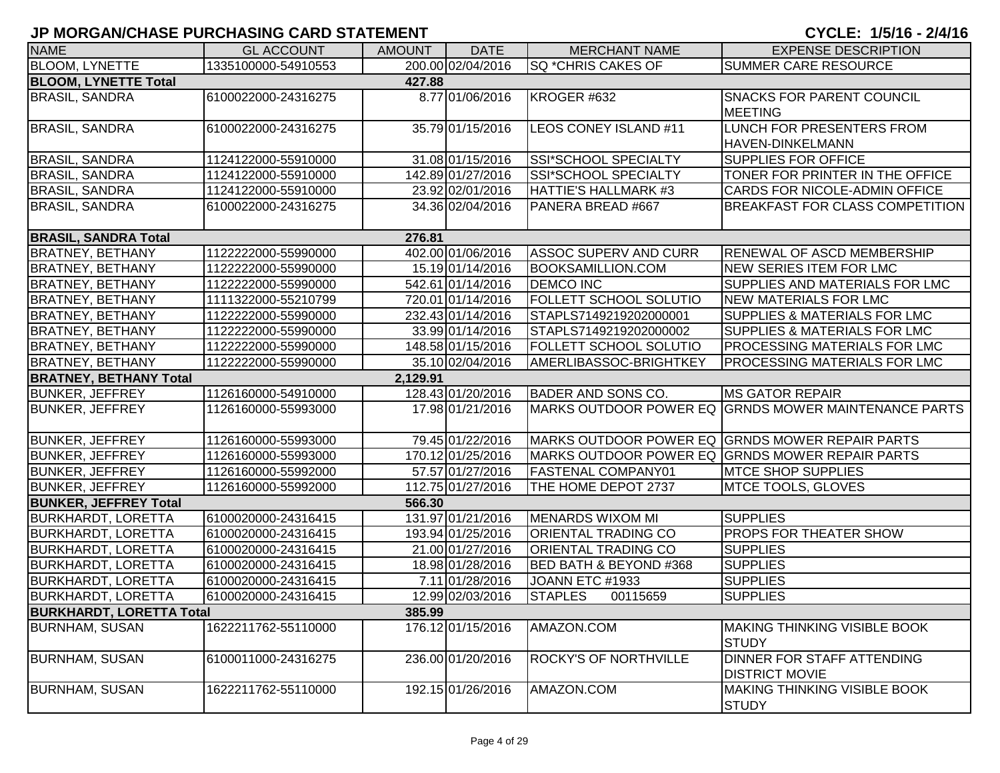| <b>NAME</b>                   | <b>GL ACCOUNT</b>   | <b>AMOUNT</b> | <b>DATE</b>       | <b>MERCHANT NAME</b>         | <b>EXPENSE DESCRIPTION</b>                           |
|-------------------------------|---------------------|---------------|-------------------|------------------------------|------------------------------------------------------|
| <b>BLOOM, LYNETTE</b>         | 1335100000-54910553 |               | 200.00 02/04/2016 | SQ *CHRIS CAKES OF           | SUMMER CARE RESOURCE                                 |
| <b>BLOOM, LYNETTE Total</b>   |                     | 427.88        |                   |                              |                                                      |
| <b>BRASIL, SANDRA</b>         | 6100022000-24316275 |               | 8.77 01/06/2016   | KROGER #632                  | SNACKS FOR PARENT COUNCIL                            |
|                               |                     |               |                   |                              | <b>MEETING</b>                                       |
| <b>BRASIL, SANDRA</b>         | 6100022000-24316275 |               | 35.79 01/15/2016  | LEOS CONEY ISLAND #11        | LUNCH FOR PRESENTERS FROM                            |
|                               |                     |               |                   |                              | HAVEN-DINKELMANN                                     |
| <b>BRASIL, SANDRA</b>         | 1124122000-55910000 |               | 31.08 01/15/2016  | SSI*SCHOOL SPECIALTY         | <b>SUPPLIES FOR OFFICE</b>                           |
| <b>BRASIL, SANDRA</b>         | 1124122000-55910000 |               | 142.89 01/27/2016 | <b>SSI*SCHOOL SPECIALTY</b>  | TONER FOR PRINTER IN THE OFFICE                      |
| <b>BRASIL, SANDRA</b>         | 1124122000-55910000 |               | 23.92 02/01/2016  | <b>HATTIE'S HALLMARK #3</b>  | CARDS FOR NICOLE-ADMIN OFFICE                        |
| <b>BRASIL, SANDRA</b>         | 6100022000-24316275 |               | 34.36 02/04/2016  | PANERA BREAD #667            | <b>BREAKFAST FOR CLASS COMPETITION</b>               |
|                               |                     |               |                   |                              |                                                      |
| <b>BRASIL, SANDRA Total</b>   |                     | 276.81        |                   |                              |                                                      |
| <b>BRATNEY, BETHANY</b>       | 1122222000-55990000 |               | 402.00 01/06/2016 | <b>ASSOC SUPERV AND CURR</b> | RENEWAL OF ASCD MEMBERSHIP                           |
| <b>BRATNEY, BETHANY</b>       | 1122222000-55990000 |               | 15.19 01/14/2016  | <b>BOOKSAMILLION.COM</b>     | <b>NEW SERIES ITEM FOR LMC</b>                       |
| <b>BRATNEY, BETHANY</b>       | 1122222000-55990000 |               | 542.61 01/14/2016 | <b>DEMCO INC</b>             | SUPPLIES AND MATERIALS FOR LMC                       |
| <b>BRATNEY, BETHANY</b>       | 1111322000-55210799 |               | 720.01 01/14/2016 | FOLLETT SCHOOL SOLUTIO       | <b>NEW MATERIALS FOR LMC</b>                         |
| <b>BRATNEY, BETHANY</b>       | 1122222000-55990000 |               | 232.43 01/14/2016 | STAPLS7149219202000001       | SUPPLIES & MATERIALS FOR LMC                         |
| <b>BRATNEY, BETHANY</b>       | 1122222000-55990000 |               | 33.99 01/14/2016  | STAPLS7149219202000002       | SUPPLIES & MATERIALS FOR LMC                         |
| <b>BRATNEY, BETHANY</b>       | 1122222000-55990000 |               | 148.58 01/15/2016 | FOLLETT SCHOOL SOLUTIO       | PROCESSING MATERIALS FOR LMC                         |
| <b>BRATNEY, BETHANY</b>       | 1122222000-55990000 |               | 35.10 02/04/2016  | AMERLIBASSOC-BRIGHTKEY       | PROCESSING MATERIALS FOR LMC                         |
| <b>BRATNEY, BETHANY Total</b> |                     | 2,129.91      |                   |                              |                                                      |
| <b>BUNKER, JEFFREY</b>        | 1126160000-54910000 |               | 128.43 01/20/2016 | <b>BADER AND SONS CO.</b>    | <b>MS GATOR REPAIR</b>                               |
| <b>BUNKER, JEFFREY</b>        | 1126160000-55993000 |               | 17.98 01/21/2016  |                              | MARKS OUTDOOR POWER EQ GRNDS MOWER MAINTENANCE PARTS |
| <b>BUNKER, JEFFREY</b>        | 1126160000-55993000 |               | 79.45 01/22/2016  |                              | MARKS OUTDOOR POWER EQ GRNDS MOWER REPAIR PARTS      |
| <b>BUNKER, JEFFREY</b>        | 1126160000-55993000 |               | 170.12 01/25/2016 |                              | MARKS OUTDOOR POWER EQ GRNDS MOWER REPAIR PARTS      |
| <b>BUNKER, JEFFREY</b>        | 1126160000-55992000 |               | 57.57 01/27/2016  | <b>FASTENAL COMPANY01</b>    | <b>MTCE SHOP SUPPLIES</b>                            |
| <b>BUNKER, JEFFREY</b>        | 1126160000-55992000 |               | 112.75 01/27/2016 | THE HOME DEPOT 2737          | <b>MTCE TOOLS, GLOVES</b>                            |
| <b>BUNKER, JEFFREY Total</b>  |                     | 566.30        |                   |                              |                                                      |
| <b>BURKHARDT, LORETTA</b>     | 6100020000-24316415 |               | 131.97 01/21/2016 | <b>MENARDS WIXOM MI</b>      | <b>SUPPLIES</b>                                      |
| <b>BURKHARDT, LORETTA</b>     | 6100020000-24316415 |               | 193.94 01/25/2016 | ORIENTAL TRADING CO          | PROPS FOR THEATER SHOW                               |
| <b>BURKHARDT, LORETTA</b>     | 6100020000-24316415 |               | 21.00 01/27/2016  | ORIENTAL TRADING CO          | <b>SUPPLIES</b>                                      |
| <b>BURKHARDT, LORETTA</b>     | 6100020000-24316415 |               | 18.98 01/28/2016  | BED BATH & BEYOND #368       | <b>SUPPLIES</b>                                      |
| <b>BURKHARDT, LORETTA</b>     | 6100020000-24316415 |               | 7.11 01/28/2016   | JOANN ETC #1933              | <b>SUPPLIES</b>                                      |
| <b>BURKHARDT, LORETTA</b>     | 6100020000-24316415 |               | 12.99 02/03/2016  | <b>STAPLES</b><br>00115659   | <b>SUPPLIES</b>                                      |
| BURKHARDT, LORETTA Total      |                     | 385.99        |                   |                              |                                                      |
| <b>BURNHAM, SUSAN</b>         | 1622211762-55110000 |               | 176.12 01/15/2016 | AMAZON.COM                   | <b>MAKING THINKING VISIBLE BOOK</b><br><b>STUDY</b>  |
| <b>BURNHAM, SUSAN</b>         | 6100011000-24316275 |               | 236.00 01/20/2016 | ROCKY'S OF NORTHVILLE        | DINNER FOR STAFF ATTENDING                           |
|                               |                     |               |                   |                              | <b>DISTRICT MOVIE</b>                                |
| <b>BURNHAM, SUSAN</b>         | 1622211762-55110000 |               | 192.15 01/26/2016 | AMAZON.COM                   | <b>MAKING THINKING VISIBLE BOOK</b><br><b>STUDY</b>  |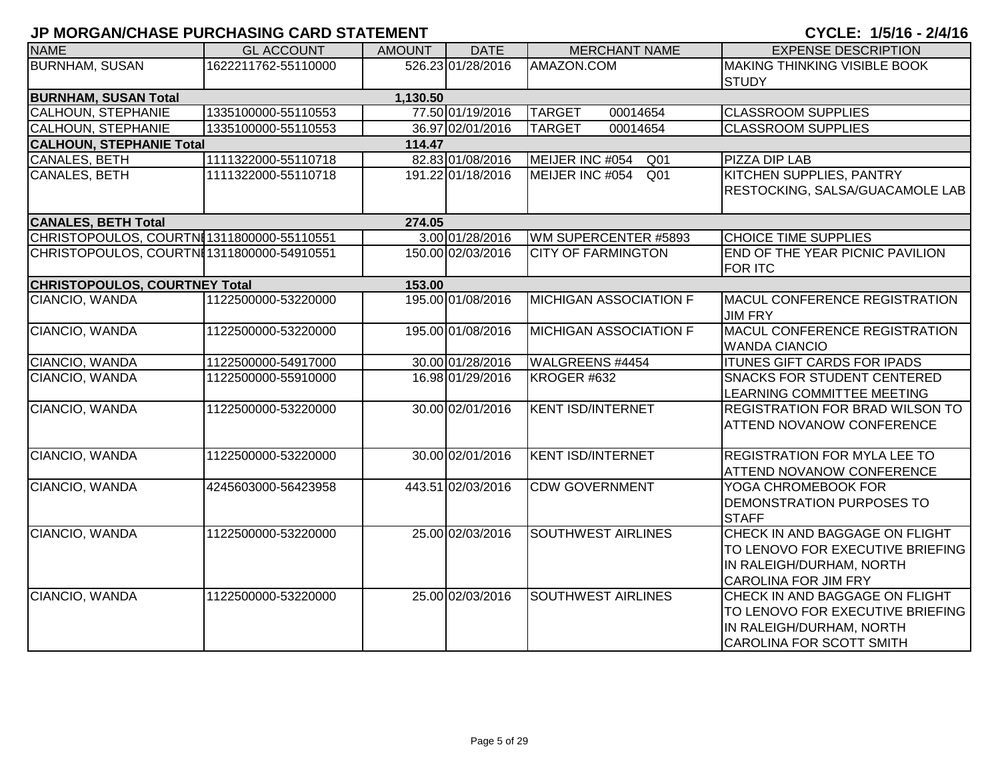# **JP MORGAN/CHASE PURCHASING CARD STATEMENT AND RESIDENT OF A 2/4/16 - 2/4/16 - 2/4/16**

| CYCLE: 1/5/16 - 2/4/16 |  |  |
|------------------------|--|--|
|------------------------|--|--|

| <b>NAME</b>                               | <b>GL ACCOUNT</b>   | <b>AMOUNT</b> | <b>DATE</b>       | <b>MERCHANT NAME</b>               | <b>EXPENSE DESCRIPTION</b>                                                                                                    |  |  |  |  |
|-------------------------------------------|---------------------|---------------|-------------------|------------------------------------|-------------------------------------------------------------------------------------------------------------------------------|--|--|--|--|
| <b>BURNHAM, SUSAN</b>                     | 1622211762-55110000 |               | 526.23 01/28/2016 | AMAZON.COM                         | MAKING THINKING VISIBLE BOOK<br><b>STUDY</b>                                                                                  |  |  |  |  |
| <b>BURNHAM, SUSAN Total</b><br>1,130.50   |                     |               |                   |                                    |                                                                                                                               |  |  |  |  |
| CALHOUN, STEPHANIE                        | 1335100000-55110553 |               | 77.50 01/19/2016  | <b>TARGET</b><br>00014654          | <b>CLASSROOM SUPPLIES</b>                                                                                                     |  |  |  |  |
| <b>CALHOUN, STEPHANIE</b>                 | 1335100000-55110553 |               | 36.97 02/01/2016  | <b>TARGET</b><br>00014654          | <b>CLASSROOM SUPPLIES</b>                                                                                                     |  |  |  |  |
| <b>CALHOUN, STEPHANIE Total</b>           |                     | 114.47        |                   |                                    |                                                                                                                               |  |  |  |  |
| <b>CANALES, BETH</b>                      | 1111322000-55110718 |               | 82.83 01/08/2016  | MEIJER INC #054<br>Q <sub>01</sub> | <b>PIZZA DIP LAB</b>                                                                                                          |  |  |  |  |
| <b>CANALES, BETH</b>                      | 1111322000-55110718 |               | 191.22 01/18/2016 | MEIJER INC #054<br>Q <sub>01</sub> | KITCHEN SUPPLIES, PANTRY<br>RESTOCKING, SALSA/GUACAMOLE LAB                                                                   |  |  |  |  |
| <b>CANALES, BETH Total</b>                |                     | 274.05        |                   |                                    |                                                                                                                               |  |  |  |  |
| CHRISTOPOULOS, COURTNI1311800000-55110551 |                     |               | 3.00 01/28/2016   | WM SUPERCENTER #5893               | <b>CHOICE TIME SUPPLIES</b>                                                                                                   |  |  |  |  |
| CHRISTOPOULOS, COURTN[1311800000-54910551 |                     |               | 150.00 02/03/2016 | <b>CITY OF FARMINGTON</b>          | END OF THE YEAR PICNIC PAVILION<br><b>FOR ITC</b>                                                                             |  |  |  |  |
| <b>CHRISTOPOULOS, COURTNEY Total</b>      |                     | 153.00        |                   |                                    |                                                                                                                               |  |  |  |  |
| CIANCIO, WANDA                            | 1122500000-53220000 |               | 195.00 01/08/2016 | <b>MICHIGAN ASSOCIATION F</b>      | MACUL CONFERENCE REGISTRATION<br><b>JIM FRY</b>                                                                               |  |  |  |  |
| CIANCIO, WANDA                            | 1122500000-53220000 |               | 195.00 01/08/2016 | <b>MICHIGAN ASSOCIATION F</b>      | MACUL CONFERENCE REGISTRATION<br><b>WANDA CIANCIO</b>                                                                         |  |  |  |  |
| CIANCIO, WANDA                            | 1122500000-54917000 |               | 30.00 01/28/2016  | WALGREENS #4454                    | <b>ITUNES GIFT CARDS FOR IPADS</b>                                                                                            |  |  |  |  |
| CIANCIO, WANDA                            | 1122500000-55910000 |               | 16.98 01/29/2016  | KROGER #632                        | <b>SNACKS FOR STUDENT CENTERED</b><br>LEARNING COMMITTEE MEETING                                                              |  |  |  |  |
| CIANCIO, WANDA                            | 1122500000-53220000 |               | 30.00 02/01/2016  | <b>KENT ISD/INTERNET</b>           | REGISTRATION FOR BRAD WILSON TO<br><b>ATTEND NOVANOW CONFERENCE</b>                                                           |  |  |  |  |
| CIANCIO, WANDA                            | 1122500000-53220000 |               | 30.00 02/01/2016  | <b>KENT ISD/INTERNET</b>           | <b>REGISTRATION FOR MYLA LEE TO</b><br>ATTEND NOVANOW CONFERENCE                                                              |  |  |  |  |
| CIANCIO, WANDA                            | 4245603000-56423958 |               | 443.51 02/03/2016 | <b>CDW GOVERNMENT</b>              | YOGA CHROMEBOOK FOR<br>DEMONSTRATION PURPOSES TO<br><b>STAFF</b>                                                              |  |  |  |  |
| CIANCIO, WANDA                            | 1122500000-53220000 |               | 25.00 02/03/2016  | <b>SOUTHWEST AIRLINES</b>          | CHECK IN AND BAGGAGE ON FLIGHT<br>TO LENOVO FOR EXECUTIVE BRIEFING<br>IN RALEIGH/DURHAM, NORTH<br><b>CAROLINA FOR JIM FRY</b> |  |  |  |  |
| CIANCIO, WANDA                            | 1122500000-53220000 |               | 25.00 02/03/2016  | <b>SOUTHWEST AIRLINES</b>          | CHECK IN AND BAGGAGE ON FLIGHT<br>TO LENOVO FOR EXECUTIVE BRIEFING<br>IN RALEIGH/DURHAM, NORTH<br>CAROLINA FOR SCOTT SMITH    |  |  |  |  |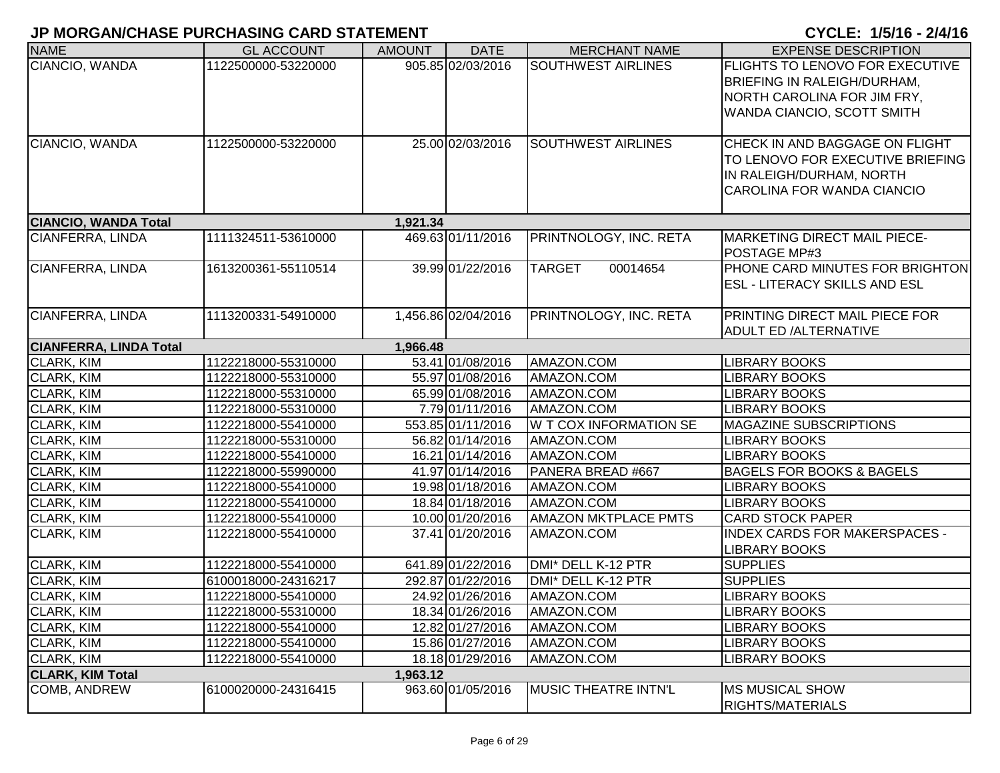| <b>NAME</b>                   | <b>GL ACCOUNT</b>   | <b>AMOUNT</b> | <b>DATE</b>         | <b>MERCHANT NAME</b>          | <b>EXPENSE DESCRIPTION</b>                                                                                                                |
|-------------------------------|---------------------|---------------|---------------------|-------------------------------|-------------------------------------------------------------------------------------------------------------------------------------------|
| CIANCIO, WANDA                | 1122500000-53220000 |               | 905.85 02/03/2016   | <b>SOUTHWEST AIRLINES</b>     | <b>FLIGHTS TO LENOVO FOR EXECUTIVE</b><br><b>BRIEFING IN RALEIGH/DURHAM,</b><br>NORTH CAROLINA FOR JIM FRY,<br>WANDA CIANCIO, SCOTT SMITH |
| CIANCIO, WANDA                | 1122500000-53220000 |               | 25.00 02/03/2016    | <b>SOUTHWEST AIRLINES</b>     | CHECK IN AND BAGGAGE ON FLIGHT<br>TO LENOVO FOR EXECUTIVE BRIEFING<br>IN RALEIGH/DURHAM, NORTH<br>CAROLINA FOR WANDA CIANCIO              |
| <b>CIANCIO, WANDA Total</b>   |                     | 1,921.34      |                     |                               |                                                                                                                                           |
| <b>CIANFERRA, LINDA</b>       | 1111324511-53610000 |               | 469.63 01/11/2016   | PRINTNOLOGY, INC. RETA        | <b>MARKETING DIRECT MAIL PIECE-</b><br>POSTAGE MP#3                                                                                       |
| CIANFERRA, LINDA              | 1613200361-55110514 |               | 39.99 01/22/2016    | <b>TARGET</b><br>00014654     | PHONE CARD MINUTES FOR BRIGHTON<br><b>ESL - LITERACY SKILLS AND ESL</b>                                                                   |
| CIANFERRA, LINDA              | 1113200331-54910000 |               | 1,456.86 02/04/2016 | PRINTNOLOGY, INC. RETA        | <b>PRINTING DIRECT MAIL PIECE FOR</b><br><b>ADULT ED /ALTERNATIVE</b>                                                                     |
| <b>CIANFERRA, LINDA Total</b> |                     | 1,966.48      |                     |                               |                                                                                                                                           |
| <b>CLARK, KIM</b>             | 1122218000-55310000 |               | 53.41 01/08/2016    | AMAZON.COM                    | <b>LIBRARY BOOKS</b>                                                                                                                      |
| CLARK, KIM                    | 1122218000-55310000 |               | 55.97 01/08/2016    | AMAZON.COM                    | <b>LIBRARY BOOKS</b>                                                                                                                      |
| CLARK, KIM                    | 1122218000-55310000 |               | 65.99 01/08/2016    | AMAZON.COM                    | <b>LIBRARY BOOKS</b>                                                                                                                      |
| CLARK, KIM                    | 1122218000-55310000 |               | 7.79 01/11/2016     | AMAZON.COM                    | <b>LIBRARY BOOKS</b>                                                                                                                      |
| CLARK, KIM                    | 1122218000-55410000 |               | 553.85 01/11/2016   | <b>W T COX INFORMATION SE</b> | <b>MAGAZINE SUBSCRIPTIONS</b>                                                                                                             |
| CLARK, KIM                    | 1122218000-55310000 |               | 56.82 01/14/2016    | AMAZON.COM                    | <b>LIBRARY BOOKS</b>                                                                                                                      |
| CLARK, KIM                    | 1122218000-55410000 |               | 16.21 01/14/2016    | AMAZON.COM                    | <b>LIBRARY BOOKS</b>                                                                                                                      |
| CLARK, KIM                    | 1122218000-55990000 |               | 41.97 01/14/2016    | PANERA BREAD #667             | <b>BAGELS FOR BOOKS &amp; BAGELS</b>                                                                                                      |
| CLARK, KIM                    | 1122218000-55410000 |               | 19.98 01/18/2016    | AMAZON.COM                    | <b>LIBRARY BOOKS</b>                                                                                                                      |
| <b>CLARK, KIM</b>             | 1122218000-55410000 |               | 18.84 01/18/2016    | AMAZON.COM                    | <b>LIBRARY BOOKS</b>                                                                                                                      |
| <b>CLARK, KIM</b>             | 1122218000-55410000 |               | 10.00 01/20/2016    | <b>AMAZON MKTPLACE PMTS</b>   | <b>CARD STOCK PAPER</b>                                                                                                                   |
| <b>CLARK, KIM</b>             | 1122218000-55410000 |               | 37.41 01/20/2016    | AMAZON.COM                    | <b>INDEX CARDS FOR MAKERSPACES -</b><br><b>LIBRARY BOOKS</b>                                                                              |
| <b>CLARK, KIM</b>             | 1122218000-55410000 |               | 641.89 01/22/2016   | DMI* DELL K-12 PTR            | <b>SUPPLIES</b>                                                                                                                           |
| CLARK, KIM                    | 6100018000-24316217 |               | 292.87 01/22/2016   | DMI* DELL K-12 PTR            | <b>SUPPLIES</b>                                                                                                                           |
| <b>CLARK, KIM</b>             | 1122218000-55410000 |               | 24.92 01/26/2016    | AMAZON.COM                    | <b>LIBRARY BOOKS</b>                                                                                                                      |
| CLARK, KIM                    | 1122218000-55310000 |               | 18.34 01/26/2016    | AMAZON.COM                    | <b>LIBRARY BOOKS</b>                                                                                                                      |
| <b>CLARK, KIM</b>             | 1122218000-55410000 |               | 12.82 01/27/2016    | AMAZON.COM                    | <b>LIBRARY BOOKS</b>                                                                                                                      |
| <b>CLARK, KIM</b>             | 1122218000-55410000 |               | 15.86 01/27/2016    | AMAZON.COM                    | <b>LIBRARY BOOKS</b>                                                                                                                      |
| CLARK, KIM                    | 1122218000-55410000 |               | 18.18 01/29/2016    | AMAZON.COM                    | <b>LIBRARY BOOKS</b>                                                                                                                      |
| <b>CLARK, KIM Total</b>       |                     | 1,963.12      |                     |                               |                                                                                                                                           |
| <b>COMB, ANDREW</b>           | 6100020000-24316415 |               | 963.60 01/05/2016   | MUSIC THEATRE INTN'L          | <b>MS MUSICAL SHOW</b><br><b>RIGHTS/MATERIALS</b>                                                                                         |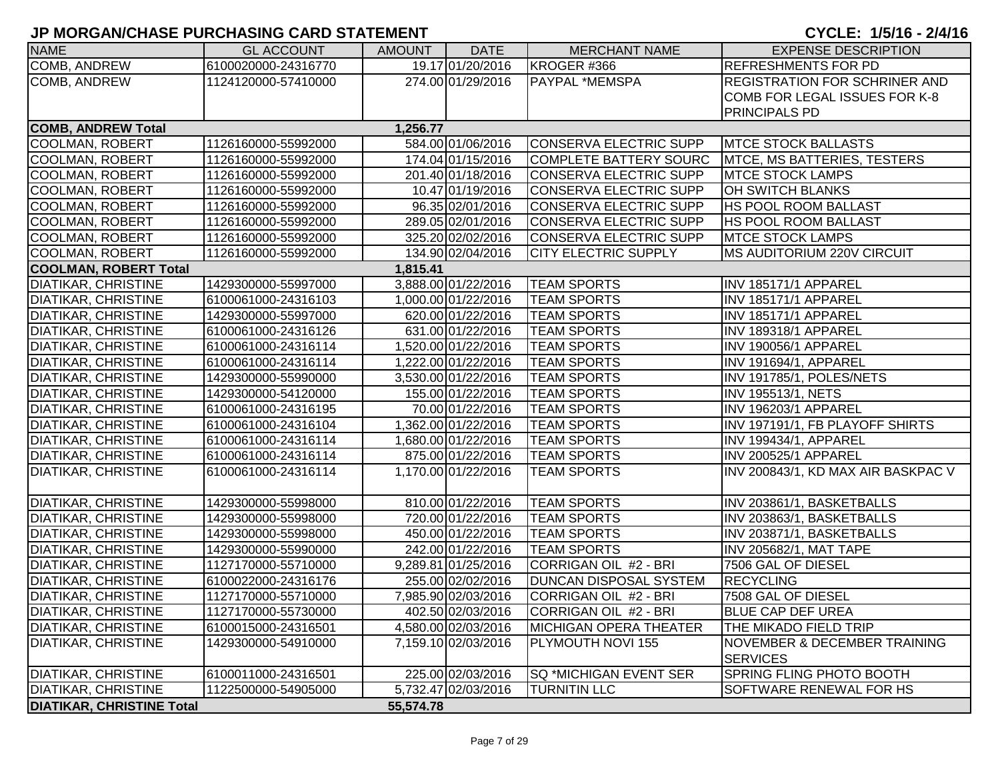| <b>NAME</b>                      | <b>GL ACCOUNT</b>   | <b>AMOUNT</b> | <b>DATE</b>         | <b>MERCHANT NAME</b>          | <b>EXPENSE DESCRIPTION</b>              |
|----------------------------------|---------------------|---------------|---------------------|-------------------------------|-----------------------------------------|
| COMB, ANDREW                     | 6100020000-24316770 |               | 19.17 01/20/2016    | KROGER #366                   | <b>REFRESHMENTS FOR PD</b>              |
| COMB, ANDREW                     | 1124120000-57410000 |               | 274.00 01/29/2016   | PAYPAL *MEMSPA                | <b>REGISTRATION FOR SCHRINER AND</b>    |
|                                  |                     |               |                     |                               | COMB FOR LEGAL ISSUES FOR K-8           |
|                                  |                     |               |                     |                               | <b>PRINCIPALS PD</b>                    |
| <b>COMB, ANDREW Total</b>        |                     | 1,256.77      |                     |                               |                                         |
| <b>COOLMAN, ROBERT</b>           | 1126160000-55992000 |               | 584.00 01/06/2016   | <b>CONSERVA ELECTRIC SUPP</b> | <b>MTCE STOCK BALLASTS</b>              |
| <b>COOLMAN, ROBERT</b>           | 1126160000-55992000 |               | 174.04 01/15/2016   | <b>COMPLETE BATTERY SOURC</b> | <b>MTCE, MS BATTERIES, TESTERS</b>      |
| <b>COOLMAN, ROBERT</b>           | 1126160000-55992000 |               | 201.40 01/18/2016   | <b>CONSERVA ELECTRIC SUPP</b> | <b>MTCE STOCK LAMPS</b>                 |
| <b>COOLMAN, ROBERT</b>           | 1126160000-55992000 |               | 10.47 01/19/2016    | <b>CONSERVA ELECTRIC SUPP</b> | OH SWITCH BLANKS                        |
| <b>COOLMAN, ROBERT</b>           | 1126160000-55992000 |               | 96.35 02/01/2016    | <b>CONSERVA ELECTRIC SUPP</b> | <b>HS POOL ROOM BALLAST</b>             |
| <b>COOLMAN, ROBERT</b>           | 1126160000-55992000 |               | 289.05 02/01/2016   | <b>CONSERVA ELECTRIC SUPP</b> | <b>HS POOL ROOM BALLAST</b>             |
| COOLMAN, ROBERT                  | 1126160000-55992000 |               | 325.20 02/02/2016   | <b>CONSERVA ELECTRIC SUPP</b> | <b>MTCE STOCK LAMPS</b>                 |
| <b>COOLMAN, ROBERT</b>           | 1126160000-55992000 |               | 134.90 02/04/2016   | <b>CITY ELECTRIC SUPPLY</b>   | <b>MS AUDITORIUM 220V CIRCUIT</b>       |
| <b>COOLMAN, ROBERT Total</b>     |                     | 1,815.41      |                     |                               |                                         |
| DIATIKAR, CHRISTINE              | 1429300000-55997000 |               | 3,888.00 01/22/2016 | <b>TEAM SPORTS</b>            | INV 185171/1 APPAREL                    |
| <b>DIATIKAR, CHRISTINE</b>       | 6100061000-24316103 |               | 1,000.00 01/22/2016 | <b>TEAM SPORTS</b>            | INV 185171/1 APPAREL                    |
| DIATIKAR, CHRISTINE              | 1429300000-55997000 |               | 620.00 01/22/2016   | <b>TEAM SPORTS</b>            | INV 185171/1 APPAREL                    |
| <b>DIATIKAR, CHRISTINE</b>       | 6100061000-24316126 |               | 631.00 01/22/2016   | <b>TEAM SPORTS</b>            | INV 189318/1 APPAREL                    |
| <b>DIATIKAR, CHRISTINE</b>       | 6100061000-24316114 |               | 1,520.00 01/22/2016 | <b>TEAM SPORTS</b>            | INV 190056/1 APPAREL                    |
| <b>DIATIKAR, CHRISTINE</b>       | 6100061000-24316114 |               | 1,222.00 01/22/2016 | <b>TEAM SPORTS</b>            | INV 191694/1, APPAREL                   |
| <b>DIATIKAR, CHRISTINE</b>       | 1429300000-55990000 |               | 3,530.00 01/22/2016 | <b>TEAM SPORTS</b>            | INV 191785/1, POLES/NETS                |
| <b>DIATIKAR, CHRISTINE</b>       | 1429300000-54120000 |               | 155.00 01/22/2016   | <b>TEAM SPORTS</b>            | <b>INV 195513/1, NETS</b>               |
| <b>DIATIKAR, CHRISTINE</b>       | 6100061000-24316195 |               | 70.00 01/22/2016    | <b>TEAM SPORTS</b>            | INV 196203/1 APPAREL                    |
| <b>DIATIKAR, CHRISTINE</b>       | 6100061000-24316104 |               | 1,362.00 01/22/2016 | <b>TEAM SPORTS</b>            | INV 197191/1, FB PLAYOFF SHIRTS         |
| <b>DIATIKAR, CHRISTINE</b>       | 6100061000-24316114 |               | 1,680.00 01/22/2016 | <b>TEAM SPORTS</b>            | INV 199434/1, APPAREL                   |
| <b>DIATIKAR, CHRISTINE</b>       | 6100061000-24316114 |               | 875.00 01/22/2016   | <b>TEAM SPORTS</b>            | INV 200525/1 APPAREL                    |
| <b>DIATIKAR, CHRISTINE</b>       | 6100061000-24316114 |               | 1,170.00 01/22/2016 | <b>TEAM SPORTS</b>            | INV 200843/1, KD MAX AIR BASKPAC V      |
| <b>DIATIKAR, CHRISTINE</b>       | 1429300000-55998000 |               | 810.00 01/22/2016   | <b>TEAM SPORTS</b>            | INV 203861/1, BASKETBALLS               |
| <b>DIATIKAR, CHRISTINE</b>       | 1429300000-55998000 |               | 720.00 01/22/2016   | <b>TEAM SPORTS</b>            | INV 203863/1, BASKETBALLS               |
| <b>DIATIKAR, CHRISTINE</b>       | 1429300000-55998000 |               | 450.00 01/22/2016   | <b>TEAM SPORTS</b>            | INV 203871/1, BASKETBALLS               |
| DIATIKAR, CHRISTINE              | 1429300000-55990000 |               | 242.00 01/22/2016   | <b>TEAM SPORTS</b>            | <b>INV 205682/1, MAT TAPE</b>           |
| <b>DIATIKAR, CHRISTINE</b>       | 1127170000-55710000 |               | 9,289.81 01/25/2016 | CORRIGAN OIL #2 - BRI         | 7506 GAL OF DIESEL                      |
| <b>DIATIKAR, CHRISTINE</b>       | 6100022000-24316176 |               | 255.00 02/02/2016   | <b>DUNCAN DISPOSAL SYSTEM</b> | <b>RECYCLING</b>                        |
| <b>DIATIKAR, CHRISTINE</b>       | 1127170000-55710000 |               | 7,985.90 02/03/2016 | CORRIGAN OIL #2 - BRI         | 7508 GAL OF DIESEL                      |
| <b>DIATIKAR, CHRISTINE</b>       | 1127170000-55730000 |               | 402.50 02/03/2016   | CORRIGAN OIL #2 - BRI         | <b>BLUE CAP DEF UREA</b>                |
| <b>DIATIKAR, CHRISTINE</b>       | 6100015000-24316501 |               | 4,580.00 02/03/2016 | <b>MICHIGAN OPERA THEATER</b> | <b>THE MIKADO FIELD TRIP</b>            |
| <b>DIATIKAR, CHRISTINE</b>       | 1429300000-54910000 |               | 7,159.10 02/03/2016 | PLYMOUTH NOVI 155             | <b>NOVEMBER &amp; DECEMBER TRAINING</b> |
|                                  |                     |               |                     |                               | <b>SERVICES</b>                         |
| <b>DIATIKAR, CHRISTINE</b>       | 6100011000-24316501 |               | 225.00 02/03/2016   | <b>SQ *MICHIGAN EVENT SER</b> | SPRING FLING PHOTO BOOTH                |
| <b>DIATIKAR, CHRISTINE</b>       | 1122500000-54905000 |               | 5,732.47 02/03/2016 | <b>TURNITIN LLC</b>           | SOFTWARE RENEWAL FOR HS                 |
| <b>DIATIKAR, CHRISTINE Total</b> |                     | 55,574.78     |                     |                               |                                         |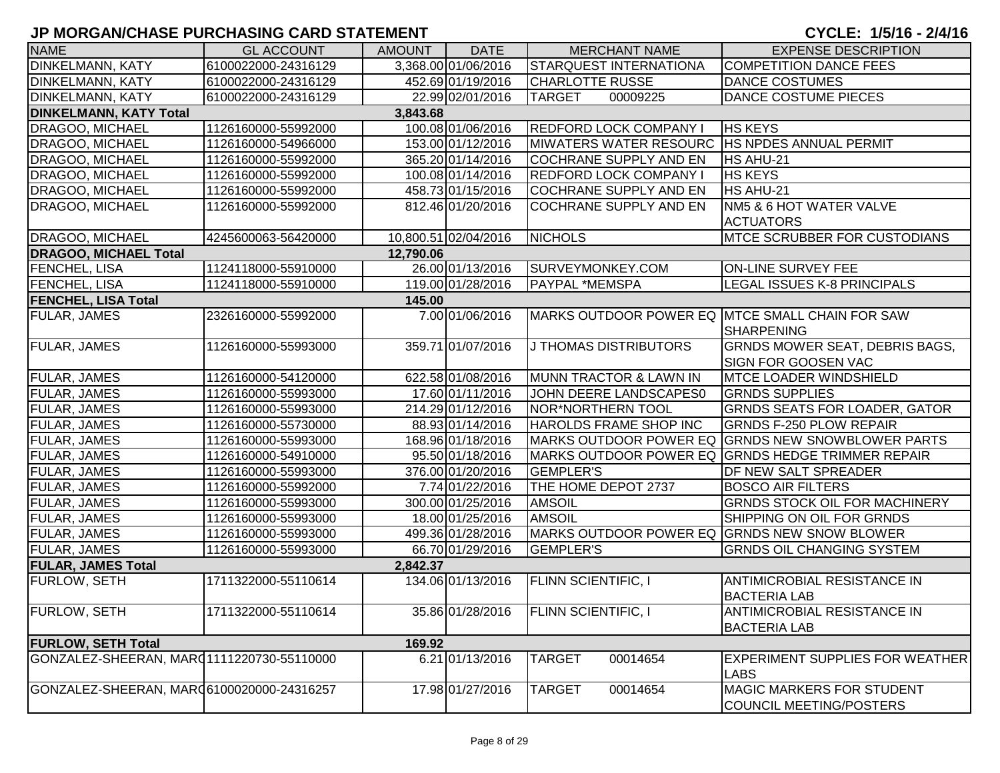| <b>NAME</b>                               | <b>GL ACCOUNT</b>   | <b>AMOUNT</b> | <b>DATE</b>          | <b>MERCHANT NAME</b>                            | <b>EXPENSE DESCRIPTION</b>                                |
|-------------------------------------------|---------------------|---------------|----------------------|-------------------------------------------------|-----------------------------------------------------------|
| <b>DINKELMANN, KATY</b>                   | 6100022000-24316129 |               | 3,368.00 01/06/2016  | <b>STARQUEST INTERNATIONA</b>                   | <b>COMPETITION DANCE FEES</b>                             |
| <b>DINKELMANN, KATY</b>                   | 6100022000-24316129 |               | 452.69 01/19/2016    | <b>CHARLOTTE RUSSE</b>                          | <b>DANCE COSTUMES</b>                                     |
| <b>DINKELMANN, KATY</b>                   | 6100022000-24316129 |               | 22.99 02/01/2016     | <b>TARGET</b><br>00009225                       | DANCE COSTUME PIECES                                      |
| <b>DINKELMANN, KATY Total</b>             |                     | 3,843.68      |                      |                                                 |                                                           |
| <b>DRAGOO, MICHAEL</b>                    | 1126160000-55992000 |               | 100.08 01/06/2016    | REDFORD LOCK COMPANY I                          | <b>HS KEYS</b>                                            |
| DRAGOO, MICHAEL                           | 1126160000-54966000 |               | 153.00 01/12/2016    | MIWATERS WATER RESOURC HS NPDES ANNUAL PERMIT   |                                                           |
| <b>DRAGOO, MICHAEL</b>                    | 1126160000-55992000 |               | 365.20 01/14/2016    | COCHRANE SUPPLY AND EN                          | HS AHU-21                                                 |
| <b>DRAGOO, MICHAEL</b>                    | 1126160000-55992000 |               | 100.08 01/14/2016    | <b>REDFORD LOCK COMPANY I</b>                   | <b>HS KEYS</b>                                            |
| <b>DRAGOO, MICHAEL</b>                    | 1126160000-55992000 |               | 458.73 01/15/2016    | <b>COCHRANE SUPPLY AND EN</b>                   | HS AHU-21                                                 |
| DRAGOO, MICHAEL                           | 1126160000-55992000 |               | 812.46 01/20/2016    | <b>COCHRANE SUPPLY AND EN</b>                   | <b>NM5 &amp; 6 HOT WATER VALVE</b>                        |
|                                           |                     |               |                      |                                                 | <b>ACTUATORS</b>                                          |
| DRAGOO, MICHAEL                           | 4245600063-56420000 |               | 10,800.51 02/04/2016 | <b>NICHOLS</b>                                  | <b>MTCE SCRUBBER FOR CUSTODIANS</b>                       |
| <b>DRAGOO, MICHAEL Total</b>              |                     | 12,790.06     |                      |                                                 |                                                           |
| <b>FENCHEL, LISA</b>                      | 1124118000-55910000 |               | 26.00 01/13/2016     | SURVEYMONKEY.COM                                | <b>ON-LINE SURVEY FEE</b>                                 |
| <b>FENCHEL, LISA</b>                      | 1124118000-55910000 |               | 119.00 01/28/2016    | <b>PAYPAL *MEMSPA</b>                           | LEGAL ISSUES K-8 PRINCIPALS                               |
| <b>FENCHEL, LISA Total</b>                |                     | 145.00        |                      |                                                 |                                                           |
| <b>FULAR, JAMES</b>                       | 2326160000-55992000 |               | 7.00 01/06/2016      | MARKS OUTDOOR POWER EQ MTCE SMALL CHAIN FOR SAW | SHARPENING                                                |
| <b>FULAR, JAMES</b>                       | 1126160000-55993000 |               | 359.71 01/07/2016    | J THOMAS DISTRIBUTORS                           | <b>GRNDS MOWER SEAT, DEBRIS BAGS,</b>                     |
|                                           |                     |               |                      |                                                 | <b>SIGN FOR GOOSEN VAC</b>                                |
| <b>FULAR, JAMES</b>                       | 1126160000-54120000 |               | 622.58 01/08/2016    | MUNN TRACTOR & LAWN IN                          | <b>MTCE LOADER WINDSHIELD</b>                             |
| <b>FULAR, JAMES</b>                       | 1126160000-55993000 |               | 17.60 01/11/2016     | JOHN DEERE LANDSCAPES0                          | <b>GRNDS SUPPLIES</b>                                     |
| <b>FULAR, JAMES</b>                       | 1126160000-55993000 |               | 214.29 01/12/2016    | <b>NOR*NORTHERN TOOL</b>                        | <b>GRNDS SEATS FOR LOADER, GATOR</b>                      |
| <b>FULAR, JAMES</b>                       | 1126160000-55730000 |               | 88.93 01/14/2016     | HAROLDS FRAME SHOP INC                          | <b>GRNDS F-250 PLOW REPAIR</b>                            |
| <b>FULAR, JAMES</b>                       | 1126160000-55993000 |               | 168.96 01/18/2016    |                                                 | MARKS OUTDOOR POWER EQ GRNDS NEW SNOWBLOWER PARTS         |
| <b>FULAR, JAMES</b>                       | 1126160000-54910000 |               | 95.50 01/18/2016     |                                                 | MARKS OUTDOOR POWER EQ GRNDS HEDGE TRIMMER REPAIR         |
| <b>FULAR, JAMES</b>                       | 1126160000-55993000 |               | 376.00 01/20/2016    | <b>GEMPLER'S</b>                                | DF NEW SALT SPREADER                                      |
| <b>FULAR, JAMES</b>                       | 1126160000-55992000 |               | 7.74 01/22/2016      | THE HOME DEPOT 2737                             | <b>BOSCO AIR FILTERS</b>                                  |
| <b>FULAR, JAMES</b>                       | 1126160000-55993000 |               | 300.00 01/25/2016    | <b>AMSOIL</b>                                   | <b>GRNDS STOCK OIL FOR MACHINERY</b>                      |
| <b>FULAR, JAMES</b>                       | 1126160000-55993000 |               | 18.00 01/25/2016     | <b>AMSOIL</b>                                   | SHIPPING ON OIL FOR GRNDS                                 |
| <b>FULAR, JAMES</b>                       | 1126160000-55993000 |               | 499.36 01/28/2016    | MARKS OUTDOOR POWER EQ GRNDS NEW SNOW BLOWER    |                                                           |
| <b>FULAR, JAMES</b>                       | 1126160000-55993000 |               | 66.70 01/29/2016     | <b>GEMPLER'S</b>                                | <b>GRNDS OIL CHANGING SYSTEM</b>                          |
| <b>FULAR, JAMES Total</b>                 |                     | 2,842.37      |                      |                                                 |                                                           |
| <b>FURLOW, SETH</b>                       | 1711322000-55110614 |               | 134.06 01/13/2016    | <b>FLINN SCIENTIFIC, I</b>                      | <b>ANTIMICROBIAL RESISTANCE IN</b><br><b>BACTERIA LAB</b> |
|                                           |                     |               |                      |                                                 |                                                           |
| <b>FURLOW, SETH</b>                       | 1711322000-55110614 |               | 35.86 01/28/2016     | <b>FLINN SCIENTIFIC, I</b>                      | <b>ANTIMICROBIAL RESISTANCE IN</b><br><b>BACTERIA LAB</b> |
| <b>FURLOW, SETH Total</b>                 |                     | 169.92        |                      |                                                 |                                                           |
| GONZALEZ-SHEERAN, MARQ1111220730-55110000 |                     |               | 6.21 01/13/2016      | <b>TARGET</b><br>00014654                       | <b>EXPERIMENT SUPPLIES FOR WEATHER</b><br><b>LABS</b>     |
| GONZALEZ-SHEERAN, MAR06100020000-24316257 |                     |               | 17.98 01/27/2016     | <b>TARGET</b><br>00014654                       | <b>MAGIC MARKERS FOR STUDENT</b>                          |
|                                           |                     |               |                      |                                                 | COUNCIL MEETING/POSTERS                                   |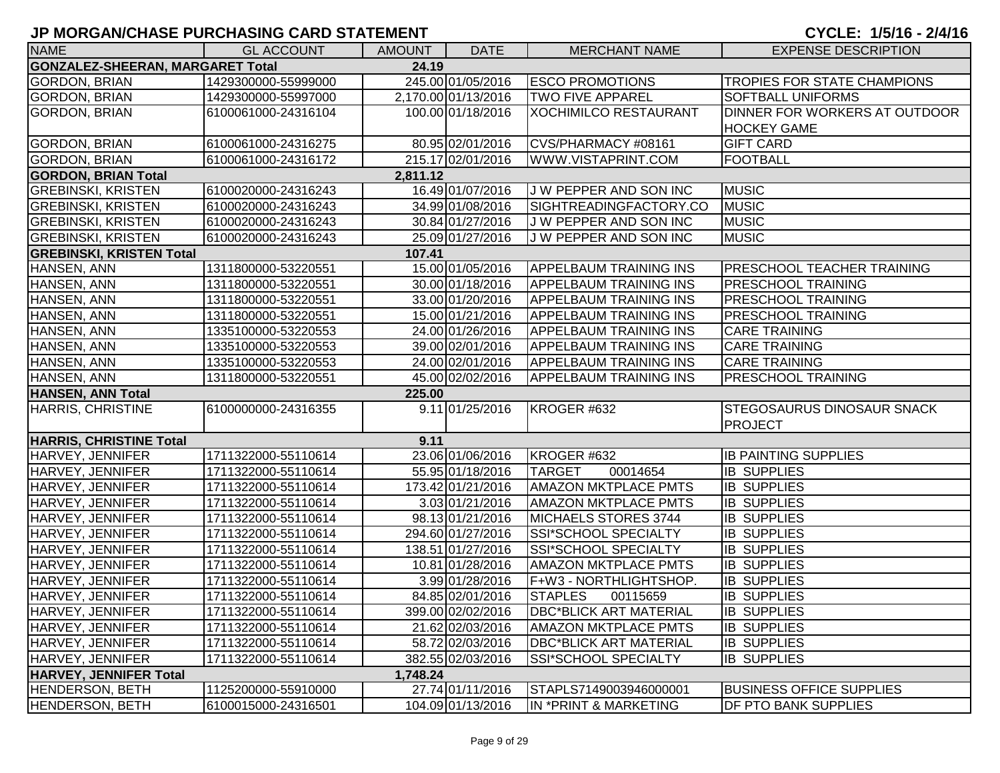| <b>NAME</b>                                      | <b>GL ACCOUNT</b>   | <b>AMOUNT</b> | <b>DATE</b>         | <b>MERCHANT NAME</b>          | <b>EXPENSE DESCRIPTION</b>         |  |  |  |
|--------------------------------------------------|---------------------|---------------|---------------------|-------------------------------|------------------------------------|--|--|--|
| <b>GONZALEZ-SHEERAN, MARGARET Total</b><br>24.19 |                     |               |                     |                               |                                    |  |  |  |
| GORDON, BRIAN                                    | 1429300000-55999000 |               | 245.00 01/05/2016   | <b>ESCO PROMOTIONS</b>        | <b>TROPIES FOR STATE CHAMPIONS</b> |  |  |  |
| GORDON, BRIAN                                    | 1429300000-55997000 |               | 2,170.00 01/13/2016 | <b>TWO FIVE APPAREL</b>       | <b>SOFTBALL UNIFORMS</b>           |  |  |  |
| <b>GORDON, BRIAN</b>                             | 6100061000-24316104 |               | 100.00 01/18/2016   | <b>XOCHIMILCO RESTAURANT</b>  | DINNER FOR WORKERS AT OUTDOOR      |  |  |  |
|                                                  |                     |               |                     |                               | <b>HOCKEY GAME</b>                 |  |  |  |
| <b>GORDON, BRIAN</b>                             | 6100061000-24316275 |               | 80.95 02/01/2016    | CVS/PHARMACY #08161           | <b>GIFT CARD</b>                   |  |  |  |
| <b>GORDON, BRIAN</b>                             | 6100061000-24316172 |               | 215.17 02/01/2016   | WWW.VISTAPRINT.COM            | <b>FOOTBALL</b>                    |  |  |  |
| <b>GORDON, BRIAN Total</b>                       |                     | 2,811.12      |                     |                               |                                    |  |  |  |
| <b>GREBINSKI, KRISTEN</b>                        | 6100020000-24316243 |               | 16.49 01/07/2016    | J W PEPPER AND SON INC        | <b>MUSIC</b>                       |  |  |  |
| <b>GREBINSKI, KRISTEN</b>                        | 6100020000-24316243 |               | 34.99 01/08/2016    | SIGHTREADINGFACTORY.CO        | <b>MUSIC</b>                       |  |  |  |
| <b>GREBINSKI, KRISTEN</b>                        | 6100020000-24316243 |               | 30.84 01/27/2016    | J W PEPPER AND SON INC        | <b>MUSIC</b>                       |  |  |  |
| <b>GREBINSKI, KRISTEN</b>                        | 6100020000-24316243 |               | 25.09 01/27/2016    | J W PEPPER AND SON INC        | <b>MUSIC</b>                       |  |  |  |
| <b>GREBINSKI, KRISTEN Total</b>                  |                     | 107.41        |                     |                               |                                    |  |  |  |
| HANSEN, ANN                                      | 1311800000-53220551 |               | 15.00 01/05/2016    | <b>APPELBAUM TRAINING INS</b> | <b>PRESCHOOL TEACHER TRAINING</b>  |  |  |  |
| HANSEN, ANN                                      | 1311800000-53220551 |               | 30.00 01/18/2016    | <b>APPELBAUM TRAINING INS</b> | <b>PRESCHOOL TRAINING</b>          |  |  |  |
| HANSEN, ANN                                      | 1311800000-53220551 |               | 33.00 01/20/2016    | <b>APPELBAUM TRAINING INS</b> | <b>PRESCHOOL TRAINING</b>          |  |  |  |
| HANSEN, ANN                                      | 1311800000-53220551 |               | 15.00 01/21/2016    | <b>APPELBAUM TRAINING INS</b> | <b>PRESCHOOL TRAINING</b>          |  |  |  |
| HANSEN, ANN                                      | 1335100000-53220553 |               | 24.00 01/26/2016    | <b>APPELBAUM TRAINING INS</b> | <b>CARE TRAINING</b>               |  |  |  |
| HANSEN, ANN                                      | 1335100000-53220553 |               | 39.00 02/01/2016    | <b>APPELBAUM TRAINING INS</b> | <b>CARE TRAINING</b>               |  |  |  |
| HANSEN, ANN                                      | 1335100000-53220553 |               | 24.00 02/01/2016    | <b>APPELBAUM TRAINING INS</b> | <b>CARE TRAINING</b>               |  |  |  |
| HANSEN, ANN                                      | 1311800000-53220551 |               | 45.00 02/02/2016    | <b>APPELBAUM TRAINING INS</b> | <b>PRESCHOOL TRAINING</b>          |  |  |  |
| <b>HANSEN, ANN Total</b>                         |                     | 225.00        |                     |                               |                                    |  |  |  |
| <b>HARRIS, CHRISTINE</b>                         | 6100000000-24316355 |               | 9.11 01/25/2016     | KROGER #632                   | <b>STEGOSAURUS DINOSAUR SNACK</b>  |  |  |  |
|                                                  |                     |               |                     |                               | <b>PROJECT</b>                     |  |  |  |
| <b>HARRIS, CHRISTINE Total</b>                   |                     | 9.11          |                     |                               |                                    |  |  |  |
| HARVEY, JENNIFER                                 | 1711322000-55110614 |               | 23.06 01/06/2016    | KROGER #632                   | <b>IB PAINTING SUPPLIES</b>        |  |  |  |
| HARVEY, JENNIFER                                 | 1711322000-55110614 |               | 55.95 01/18/2016    | 00014654<br><b>TARGET</b>     | <b>IB SUPPLIES</b>                 |  |  |  |
| HARVEY, JENNIFER                                 | 1711322000-55110614 |               | 173.42 01/21/2016   | <b>AMAZON MKTPLACE PMTS</b>   | <b>IB SUPPLIES</b>                 |  |  |  |
| HARVEY, JENNIFER                                 | 1711322000-55110614 |               | 3.03 01/21/2016     | <b>AMAZON MKTPLACE PMTS</b>   | <b>IB SUPPLIES</b>                 |  |  |  |
| HARVEY, JENNIFER                                 | 1711322000-55110614 |               | 98.13 01/21/2016    | MICHAELS STORES 3744          | <b>IB SUPPLIES</b>                 |  |  |  |
| HARVEY, JENNIFER                                 | 1711322000-55110614 |               | 294.60 01/27/2016   | SSI*SCHOOL SPECIALTY          | <b>IB SUPPLIES</b>                 |  |  |  |
| HARVEY, JENNIFER                                 | 1711322000-55110614 |               | 138.51 01/27/2016   | SSI*SCHOOL SPECIALTY          | <b>IB SUPPLIES</b>                 |  |  |  |
| HARVEY, JENNIFER                                 | 1711322000-55110614 |               | 10.81 01/28/2016    | <b>AMAZON MKTPLACE PMTS</b>   | <b>IB SUPPLIES</b>                 |  |  |  |
| HARVEY, JENNIFER                                 | 1711322000-55110614 |               | 3.99 01/28/2016     | F+W3 - NORTHLIGHTSHOP.        | <b>IB SUPPLIES</b>                 |  |  |  |
| HARVEY, JENNIFER                                 | 1711322000-55110614 |               | 84.85 02/01/2016    | <b>STAPLES</b><br>00115659    | <b>IB SUPPLIES</b>                 |  |  |  |
| HARVEY, JENNIFER                                 | 1711322000-55110614 |               | 399.00 02/02/2016   | <b>DBC*BLICK ART MATERIAL</b> | IB SUPPLIES                        |  |  |  |
| HARVEY, JENNIFER                                 | 1711322000-55110614 |               | 21.62 02/03/2016    | <b>AMAZON MKTPLACE PMTS</b>   | <b>IB SUPPLIES</b>                 |  |  |  |
| HARVEY, JENNIFER                                 | 1711322000-55110614 |               | 58.72 02/03/2016    | <b>DBC*BLICK ART MATERIAL</b> | <b>IB SUPPLIES</b>                 |  |  |  |
| HARVEY, JENNIFER                                 | 1711322000-55110614 |               | 382.55 02/03/2016   | SSI*SCHOOL SPECIALTY          | <b>IB SUPPLIES</b>                 |  |  |  |
| <b>HARVEY, JENNIFER Total</b>                    |                     | 1,748.24      |                     |                               |                                    |  |  |  |
| HENDERSON, BETH                                  | 1125200000-55910000 |               | 27.74 01/11/2016    | STAPLS7149003946000001        | <b>BUSINESS OFFICE SUPPLIES</b>    |  |  |  |
| HENDERSON, BETH                                  | 6100015000-24316501 |               | 104.09 01/13/2016   | IN *PRINT & MARKETING         | <b>DF PTO BANK SUPPLIES</b>        |  |  |  |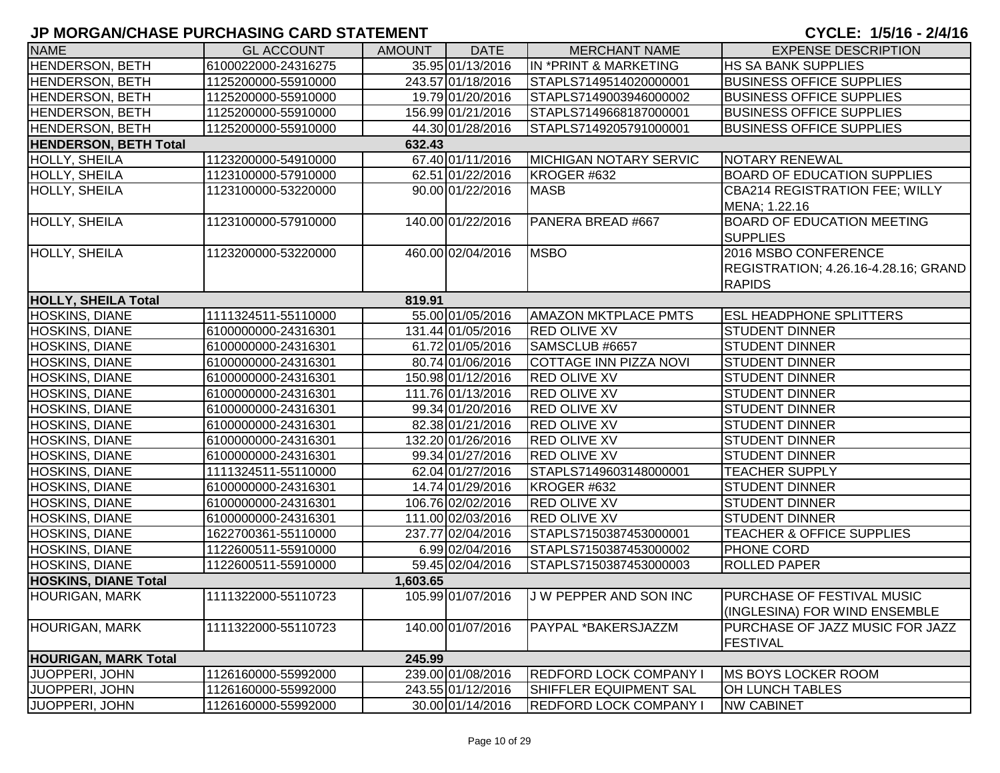| <b>NAME</b>                  | <b>GL ACCOUNT</b>   | <b>AMOUNT</b> | <b>DATE</b>       | <b>MERCHANT NAME</b>          | <b>EXPENSE DESCRIPTION</b>                                                    |
|------------------------------|---------------------|---------------|-------------------|-------------------------------|-------------------------------------------------------------------------------|
| HENDERSON, BETH              | 6100022000-24316275 |               | 35.95 01/13/2016  | IN *PRINT & MARKETING         | <b>HS SA BANK SUPPLIES</b>                                                    |
| HENDERSON, BETH              | 1125200000-55910000 |               | 243.57 01/18/2016 | STAPLS7149514020000001        | <b>BUSINESS OFFICE SUPPLIES</b>                                               |
| <b>HENDERSON, BETH</b>       | 1125200000-55910000 |               | 19.79 01/20/2016  | STAPLS7149003946000002        | <b>BUSINESS OFFICE SUPPLIES</b>                                               |
| <b>HENDERSON, BETH</b>       | 1125200000-55910000 |               | 156.99 01/21/2016 | STAPLS7149668187000001        | <b>BUSINESS OFFICE SUPPLIES</b>                                               |
| HENDERSON, BETH              | 1125200000-55910000 |               | 44.30 01/28/2016  | STAPLS7149205791000001        | <b>BUSINESS OFFICE SUPPLIES</b>                                               |
| <b>HENDERSON, BETH Total</b> |                     | 632.43        |                   |                               |                                                                               |
| HOLLY, SHEILA                | 1123200000-54910000 |               | 67.40 01/11/2016  | <b>MICHIGAN NOTARY SERVIC</b> | <b>NOTARY RENEWAL</b>                                                         |
| HOLLY, SHEILA                | 1123100000-57910000 |               | 62.51 01/22/2016  | KROGER #632                   | <b>BOARD OF EDUCATION SUPPLIES</b>                                            |
| <b>HOLLY, SHEILA</b>         | 1123100000-53220000 |               | 90.00 01/22/2016  | <b>MASB</b>                   | CBA214 REGISTRATION FEE; WILLY<br>MENA; 1.22.16                               |
| <b>HOLLY, SHEILA</b>         | 1123100000-57910000 |               | 140.00 01/22/2016 | PANERA BREAD #667             | <b>BOARD OF EDUCATION MEETING</b><br><b>SUPPLIES</b>                          |
| <b>HOLLY, SHEILA</b>         | 1123200000-53220000 |               | 460.00 02/04/2016 | <b>MSBO</b>                   | 2016 MSBO CONFERENCE<br>REGISTRATION; 4.26.16-4.28.16; GRAND<br><b>RAPIDS</b> |
| <b>HOLLY, SHEILA Total</b>   |                     | 819.91        |                   |                               |                                                                               |
| HOSKINS, DIANE               | 1111324511-55110000 |               | 55.00 01/05/2016  | <b>AMAZON MKTPLACE PMTS</b>   | <b>ESL HEADPHONE SPLITTERS</b>                                                |
| HOSKINS, DIANE               | 6100000000-24316301 |               | 131.44 01/05/2016 | <b>RED OLIVE XV</b>           | <b>STUDENT DINNER</b>                                                         |
| HOSKINS, DIANE               | 6100000000-24316301 |               | 61.72 01/05/2016  | SAMSCLUB #6657                | <b>STUDENT DINNER</b>                                                         |
| HOSKINS, DIANE               | 6100000000-24316301 |               | 80.74 01/06/2016  | COTTAGE INN PIZZA NOVI        | <b>STUDENT DINNER</b>                                                         |
| <b>HOSKINS, DIANE</b>        | 6100000000-24316301 |               | 150.98 01/12/2016 | <b>RED OLIVE XV</b>           | <b>STUDENT DINNER</b>                                                         |
| HOSKINS, DIANE               | 6100000000-24316301 |               | 111.76 01/13/2016 | <b>RED OLIVE XV</b>           | <b>STUDENT DINNER</b>                                                         |
| HOSKINS, DIANE               | 6100000000-24316301 |               | 99.34 01/20/2016  | <b>RED OLIVE XV</b>           | <b>STUDENT DINNER</b>                                                         |
| HOSKINS, DIANE               | 6100000000-24316301 |               | 82.38 01/21/2016  | <b>RED OLIVE XV</b>           | <b>STUDENT DINNER</b>                                                         |
| HOSKINS, DIANE               | 6100000000-24316301 |               | 132.20 01/26/2016 | <b>RED OLIVE XV</b>           | <b>STUDENT DINNER</b>                                                         |
| HOSKINS, DIANE               | 6100000000-24316301 |               | 99.34 01/27/2016  | <b>RED OLIVE XV</b>           | <b>STUDENT DINNER</b>                                                         |
| HOSKINS, DIANE               | 1111324511-55110000 |               | 62.04 01/27/2016  | STAPLS7149603148000001        | <b>TEACHER SUPPLY</b>                                                         |
| HOSKINS, DIANE               | 6100000000-24316301 |               | 14.74 01/29/2016  | KROGER #632                   | <b>STUDENT DINNER</b>                                                         |
| <b>HOSKINS, DIANE</b>        | 6100000000-24316301 |               | 106.76 02/02/2016 | <b>RED OLIVE XV</b>           | <b>STUDENT DINNER</b>                                                         |
| HOSKINS, DIANE               | 6100000000-24316301 |               | 111.00 02/03/2016 | <b>RED OLIVE XV</b>           | <b>STUDENT DINNER</b>                                                         |
| HOSKINS, DIANE               | 1622700361-55110000 |               | 237.77 02/04/2016 | STAPLS7150387453000001        | TEACHER & OFFICE SUPPLIES                                                     |
| HOSKINS, DIANE               | 1122600511-55910000 |               | 6.99 02/04/2016   | STAPLS7150387453000002        | <b>PHONE CORD</b>                                                             |
| HOSKINS, DIANE               | 1122600511-55910000 |               | 59.45 02/04/2016  | STAPLS7150387453000003        | <b>ROLLED PAPER</b>                                                           |
| <b>HOSKINS, DIANE Total</b>  |                     | 1,603.65      |                   |                               |                                                                               |
| <b>HOURIGAN, MARK</b>        | 1111322000-55110723 |               | 105.99 01/07/2016 | J W PEPPER AND SON INC        | <b>PURCHASE OF FESTIVAL MUSIC</b><br>(INGLESINA) FOR WIND ENSEMBLE            |
| <b>HOURIGAN, MARK</b>        | 1111322000-55110723 |               | 140.00 01/07/2016 | PAYPAL *BAKERSJAZZM           | IPURCHASE OF JAZZ MUSIC FOR JAZZ<br><b>FESTIVAL</b>                           |
| <b>HOURIGAN, MARK Total</b>  |                     | 245.99        |                   |                               |                                                                               |
| JUOPPERI, JOHN               | 1126160000-55992000 |               | 239.00 01/08/2016 | <b>REDFORD LOCK COMPANY I</b> | <b>MS BOYS LOCKER ROOM</b>                                                    |
| JUOPPERI, JOHN               | 1126160000-55992000 |               | 243.55 01/12/2016 | SHIFFLER EQUIPMENT SAL        | <b>OH LUNCH TABLES</b>                                                        |
| JUOPPERI, JOHN               | 1126160000-55992000 |               | 30.00 01/14/2016  | <b>REDFORD LOCK COMPANY I</b> | <b>NW CABINET</b>                                                             |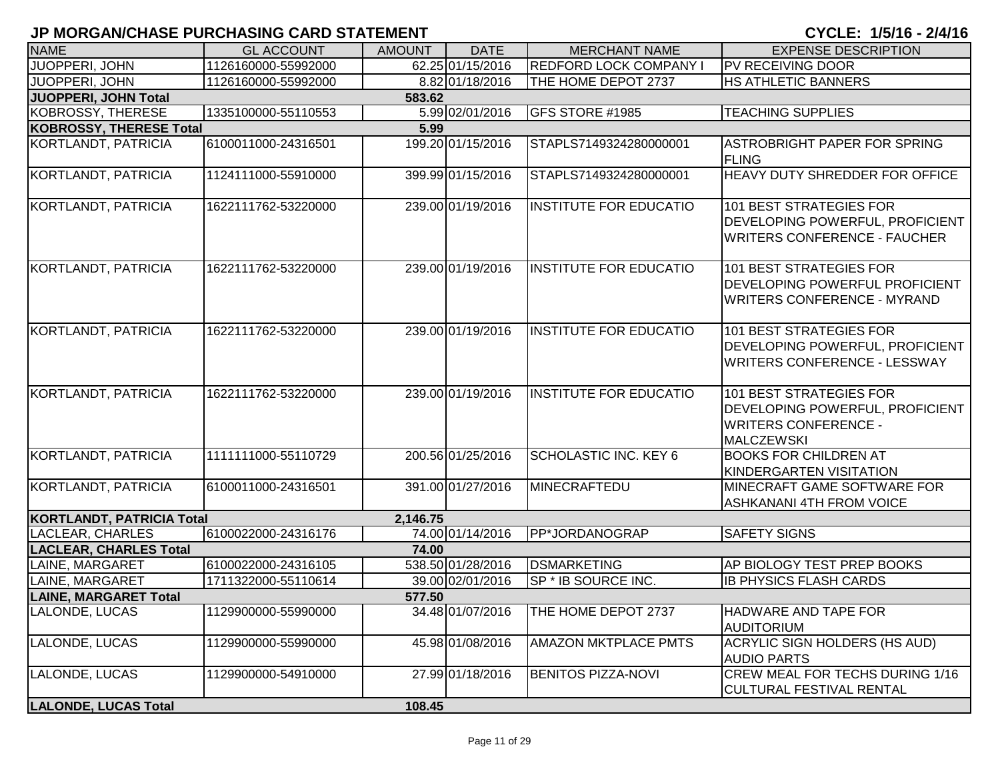| <b>NAME</b>                      | <b>GL ACCOUNT</b>   | <b>AMOUNT</b> | <b>DATE</b>       | <b>MERCHANT NAME</b>          | <b>EXPENSE DESCRIPTION</b>                                                                                            |
|----------------------------------|---------------------|---------------|-------------------|-------------------------------|-----------------------------------------------------------------------------------------------------------------------|
| JUOPPERI, JOHN                   | 1126160000-55992000 |               | 62.25 01/15/2016  | <b>REDFORD LOCK COMPANY I</b> | PV RECEIVING DOOR                                                                                                     |
| JUOPPERI, JOHN                   | 1126160000-55992000 |               | 8.82 01/18/2016   | THE HOME DEPOT 2737           | <b>HS ATHLETIC BANNERS</b>                                                                                            |
| JUOPPERI, JOHN Total             |                     | 583.62        |                   |                               |                                                                                                                       |
| <b>KOBROSSY, THERESE</b>         | 1335100000-55110553 |               | 5.99 02/01/2016   | GFS STORE #1985               | <b>TEACHING SUPPLIES</b>                                                                                              |
| <b>KOBROSSY, THERESE Total</b>   |                     | 5.99          |                   |                               |                                                                                                                       |
| KORTLANDT, PATRICIA              | 6100011000-24316501 |               | 199.20 01/15/2016 | STAPLS7149324280000001        | ASTROBRIGHT PAPER FOR SPRING<br><b>FLING</b>                                                                          |
| <b>KORTLANDT, PATRICIA</b>       | 1124111000-55910000 |               | 399.99 01/15/2016 | STAPLS7149324280000001        | HEAVY DUTY SHREDDER FOR OFFICE                                                                                        |
| KORTLANDT, PATRICIA              | 1622111762-53220000 |               | 239.00 01/19/2016 | <b>INSTITUTE FOR EDUCATIO</b> | 101 BEST STRATEGIES FOR<br><b>DEVELOPING POWERFUL, PROFICIENT</b><br><b>WRITERS CONFERENCE - FAUCHER</b>              |
| KORTLANDT, PATRICIA              | 1622111762-53220000 |               | 239.00 01/19/2016 | INSTITUTE FOR EDUCATIO        | 101 BEST STRATEGIES FOR<br><b>DEVELOPING POWERFUL PROFICIENT</b><br><b>WRITERS CONFERENCE - MYRAND</b>                |
| KORTLANDT, PATRICIA              | 1622111762-53220000 |               | 239.00 01/19/2016 | INSTITUTE FOR EDUCATIO        | 101 BEST STRATEGIES FOR<br><b>DEVELOPING POWERFUL, PROFICIENT</b><br><b>WRITERS CONFERENCE - LESSWAY</b>              |
| KORTLANDT, PATRICIA              | 1622111762-53220000 |               | 239.00 01/19/2016 | <b>INSTITUTE FOR EDUCATIO</b> | 101 BEST STRATEGIES FOR<br><b>DEVELOPING POWERFUL, PROFICIENT</b><br><b>WRITERS CONFERENCE -</b><br><b>MALCZEWSKI</b> |
| KORTLANDT, PATRICIA              | 1111111000-55110729 |               | 200.56 01/25/2016 | <b>SCHOLASTIC INC. KEY 6</b>  | <b>BOOKS FOR CHILDREN AT</b><br>KINDERGARTEN VISITATION                                                               |
| KORTLANDT, PATRICIA              | 6100011000-24316501 |               | 391.00 01/27/2016 | MINECRAFTEDU                  | MINECRAFT GAME SOFTWARE FOR<br><b>ASHKANANI 4TH FROM VOICE</b>                                                        |
| <b>KORTLANDT, PATRICIA Total</b> |                     | 2,146.75      |                   |                               |                                                                                                                       |
| <b>LACLEAR, CHARLES</b>          | 6100022000-24316176 |               | 74.00 01/14/2016  | PP*JORDANOGRAP                | <b>SAFETY SIGNS</b>                                                                                                   |
| <b>LACLEAR, CHARLES Total</b>    |                     | 74.00         |                   |                               |                                                                                                                       |
| LAINE, MARGARET                  | 6100022000-24316105 |               | 538.50 01/28/2016 | <b>DSMARKETING</b>            | AP BIOLOGY TEST PREP BOOKS                                                                                            |
| LAINE, MARGARET                  | 1711322000-55110614 |               | 39.00 02/01/2016  | SP * IB SOURCE INC.           | <b>IB PHYSICS FLASH CARDS</b>                                                                                         |
| <b>LAINE, MARGARET Total</b>     |                     | 577.50        |                   |                               |                                                                                                                       |
| LALONDE, LUCAS                   | 1129900000-55990000 |               | 34.48 01/07/2016  | THE HOME DEPOT 2737           | <b>HADWARE AND TAPE FOR</b><br><b>AUDITORIUM</b>                                                                      |
| LALONDE, LUCAS                   | 1129900000-55990000 |               | 45.98 01/08/2016  | <b>AMAZON MKTPLACE PMTS</b>   | ACRYLIC SIGN HOLDERS (HS AUD)<br><b>AUDIO PARTS</b>                                                                   |
| LALONDE, LUCAS                   | 1129900000-54910000 |               | 27.99 01/18/2016  | <b>BENITOS PIZZA-NOVI</b>     | CREW MEAL FOR TECHS DURING 1/16<br><b>CULTURAL FESTIVAL RENTAL</b>                                                    |
| <b>LALONDE, LUCAS Total</b>      |                     | 108.45        |                   |                               |                                                                                                                       |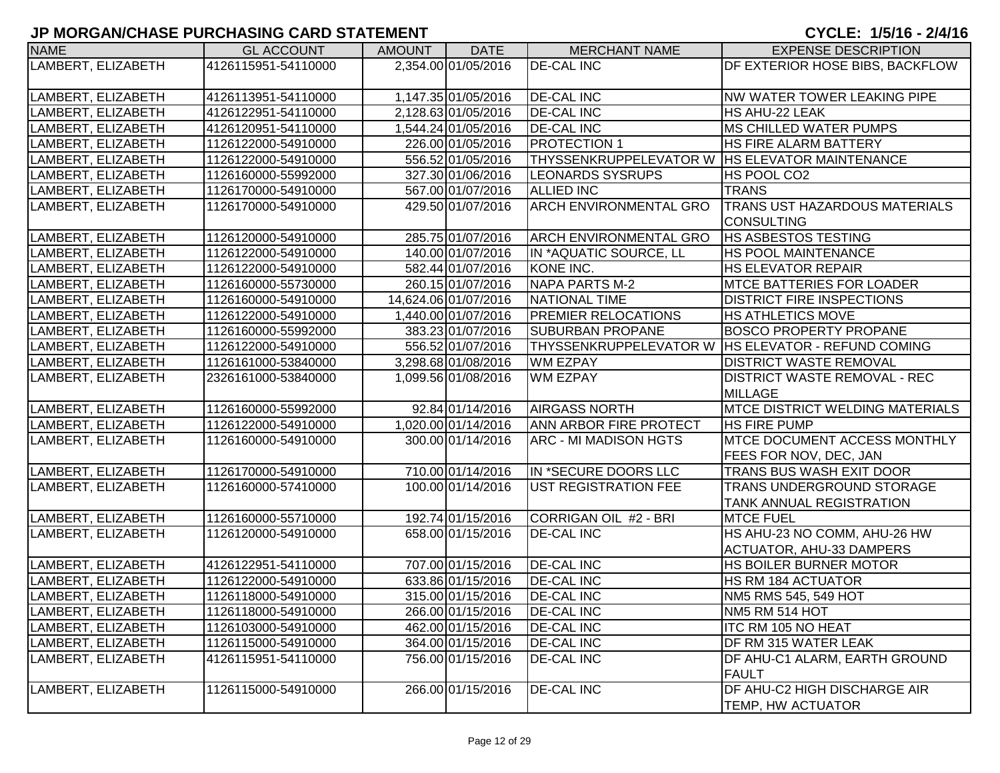| <b>NAME</b>        | <b>GL ACCOUNT</b>   | <b>AMOUNT</b> | <b>DATE</b>          | <b>MERCHANT NAME</b>                             | <b>EXPENSE DESCRIPTION</b>                           |
|--------------------|---------------------|---------------|----------------------|--------------------------------------------------|------------------------------------------------------|
| LAMBERT, ELIZABETH | 4126115951-54110000 |               | 2,354.00 01/05/2016  | <b>DE-CAL INC</b>                                | DF EXTERIOR HOSE BIBS, BACKFLOW                      |
|                    |                     |               |                      |                                                  |                                                      |
| LAMBERT, ELIZABETH | 4126113951-54110000 |               | 1,147.35 01/05/2016  | <b>DE-CAL INC</b>                                | NW WATER TOWER LEAKING PIPE                          |
| LAMBERT, ELIZABETH | 4126122951-54110000 |               | 2,128.63 01/05/2016  | <b>DE-CAL INC</b>                                | HS AHU-22 LEAK                                       |
| LAMBERT, ELIZABETH | 4126120951-54110000 |               | 1,544.24 01/05/2016  | <b>DE-CAL INC</b>                                | <b>MS CHILLED WATER PUMPS</b>                        |
| LAMBERT, ELIZABETH | 1126122000-54910000 |               | 226.00 01/05/2016    | PROTECTION 1                                     | <b>HS FIRE ALARM BATTERY</b>                         |
| LAMBERT, ELIZABETH | 1126122000-54910000 |               | 556.52 01/05/2016    | THYSSENKRUPPELEVATOR W   HS ELEVATOR MAINTENANCE |                                                      |
| LAMBERT, ELIZABETH | 1126160000-55992000 |               | 327.30 01/06/2016    | <b>LEONARDS SYSRUPS</b>                          | HS POOL CO2                                          |
| LAMBERT, ELIZABETH | 1126170000-54910000 |               | 567.00 01/07/2016    | <b>ALLIED INC</b>                                | <b>TRANS</b>                                         |
| LAMBERT, ELIZABETH | 1126170000-54910000 |               | 429.50 01/07/2016    | <b>ARCH ENVIRONMENTAL GRO</b>                    | <b>TRANS UST HAZARDOUS MATERIALS</b>                 |
|                    |                     |               |                      |                                                  | <b>CONSULTING</b>                                    |
| LAMBERT, ELIZABETH | 1126120000-54910000 |               | 285.75 01/07/2016    | <b>ARCH ENVIRONMENTAL GRO</b>                    | <b>HS ASBESTOS TESTING</b>                           |
| LAMBERT, ELIZABETH | 1126122000-54910000 |               | 140.00 01/07/2016    | IN *AQUATIC SOURCE, LL                           | <b>HS POOL MAINTENANCE</b>                           |
| LAMBERT, ELIZABETH | 1126122000-54910000 |               | 582.44 01/07/2016    | KONE INC.                                        | <b>HS ELEVATOR REPAIR</b>                            |
| LAMBERT, ELIZABETH | 1126160000-55730000 |               | 260.15 01/07/2016    | <b>NAPA PARTS M-2</b>                            | <b>MTCE BATTERIES FOR LOADER</b>                     |
| LAMBERT, ELIZABETH | 1126160000-54910000 |               | 14,624.06 01/07/2016 | NATIONAL TIME                                    | <b>DISTRICT FIRE INSPECTIONS</b>                     |
| LAMBERT, ELIZABETH | 1126122000-54910000 |               | 1,440.00 01/07/2016  | <b>PREMIER RELOCATIONS</b>                       | <b>IHS ATHLETICS MOVE</b>                            |
| LAMBERT, ELIZABETH | 1126160000-55992000 |               | 383.23 01/07/2016    | <b>SUBURBAN PROPANE</b>                          | <b>BOSCO PROPERTY PROPANE</b>                        |
| LAMBERT, ELIZABETH | 1126122000-54910000 |               | 556.52 01/07/2016    |                                                  | THYSSENKRUPPELEVATOR W   HS ELEVATOR - REFUND COMING |
| LAMBERT, ELIZABETH | 1126161000-53840000 |               | 3,298.68 01/08/2016  | <b>WM EZPAY</b>                                  | <b>DISTRICT WASTE REMOVAL</b>                        |
| LAMBERT, ELIZABETH | 2326161000-53840000 |               | 1,099.56 01/08/2016  | <b>WM EZPAY</b>                                  | <b>DISTRICT WASTE REMOVAL - REC</b>                  |
|                    |                     |               |                      |                                                  | <b>MILLAGE</b>                                       |
| LAMBERT, ELIZABETH | 1126160000-55992000 |               | 92.84 01/14/2016     | <b>AIRGASS NORTH</b>                             | <b>MTCE DISTRICT WELDING MATERIALS</b>               |
| LAMBERT, ELIZABETH | 1126122000-54910000 |               | 1,020.00 01/14/2016  | ANN ARBOR FIRE PROTECT                           | <b>HS FIRE PUMP</b>                                  |
| LAMBERT, ELIZABETH | 1126160000-54910000 |               | 300.00 01/14/2016    | <b>ARC - MI MADISON HGTS</b>                     | <b>MTCE DOCUMENT ACCESS MONTHLY</b>                  |
|                    |                     |               |                      |                                                  | <b>FEES FOR NOV, DEC, JAN</b>                        |
| LAMBERT, ELIZABETH | 1126170000-54910000 |               | 710.00 01/14/2016    | IN *SECURE DOORS LLC                             | <b>TRANS BUS WASH EXIT DOOR</b>                      |
| LAMBERT, ELIZABETH | 1126160000-57410000 |               | 100.00 01/14/2016    | <b>UST REGISTRATION FEE</b>                      | <b>TRANS UNDERGROUND STORAGE</b>                     |
|                    |                     |               |                      |                                                  | <b>TANK ANNUAL REGISTRATION</b>                      |
| LAMBERT, ELIZABETH | 1126160000-55710000 |               | 192.74 01/15/2016    | CORRIGAN OIL #2 - BRI                            | <b>MTCE FUEL</b>                                     |
| LAMBERT, ELIZABETH | 1126120000-54910000 |               | 658.00 01/15/2016    | <b>DE-CAL INC</b>                                | HS AHU-23 NO COMM, AHU-26 HW                         |
|                    |                     |               |                      |                                                  | <b>ACTUATOR, AHU-33 DAMPERS</b>                      |
| LAMBERT, ELIZABETH | 4126122951-54110000 |               | 707.00 01/15/2016    | <b>DE-CAL INC</b>                                | <b>HS BOILER BURNER MOTOR</b>                        |
| LAMBERT, ELIZABETH | 1126122000-54910000 |               | 633.86 01/15/2016    | <b>DE-CAL INC</b>                                | <b>HS RM 184 ACTUATOR</b>                            |
| LAMBERT, ELIZABETH | 1126118000-54910000 |               | 315.00 01/15/2016    | <b>DE-CAL INC</b>                                | NM5 RMS 545, 549 HOT                                 |
| LAMBERT, ELIZABETH | 1126118000-54910000 |               | 266.00 01/15/2016    | <b>DE-CAL INC</b>                                | NM5 RM 514 HOT                                       |
| LAMBERT, ELIZABETH | 1126103000-54910000 |               | 462.00 01/15/2016    | <b>DE-CAL INC</b>                                | <b>ITC RM 105 NO HEAT</b>                            |
| LAMBERT, ELIZABETH | 1126115000-54910000 |               | 364.00 01/15/2016    | <b>DE-CAL INC</b>                                | DF RM 315 WATER LEAK                                 |
| LAMBERT, ELIZABETH | 4126115951-54110000 |               | 756.00 01/15/2016    | <b>DE-CAL INC</b>                                | DF AHU-C1 ALARM, EARTH GROUND                        |
|                    |                     |               |                      |                                                  | <b>FAULT</b>                                         |
| LAMBERT, ELIZABETH | 1126115000-54910000 |               | 266.00 01/15/2016    | <b>DE-CAL INC</b>                                | DF AHU-C2 HIGH DISCHARGE AIR                         |
|                    |                     |               |                      |                                                  | TEMP, HW ACTUATOR                                    |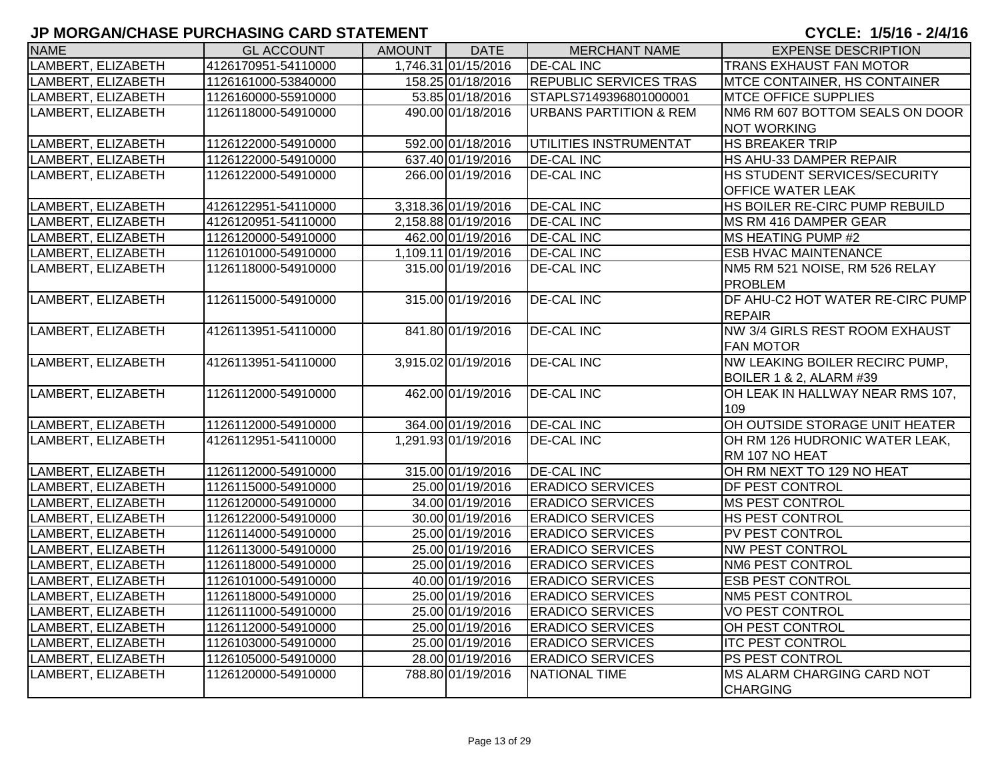| <b>NAME</b>        | <b>GL ACCOUNT</b>   | AMOUNT | <b>DATE</b>         | <b>MERCHANT NAME</b>              | <b>EXPENSE DESCRIPTION</b>          |
|--------------------|---------------------|--------|---------------------|-----------------------------------|-------------------------------------|
| LAMBERT, ELIZABETH | 4126170951-54110000 |        | 1,746.31 01/15/2016 | <b>DE-CAL INC</b>                 | <b>TRANS EXHAUST FAN MOTOR</b>      |
| LAMBERT, ELIZABETH | 1126161000-53840000 |        | 158.25 01/18/2016   | <b>REPUBLIC SERVICES TRAS</b>     | <b>MTCE CONTAINER, HS CONTAINER</b> |
| LAMBERT, ELIZABETH | 1126160000-55910000 |        | 53.85 01/18/2016    | STAPLS7149396801000001            | <b>MTCE OFFICE SUPPLIES</b>         |
| LAMBERT, ELIZABETH | 1126118000-54910000 |        | 490.00 01/18/2016   | <b>URBANS PARTITION &amp; REM</b> | NM6 RM 607 BOTTOM SEALS ON DOOR     |
|                    |                     |        |                     |                                   | <b>NOT WORKING</b>                  |
| LAMBERT, ELIZABETH | 1126122000-54910000 |        | 592.00 01/18/2016   | UTILITIES INSTRUMENTAT            | <b>HS BREAKER TRIP</b>              |
| LAMBERT, ELIZABETH | 1126122000-54910000 |        | 637.40 01/19/2016   | <b>DE-CAL INC</b>                 | HS AHU-33 DAMPER REPAIR             |
| LAMBERT, ELIZABETH | 1126122000-54910000 |        | 266.00 01/19/2016   | <b>DE-CAL INC</b>                 | HS STUDENT SERVICES/SECURITY        |
|                    |                     |        |                     |                                   | <b>OFFICE WATER LEAK</b>            |
| LAMBERT, ELIZABETH | 4126122951-54110000 |        | 3,318.36 01/19/2016 | <b>DE-CAL INC</b>                 | HS BOILER RE-CIRC PUMP REBUILD      |
| LAMBERT, ELIZABETH | 4126120951-54110000 |        | 2,158.88 01/19/2016 | <b>DE-CAL INC</b>                 | MS RM 416 DAMPER GEAR               |
| LAMBERT, ELIZABETH | 1126120000-54910000 |        | 462.00 01/19/2016   | <b>DE-CAL INC</b>                 | MS HEATING PUMP #2                  |
| LAMBERT, ELIZABETH | 1126101000-54910000 |        | 1,109.11 01/19/2016 | <b>DE-CAL INC</b>                 | <b>ESB HVAC MAINTENANCE</b>         |
| LAMBERT, ELIZABETH | 1126118000-54910000 |        | 315.00 01/19/2016   | <b>DE-CAL INC</b>                 | NM5 RM 521 NOISE, RM 526 RELAY      |
|                    |                     |        |                     |                                   | <b>PROBLEM</b>                      |
| LAMBERT, ELIZABETH | 1126115000-54910000 |        | 315.00 01/19/2016   | <b>DE-CAL INC</b>                 | DF AHU-C2 HOT WATER RE-CIRC PUMP    |
|                    |                     |        |                     |                                   | REPAIR                              |
| LAMBERT, ELIZABETH | 4126113951-54110000 |        | 841.80 01/19/2016   | <b>DE-CAL INC</b>                 | NW 3/4 GIRLS REST ROOM EXHAUST      |
|                    |                     |        |                     |                                   | <b>FAN MOTOR</b>                    |
| LAMBERT, ELIZABETH | 4126113951-54110000 |        | 3,915.02 01/19/2016 | <b>DE-CAL INC</b>                 | NW LEAKING BOILER RECIRC PUMP,      |
|                    |                     |        |                     |                                   | <b>BOILER 1 &amp; 2, ALARM #39</b>  |
| LAMBERT, ELIZABETH | 1126112000-54910000 |        | 462.00 01/19/2016   | <b>DE-CAL INC</b>                 | OH LEAK IN HALLWAY NEAR RMS 107,    |
|                    |                     |        |                     |                                   | 109                                 |
| LAMBERT, ELIZABETH | 1126112000-54910000 |        | 364.00 01/19/2016   | <b>DE-CAL INC</b>                 | OH OUTSIDE STORAGE UNIT HEATER      |
| LAMBERT, ELIZABETH | 4126112951-54110000 |        | 1,291.93 01/19/2016 | <b>DE-CAL INC</b>                 | OH RM 126 HUDRONIC WATER LEAK,      |
|                    |                     |        |                     |                                   | RM 107 NO HEAT                      |
| LAMBERT, ELIZABETH | 1126112000-54910000 |        | 315.00 01/19/2016   | <b>DE-CAL INC</b>                 | OH RM NEXT TO 129 NO HEAT           |
| LAMBERT, ELIZABETH | 1126115000-54910000 |        | 25.00 01/19/2016    | <b>ERADICO SERVICES</b>           | <b>DF PEST CONTROL</b>              |
| LAMBERT, ELIZABETH | 1126120000-54910000 |        | 34.00 01/19/2016    | <b>ERADICO SERVICES</b>           | MS PEST CONTROL                     |
| LAMBERT, ELIZABETH | 1126122000-54910000 |        | 30.00 01/19/2016    | <b>ERADICO SERVICES</b>           | <b>HS PEST CONTROL</b>              |
| LAMBERT, ELIZABETH | 1126114000-54910000 |        | 25.00 01/19/2016    | <b>ERADICO SERVICES</b>           | PV PEST CONTROL                     |
| LAMBERT, ELIZABETH | 1126113000-54910000 |        | 25.00 01/19/2016    | <b>ERADICO SERVICES</b>           | <b>NW PEST CONTROL</b>              |
| LAMBERT, ELIZABETH | 1126118000-54910000 |        | 25.00 01/19/2016    | <b>ERADICO SERVICES</b>           | <b>NM6 PEST CONTROL</b>             |
| LAMBERT, ELIZABETH | 1126101000-54910000 |        | 40.00 01/19/2016    | <b>ERADICO SERVICES</b>           | <b>ESB PEST CONTROL</b>             |
| LAMBERT, ELIZABETH | 1126118000-54910000 |        | 25.00 01/19/2016    | <b>ERADICO SERVICES</b>           | <b>NM5 PEST CONTROL</b>             |
| LAMBERT, ELIZABETH | 1126111000-54910000 |        | 25.00 01/19/2016    | <b>ERADICO SERVICES</b>           | <b>VO PEST CONTROL</b>              |
| LAMBERT, ELIZABETH | 1126112000-54910000 |        | 25.00 01/19/2016    | <b>ERADICO SERVICES</b>           | OH PEST CONTROL                     |
| LAMBERT, ELIZABETH | 1126103000-54910000 |        | 25.00 01/19/2016    | <b>ERADICO SERVICES</b>           | <b>ITC PEST CONTROL</b>             |
| LAMBERT, ELIZABETH | 1126105000-54910000 |        | 28.00 01/19/2016    | <b>ERADICO SERVICES</b>           | <b>PS PEST CONTROL</b>              |
| LAMBERT, ELIZABETH | 1126120000-54910000 |        | 788.80 01/19/2016   | <b>NATIONAL TIME</b>              | <b>MS ALARM CHARGING CARD NOT</b>   |
|                    |                     |        |                     |                                   | <b>CHARGING</b>                     |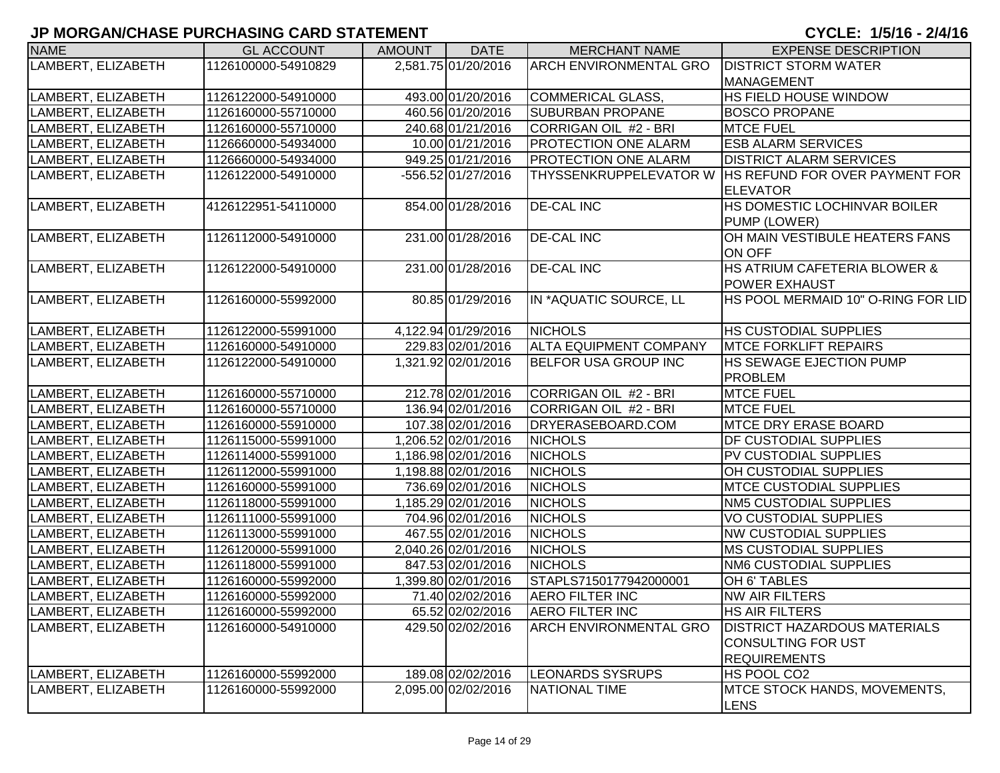| <b>NAME</b>        | <b>GL ACCOUNT</b>   | <b>AMOUNT</b> | <b>DATE</b>         | <b>MERCHANT NAME</b>          | <b>EXPENSE DESCRIPTION</b>            |
|--------------------|---------------------|---------------|---------------------|-------------------------------|---------------------------------------|
| LAMBERT, ELIZABETH | 1126100000-54910829 |               | 2,581.75 01/20/2016 | <b>ARCH ENVIRONMENTAL GRO</b> | <b>DISTRICT STORM WATER</b>           |
|                    |                     |               |                     |                               | <b>MANAGEMENT</b>                     |
| LAMBERT, ELIZABETH | 1126122000-54910000 |               | 493.00 01/20/2016   | COMMERICAL GLASS,             | HS FIELD HOUSE WINDOW                 |
| LAMBERT, ELIZABETH | 1126160000-55710000 |               | 460.56 01/20/2016   | <b>SUBURBAN PROPANE</b>       | <b>BOSCO PROPANE</b>                  |
| LAMBERT, ELIZABETH | 1126160000-55710000 |               | 240.68 01/21/2016   | CORRIGAN OIL #2 - BRI         | <b>MTCE FUEL</b>                      |
| LAMBERT, ELIZABETH | 1126660000-54934000 |               | 10.00 01/21/2016    | PROTECTION ONE ALARM          | <b>ESB ALARM SERVICES</b>             |
| LAMBERT, ELIZABETH | 1126660000-54934000 |               | 949.25 01/21/2016   | <b>PROTECTION ONE ALARM</b>   | <b>DISTRICT ALARM SERVICES</b>        |
| LAMBERT, ELIZABETH | 1126122000-54910000 |               | -556.52 01/27/2016  | THYSSENKRUPPELEVATOR W        | <b>HS REFUND FOR OVER PAYMENT FOR</b> |
|                    |                     |               |                     |                               | <b>ELEVATOR</b>                       |
| LAMBERT, ELIZABETH | 4126122951-54110000 |               | 854.00 01/28/2016   | <b>DE-CAL INC</b>             | HS DOMESTIC LOCHINVAR BOILER          |
|                    |                     |               |                     |                               | PUMP (LOWER)                          |
| LAMBERT, ELIZABETH | 1126112000-54910000 |               | 231.00 01/28/2016   | <b>DE-CAL INC</b>             | OH MAIN VESTIBULE HEATERS FANS        |
|                    |                     |               |                     |                               | <b>ON OFF</b>                         |
| LAMBERT, ELIZABETH | 1126122000-54910000 |               | 231.00 01/28/2016   | <b>DE-CAL INC</b>             | HS ATRIUM CAFETERIA BLOWER &          |
|                    |                     |               |                     |                               | <b>POWER EXHAUST</b>                  |
| LAMBERT, ELIZABETH | 1126160000-55992000 |               | 80.85 01/29/2016    | IN *AQUATIC SOURCE, LL        | HS POOL MERMAID 10" O-RING FOR LID    |
|                    |                     |               |                     |                               |                                       |
| LAMBERT, ELIZABETH | 1126122000-55991000 |               | 4,122.94 01/29/2016 | <b>NICHOLS</b>                | <b>HS CUSTODIAL SUPPLIES</b>          |
| LAMBERT, ELIZABETH | 1126160000-54910000 |               | 229.83 02/01/2016   | <b>ALTA EQUIPMENT COMPANY</b> | <b>MTCE FORKLIFT REPAIRS</b>          |
| LAMBERT, ELIZABETH | 1126122000-54910000 |               | 1,321.92 02/01/2016 | <b>BELFOR USA GROUP INC</b>   | <b>HS SEWAGE EJECTION PUMP</b>        |
|                    |                     |               |                     |                               | <b>PROBLEM</b>                        |
| LAMBERT, ELIZABETH | 1126160000-55710000 |               | 212.78 02/01/2016   | CORRIGAN OIL #2 - BRI         | <b>MTCE FUEL</b>                      |
| LAMBERT, ELIZABETH | 1126160000-55710000 |               | 136.94 02/01/2016   | CORRIGAN OIL #2 - BRI         | <b>MTCE FUEL</b>                      |
| LAMBERT, ELIZABETH | 1126160000-55910000 |               | 107.38 02/01/2016   | DRYERASEBOARD.COM             | <b>MTCE DRY ERASE BOARD</b>           |
| LAMBERT, ELIZABETH | 1126115000-55991000 |               | 1,206.52 02/01/2016 | <b>NICHOLS</b>                | <b>DF CUSTODIAL SUPPLIES</b>          |
| LAMBERT, ELIZABETH | 1126114000-55991000 |               | 1,186.98 02/01/2016 | <b>NICHOLS</b>                | PV CUSTODIAL SUPPLIES                 |
| LAMBERT, ELIZABETH | 1126112000-55991000 |               | 1,198.88 02/01/2016 | <b>NICHOLS</b>                | OH CUSTODIAL SUPPLIES                 |
| LAMBERT, ELIZABETH | 1126160000-55991000 |               | 736.69 02/01/2016   | <b>NICHOLS</b>                | <b>MTCE CUSTODIAL SUPPLIES</b>        |
| LAMBERT, ELIZABETH | 1126118000-55991000 |               | 1,185.29 02/01/2016 | <b>NICHOLS</b>                | <b>NM5 CUSTODIAL SUPPLIES</b>         |
| LAMBERT, ELIZABETH | 1126111000-55991000 |               | 704.96 02/01/2016   | <b>NICHOLS</b>                | <b>VO CUSTODIAL SUPPLIES</b>          |
| LAMBERT, ELIZABETH | 1126113000-55991000 |               | 467.55 02/01/2016   | <b>NICHOLS</b>                | <b>NW CUSTODIAL SUPPLIES</b>          |
| LAMBERT, ELIZABETH | 1126120000-55991000 |               | 2,040.26 02/01/2016 | <b>NICHOLS</b>                | <b>MS CUSTODIAL SUPPLIES</b>          |
| LAMBERT, ELIZABETH | 1126118000-55991000 |               | 847.53 02/01/2016   | <b>NICHOLS</b>                | NM6 CUSTODIAL SUPPLIES                |
| LAMBERT, ELIZABETH | 1126160000-55992000 |               | 1,399.80 02/01/2016 | STAPLS7150177942000001        | OH 6' TABLES                          |
| LAMBERT, ELIZABETH | 1126160000-55992000 |               | 71.40 02/02/2016    | <b>AERO FILTER INC</b>        | <b>NW AIR FILTERS</b>                 |
| LAMBERT, ELIZABETH | 1126160000-55992000 |               | 65.52 02/02/2016    | <b>AERO FILTER INC</b>        | <b>HS AIR FILTERS</b>                 |
| LAMBERT, ELIZABETH | 1126160000-54910000 |               | 429.50 02/02/2016   | <b>ARCH ENVIRONMENTAL GRO</b> | <b>DISTRICT HAZARDOUS MATERIALS</b>   |
|                    |                     |               |                     |                               | <b>CONSULTING FOR UST</b>             |
|                    |                     |               |                     |                               | <b>REQUIREMENTS</b>                   |
| LAMBERT, ELIZABETH | 1126160000-55992000 |               | 189.08 02/02/2016   | <b>LEONARDS SYSRUPS</b>       | HS POOL CO2                           |
| LAMBERT, ELIZABETH | 1126160000-55992000 |               | 2,095.00 02/02/2016 | <b>NATIONAL TIME</b>          | MTCE STOCK HANDS, MOVEMENTS,          |
|                    |                     |               |                     |                               | LENS                                  |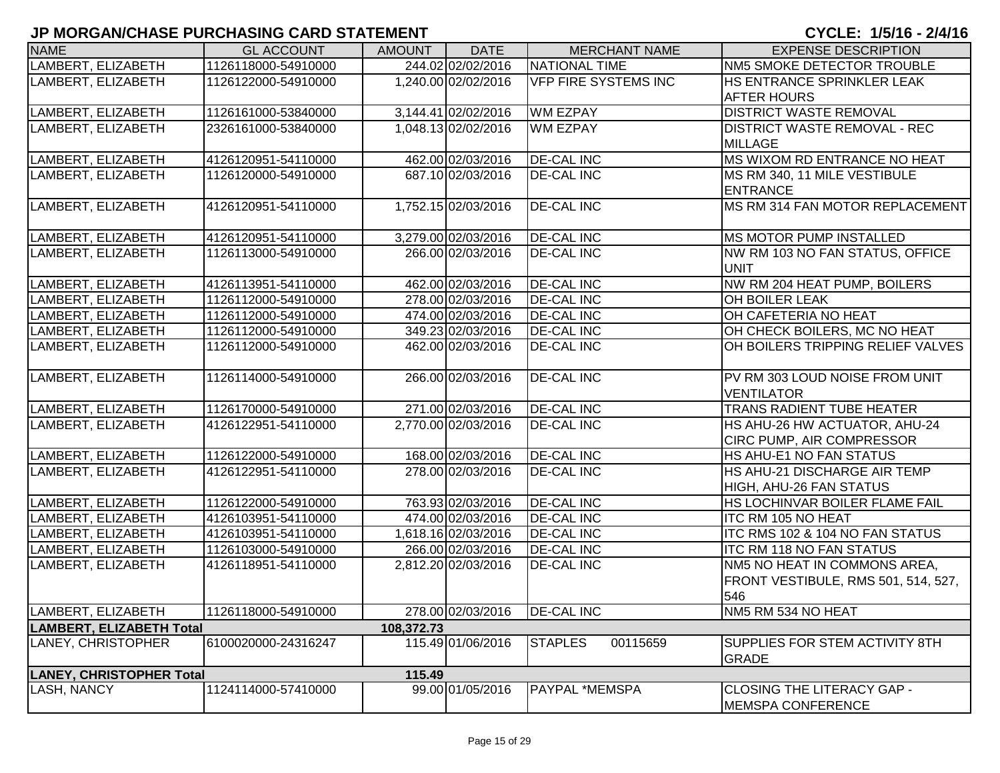| <b>NAME</b>                     | <b>GL ACCOUNT</b>   | <b>AMOUNT</b> | <b>DATE</b>         | <b>MERCHANT NAME</b>        | <b>EXPENSE DESCRIPTION</b>          |
|---------------------------------|---------------------|---------------|---------------------|-----------------------------|-------------------------------------|
| LAMBERT, ELIZABETH              | 1126118000-54910000 |               | 244.02 02/02/2016   | NATIONAL TIME               | NM5 SMOKE DETECTOR TROUBLE          |
| LAMBERT, ELIZABETH              | 1126122000-54910000 |               | 1,240.00 02/02/2016 | <b>VFP FIRE SYSTEMS INC</b> | HS ENTRANCE SPRINKLER LEAK          |
|                                 |                     |               |                     |                             | <b>AFTER HOURS</b>                  |
| LAMBERT, ELIZABETH              | 1126161000-53840000 |               | 3,144.41 02/02/2016 | <b>WM EZPAY</b>             | <b>DISTRICT WASTE REMOVAL</b>       |
| LAMBERT, ELIZABETH              | 2326161000-53840000 |               | 1,048.13 02/02/2016 | <b>WM EZPAY</b>             | <b>DISTRICT WASTE REMOVAL - REC</b> |
|                                 |                     |               |                     |                             | <b>MILLAGE</b>                      |
| LAMBERT, ELIZABETH              | 4126120951-54110000 |               | 462.00 02/03/2016   | <b>DE-CAL INC</b>           | MS WIXOM RD ENTRANCE NO HEAT        |
| LAMBERT, ELIZABETH              | 1126120000-54910000 |               | 687.10 02/03/2016   | <b>DE-CAL INC</b>           | MS RM 340, 11 MILE VESTIBULE        |
|                                 |                     |               |                     |                             | <b>ENTRANCE</b>                     |
| LAMBERT, ELIZABETH              | 4126120951-54110000 |               | 1,752.15 02/03/2016 | <b>DE-CAL INC</b>           | MS RM 314 FAN MOTOR REPLACEMENT     |
|                                 |                     |               |                     |                             |                                     |
| LAMBERT, ELIZABETH              | 4126120951-54110000 |               | 3,279.00 02/03/2016 | <b>DE-CAL INC</b>           | <b>MS MOTOR PUMP INSTALLED</b>      |
| LAMBERT, ELIZABETH              | 1126113000-54910000 |               | 266.00 02/03/2016   | <b>DE-CAL INC</b>           | NW RM 103 NO FAN STATUS, OFFICE     |
|                                 |                     |               |                     |                             | <b>UNIT</b>                         |
| LAMBERT, ELIZABETH              | 4126113951-54110000 |               | 462.00 02/03/2016   | <b>DE-CAL INC</b>           | NW RM 204 HEAT PUMP, BOILERS        |
| LAMBERT, ELIZABETH              | 1126112000-54910000 |               | 278.00 02/03/2016   | <b>DE-CAL INC</b>           | OH BOILER LEAK                      |
| LAMBERT, ELIZABETH              | 1126112000-54910000 |               | 474.00 02/03/2016   | <b>DE-CAL INC</b>           | OH CAFETERIA NO HEAT                |
| LAMBERT, ELIZABETH              | 1126112000-54910000 |               | 349.23 02/03/2016   | <b>DE-CAL INC</b>           | OH CHECK BOILERS, MC NO HEAT        |
| LAMBERT, ELIZABETH              | 1126112000-54910000 |               | 462.00 02/03/2016   | <b>DE-CAL INC</b>           | OH BOILERS TRIPPING RELIEF VALVES   |
|                                 |                     |               |                     |                             |                                     |
| LAMBERT, ELIZABETH              | 1126114000-54910000 |               | 266.00 02/03/2016   | <b>DE-CAL INC</b>           | PV RM 303 LOUD NOISE FROM UNIT      |
|                                 |                     |               |                     |                             | <b>VENTILATOR</b>                   |
| LAMBERT, ELIZABETH              | 1126170000-54910000 |               | 271.00 02/03/2016   | <b>DE-CAL INC</b>           | TRANS RADIENT TUBE HEATER           |
| LAMBERT, ELIZABETH              | 4126122951-54110000 |               | 2,770.00 02/03/2016 | <b>DE-CAL INC</b>           | HS AHU-26 HW ACTUATOR, AHU-24       |
|                                 |                     |               |                     |                             | CIRC PUMP, AIR COMPRESSOR           |
| LAMBERT, ELIZABETH              | 1126122000-54910000 |               | 168.00 02/03/2016   | <b>DE-CAL INC</b>           | HS AHU-E1 NO FAN STATUS             |
| LAMBERT, ELIZABETH              | 4126122951-54110000 |               | 278.00 02/03/2016   | <b>DE-CAL INC</b>           | HS AHU-21 DISCHARGE AIR TEMP        |
|                                 |                     |               |                     |                             | HIGH, AHU-26 FAN STATUS             |
| LAMBERT, ELIZABETH              | 1126122000-54910000 |               | 763.93 02/03/2016   | <b>DE-CAL INC</b>           | HS LOCHINVAR BOILER FLAME FAIL      |
| LAMBERT, ELIZABETH              | 4126103951-54110000 |               | 474.00 02/03/2016   | <b>DE-CAL INC</b>           | <b>ITC RM 105 NO HEAT</b>           |
| LAMBERT, ELIZABETH              | 4126103951-54110000 |               | 1,618.16 02/03/2016 | <b>DE-CAL INC</b>           | ITC RMS 102 & 104 NO FAN STATUS     |
| LAMBERT, ELIZABETH              | 1126103000-54910000 |               | 266.00 02/03/2016   | <b>DE-CAL INC</b>           | <b>ITC RM 118 NO FAN STATUS</b>     |
| LAMBERT, ELIZABETH              | 4126118951-54110000 |               | 2,812.20 02/03/2016 | <b>DE-CAL INC</b>           | NM5 NO HEAT IN COMMONS AREA,        |
|                                 |                     |               |                     |                             | FRONT VESTIBULE, RMS 501, 514, 527, |
|                                 |                     |               |                     |                             | 546                                 |
| LAMBERT, ELIZABETH              | 1126118000-54910000 |               | 278.00 02/03/2016   | <b>DE-CAL INC</b>           | NM5 RM 534 NO HEAT                  |
| <b>LAMBERT, ELIZABETH Total</b> |                     | 108,372.73    |                     |                             |                                     |
| LANEY, CHRISTOPHER              | 6100020000-24316247 |               | 115.49 01/06/2016   | <b>STAPLES</b><br>00115659  | SUPPLIES FOR STEM ACTIVITY 8TH      |
|                                 |                     |               |                     |                             | <b>GRADE</b>                        |
| <b>LANEY, CHRISTOPHER Total</b> |                     | 115.49        |                     |                             |                                     |
| <b>LASH, NANCY</b>              | 1124114000-57410000 |               | 99.00 01/05/2016    | PAYPAL *MEMSPA              | CLOSING THE LITERACY GAP -          |
|                                 |                     |               |                     |                             | <b>MEMSPA CONFERENCE</b>            |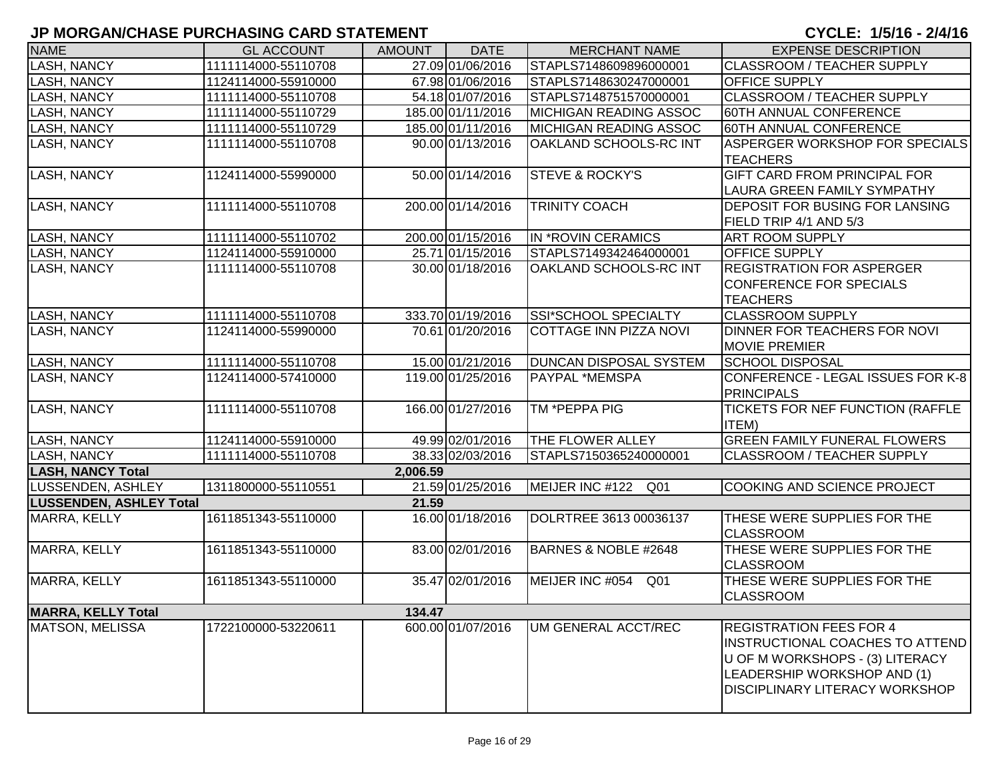| <b>NAME</b>                    | <b>GL ACCOUNT</b>   | <b>AMOUNT</b> | <b>DATE</b>       | <b>MERCHANT NAME</b>          | <b>EXPENSE DESCRIPTION</b>             |
|--------------------------------|---------------------|---------------|-------------------|-------------------------------|----------------------------------------|
| LASH, NANCY                    | 1111114000-55110708 |               | 27.09 01/06/2016  | STAPLS7148609896000001        | CLASSROOM / TEACHER SUPPLY             |
| LASH, NANCY                    | 1124114000-55910000 |               | 67.98 01/06/2016  | STAPLS7148630247000001        | <b>OFFICE SUPPLY</b>                   |
| <b>LASH, NANCY</b>             | 1111114000-55110708 |               | 54.18 01/07/2016  | STAPLS7148751570000001        | <b>CLASSROOM / TEACHER SUPPLY</b>      |
| <b>LASH, NANCY</b>             | 1111114000-55110729 |               | 185.00 01/11/2016 | <b>MICHIGAN READING ASSOC</b> | 60TH ANNUAL CONFERENCE                 |
| LASH, NANCY                    | 1111114000-55110729 |               | 185.00 01/11/2016 | <b>MICHIGAN READING ASSOC</b> | 60TH ANNUAL CONFERENCE                 |
| LASH, NANCY                    | 1111114000-55110708 |               | 90.00 01/13/2016  | OAKLAND SCHOOLS-RC INT        | ASPERGER WORKSHOP FOR SPECIALS         |
|                                |                     |               |                   |                               | <b>TEACHERS</b>                        |
| <b>LASH, NANCY</b>             | 1124114000-55990000 |               | 50.00 01/14/2016  | <b>STEVE &amp; ROCKY'S</b>    | <b>GIFT CARD FROM PRINCIPAL FOR</b>    |
|                                |                     |               |                   |                               | <b>LAURA GREEN FAMILY SYMPATHY</b>     |
| <b>LASH, NANCY</b>             | 1111114000-55110708 |               | 200.00 01/14/2016 | <b>TRINITY COACH</b>          | <b>DEPOSIT FOR BUSING FOR LANSING</b>  |
|                                |                     |               |                   |                               | FIELD TRIP 4/1 AND 5/3                 |
| <b>LASH, NANCY</b>             | 1111114000-55110702 |               | 200.00 01/15/2016 | IN *ROVIN CERAMICS            | <b>ART ROOM SUPPLY</b>                 |
| <b>LASH, NANCY</b>             | 1124114000-55910000 |               | 25.71 01/15/2016  | STAPLS7149342464000001        | <b>OFFICE SUPPLY</b>                   |
| <b>LASH, NANCY</b>             | 1111114000-55110708 |               | 30.00 01/18/2016  | OAKLAND SCHOOLS-RC INT        | <b>REGISTRATION FOR ASPERGER</b>       |
|                                |                     |               |                   |                               | <b>CONFERENCE FOR SPECIALS</b>         |
|                                |                     |               |                   |                               | <b>TEACHERS</b>                        |
| <b>LASH, NANCY</b>             | 1111114000-55110708 |               | 333.70 01/19/2016 | <b>SSI*SCHOOL SPECIALTY</b>   | <b>CLASSROOM SUPPLY</b>                |
| <b>LASH, NANCY</b>             | 1124114000-55990000 |               | 70.61 01/20/2016  | COTTAGE INN PIZZA NOVI        | DINNER FOR TEACHERS FOR NOVI           |
|                                |                     |               |                   |                               | <b>MOVIE PREMIER</b>                   |
| <b>LASH, NANCY</b>             | 1111114000-55110708 |               | 15.00 01/21/2016  | DUNCAN DISPOSAL SYSTEM        | <b>SCHOOL DISPOSAL</b>                 |
| <b>LASH, NANCY</b>             | 1124114000-57410000 |               | 119.00 01/25/2016 | PAYPAL *MEMSPA                | CONFERENCE - LEGAL ISSUES FOR K-8      |
|                                |                     |               |                   |                               | <b>PRINCIPALS</b>                      |
| <b>LASH, NANCY</b>             | 1111114000-55110708 |               | 166.00 01/27/2016 | TM *PEPPA PIG                 | TICKETS FOR NEF FUNCTION (RAFFLE       |
|                                |                     |               |                   |                               | <b>ITEM)</b>                           |
| <b>LASH, NANCY</b>             | 1124114000-55910000 |               | 49.99 02/01/2016  | THE FLOWER ALLEY              | <b>GREEN FAMILY FUNERAL FLOWERS</b>    |
| <b>LASH, NANCY</b>             | 1111114000-55110708 |               | 38.33 02/03/2016  | STAPLS7150365240000001        | CLASSROOM / TEACHER SUPPLY             |
| <b>LASH, NANCY Total</b>       |                     | 2,006.59      |                   |                               |                                        |
| LUSSENDEN, ASHLEY              | 1311800000-55110551 |               | 21.59 01/25/2016  | MEIJER INC #122<br>Q01        | COOKING AND SCIENCE PROJECT            |
| <b>LUSSENDEN, ASHLEY Total</b> |                     | 21.59         |                   |                               |                                        |
| MARRA, KELLY                   | 1611851343-55110000 |               | 16.00 01/18/2016  | DOLRTREE 3613 00036137        | THESE WERE SUPPLIES FOR THE            |
|                                |                     |               |                   |                               | <b>CLASSROOM</b>                       |
| MARRA, KELLY                   | 1611851343-55110000 |               | 83.00 02/01/2016  | BARNES & NOBLE #2648          | THESE WERE SUPPLIES FOR THE            |
|                                |                     |               |                   |                               | <b>CLASSROOM</b>                       |
| MARRA, KELLY                   | 1611851343-55110000 |               | 35.47 02/01/2016  | MEIJER INC #054<br>Q01        | THESE WERE SUPPLIES FOR THE            |
|                                |                     |               |                   |                               | <b>CLASSROOM</b>                       |
| <b>MARRA, KELLY Total</b>      |                     | 134.47        |                   |                               |                                        |
| <b>MATSON, MELISSA</b>         | 1722100000-53220611 |               | 600.00 01/07/2016 | UM GENERAL ACCT/REC           | <b>REGISTRATION FEES FOR 4</b>         |
|                                |                     |               |                   |                               | <b>INSTRUCTIONAL COACHES TO ATTEND</b> |
|                                |                     |               |                   |                               | U OF M WORKSHOPS - (3) LITERACY        |
|                                |                     |               |                   |                               | LEADERSHIP WORKSHOP AND (1)            |
|                                |                     |               |                   |                               | <b>DISCIPLINARY LITERACY WORKSHOP</b>  |
|                                |                     |               |                   |                               |                                        |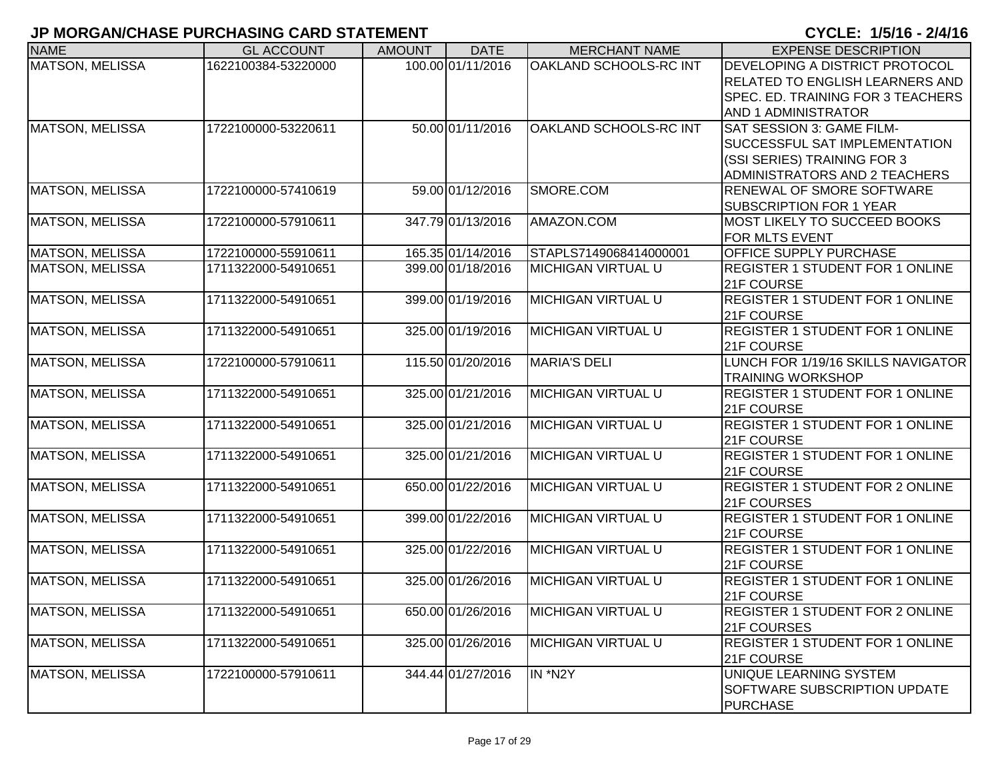| <b>NAME</b>            | <b>GL ACCOUNT</b>   | <b>AMOUNT</b> | <b>DATE</b>       | <b>MERCHANT NAME</b>      | <b>EXPENSE DESCRIPTION</b>             |
|------------------------|---------------------|---------------|-------------------|---------------------------|----------------------------------------|
| <b>MATSON, MELISSA</b> | 1622100384-53220000 |               | 100.00 01/11/2016 | OAKLAND SCHOOLS-RC INT    | DEVELOPING A DISTRICT PROTOCOL         |
|                        |                     |               |                   |                           | <b>RELATED TO ENGLISH LEARNERS AND</b> |
|                        |                     |               |                   |                           | SPEC. ED. TRAINING FOR 3 TEACHERS      |
|                        |                     |               |                   |                           | <b>AND 1 ADMINISTRATOR</b>             |
| <b>MATSON, MELISSA</b> | 1722100000-53220611 |               | 50.00 01/11/2016  | OAKLAND SCHOOLS-RC INT    | SAT SESSION 3: GAME FILM-              |
|                        |                     |               |                   |                           | SUCCESSFUL SAT IMPLEMENTATION          |
|                        |                     |               |                   |                           | (SSI SERIES) TRAINING FOR 3            |
|                        |                     |               |                   |                           | ADMINISTRATORS AND 2 TEACHERS          |
| <b>MATSON, MELISSA</b> | 1722100000-57410619 |               | 59.00 01/12/2016  | SMORE.COM                 | RENEWAL OF SMORE SOFTWARE              |
|                        |                     |               |                   |                           | <b>SUBSCRIPTION FOR 1 YEAR</b>         |
| <b>MATSON, MELISSA</b> | 1722100000-57910611 |               | 347.79 01/13/2016 | AMAZON.COM                | MOST LIKELY TO SUCCEED BOOKS           |
|                        |                     |               |                   |                           | FOR MLTS EVENT                         |
| <b>MATSON, MELISSA</b> | 1722100000-55910611 |               | 165.35 01/14/2016 | STAPLS7149068414000001    | OFFICE SUPPLY PURCHASE                 |
| <b>MATSON, MELISSA</b> | 1711322000-54910651 |               | 399.00 01/18/2016 | <b>MICHIGAN VIRTUAL U</b> | <b>REGISTER 1 STUDENT FOR 1 ONLINE</b> |
|                        |                     |               |                   |                           | 21F COURSE                             |
| <b>MATSON, MELISSA</b> | 1711322000-54910651 |               | 399.00 01/19/2016 | <b>MICHIGAN VIRTUAL U</b> | REGISTER 1 STUDENT FOR 1 ONLINE        |
|                        |                     |               |                   |                           | 21F COURSE                             |
| <b>MATSON, MELISSA</b> | 1711322000-54910651 |               | 325.00 01/19/2016 | <b>MICHIGAN VIRTUAL U</b> | <b>REGISTER 1 STUDENT FOR 1 ONLINE</b> |
|                        |                     |               |                   |                           | 21F COURSE                             |
| <b>MATSON, MELISSA</b> | 1722100000-57910611 |               | 115.50 01/20/2016 | MARIA'S DELI              | LUNCH FOR 1/19/16 SKILLS NAVIGATOR     |
|                        |                     |               |                   |                           | <b>TRAINING WORKSHOP</b>               |
| <b>MATSON, MELISSA</b> | 1711322000-54910651 |               | 325.00 01/21/2016 | <b>MICHIGAN VIRTUAL U</b> | <b>REGISTER 1 STUDENT FOR 1 ONLINE</b> |
|                        |                     |               |                   |                           | 21F COURSE                             |
| <b>MATSON, MELISSA</b> | 1711322000-54910651 |               | 325.00 01/21/2016 | <b>MICHIGAN VIRTUAL U</b> | <b>REGISTER 1 STUDENT FOR 1 ONLINE</b> |
|                        |                     |               |                   |                           | 21F COURSE                             |
| <b>MATSON, MELISSA</b> | 1711322000-54910651 |               | 325.00 01/21/2016 | <b>MICHIGAN VIRTUAL U</b> | <b>REGISTER 1 STUDENT FOR 1 ONLINE</b> |
|                        |                     |               |                   |                           | 21F COURSE                             |
| <b>MATSON, MELISSA</b> | 1711322000-54910651 |               | 650.00 01/22/2016 | <b>MICHIGAN VIRTUAL U</b> | <b>REGISTER 1 STUDENT FOR 2 ONLINE</b> |
|                        |                     |               |                   |                           | 21F COURSES                            |
| <b>MATSON, MELISSA</b> | 1711322000-54910651 |               | 399.00 01/22/2016 | <b>MICHIGAN VIRTUAL U</b> | <b>REGISTER 1 STUDENT FOR 1 ONLINE</b> |
|                        |                     |               |                   |                           | 21F COURSE                             |
| <b>MATSON, MELISSA</b> | 1711322000-54910651 |               | 325.00 01/22/2016 | <b>MICHIGAN VIRTUAL U</b> | <b>REGISTER 1 STUDENT FOR 1 ONLINE</b> |
|                        |                     |               |                   |                           | 21F COURSE                             |
| MATSON, MELISSA        | 1711322000-54910651 |               | 325.00 01/26/2016 | <b>MICHIGAN VIRTUAL U</b> | <b>REGISTER 1 STUDENT FOR 1 ONLINE</b> |
|                        |                     |               |                   |                           | 21F COURSE                             |
| <b>MATSON, MELISSA</b> | 1711322000-54910651 |               | 650.00 01/26/2016 | <b>MICHIGAN VIRTUAL U</b> | <b>REGISTER 1 STUDENT FOR 2 ONLINE</b> |
|                        |                     |               |                   |                           | 21F COURSES                            |
| MATSON, MELISSA        | 1711322000-54910651 |               | 325.00 01/26/2016 | MICHIGAN VIRTUAL U        | <b>REGISTER 1 STUDENT FOR 1 ONLINE</b> |
|                        |                     |               |                   |                           | 21F COURSE                             |
| <b>MATSON, MELISSA</b> | 1722100000-57910611 |               | 344.44 01/27/2016 | IN *N2Y                   | UNIQUE LEARNING SYSTEM                 |
|                        |                     |               |                   |                           | SOFTWARE SUBSCRIPTION UPDATE           |
|                        |                     |               |                   |                           | <b>PURCHASE</b>                        |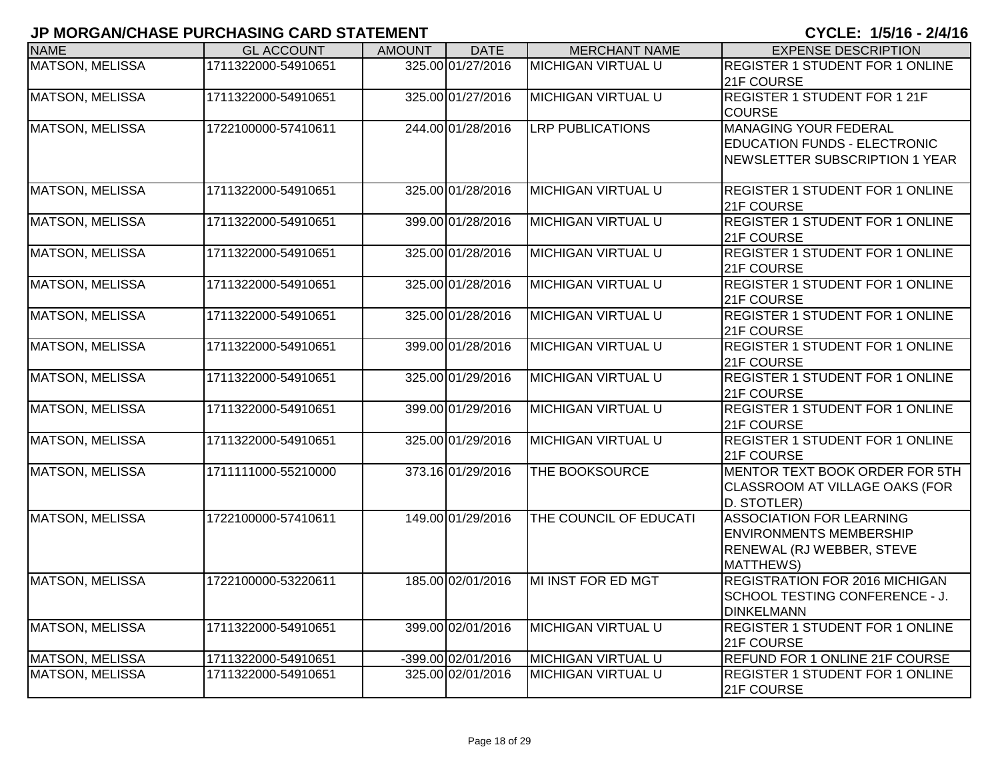| <b>NAME</b>            | <b>GL ACCOUNT</b>   | <b>AMOUNT</b> | <b>DATE</b>        | <b>MERCHANT NAME</b>      | <b>EXPENSE DESCRIPTION</b>                                                                                         |
|------------------------|---------------------|---------------|--------------------|---------------------------|--------------------------------------------------------------------------------------------------------------------|
| <b>MATSON, MELISSA</b> | 1711322000-54910651 |               | 325.00 01/27/2016  | <b>MICHIGAN VIRTUAL U</b> | REGISTER 1 STUDENT FOR 1 ONLINE<br>21F COURSE                                                                      |
| <b>MATSON, MELISSA</b> | 1711322000-54910651 |               | 325.00 01/27/2016  | <b>MICHIGAN VIRTUAL U</b> | <b>REGISTER 1 STUDENT FOR 1 21F</b><br><b>COURSE</b>                                                               |
| <b>MATSON, MELISSA</b> | 1722100000-57410611 |               | 244.00 01/28/2016  | <b>LRP PUBLICATIONS</b>   | MANAGING YOUR FEDERAL<br><b>EDUCATION FUNDS - ELECTRONIC</b><br>NEWSLETTER SUBSCRIPTION 1 YEAR                     |
| <b>MATSON, MELISSA</b> | 1711322000-54910651 |               | 325.00 01/28/2016  | <b>MICHIGAN VIRTUAL U</b> | <b>REGISTER 1 STUDENT FOR 1 ONLINE</b><br>21F COURSE                                                               |
| <b>MATSON, MELISSA</b> | 1711322000-54910651 |               | 399.00 01/28/2016  | <b>MICHIGAN VIRTUAL U</b> | <b>REGISTER 1 STUDENT FOR 1 ONLINE</b><br>21F COURSE                                                               |
| <b>MATSON, MELISSA</b> | 1711322000-54910651 |               | 325.00 01/28/2016  | <b>MICHIGAN VIRTUAL U</b> | <b>REGISTER 1 STUDENT FOR 1 ONLINE</b><br>21F COURSE                                                               |
| <b>MATSON, MELISSA</b> | 1711322000-54910651 |               | 325.00 01/28/2016  | <b>MICHIGAN VIRTUAL U</b> | <b>REGISTER 1 STUDENT FOR 1 ONLINE</b><br>21F COURSE                                                               |
| <b>MATSON, MELISSA</b> | 1711322000-54910651 |               | 325.00 01/28/2016  | <b>MICHIGAN VIRTUAL U</b> | <b>REGISTER 1 STUDENT FOR 1 ONLINE</b><br>21F COURSE                                                               |
| <b>MATSON, MELISSA</b> | 1711322000-54910651 |               | 399.00 01/28/2016  | <b>MICHIGAN VIRTUAL U</b> | <b>REGISTER 1 STUDENT FOR 1 ONLINE</b><br>21F COURSE                                                               |
| <b>MATSON, MELISSA</b> | 1711322000-54910651 |               | 325.00 01/29/2016  | <b>MICHIGAN VIRTUAL U</b> | <b>REGISTER 1 STUDENT FOR 1 ONLINE</b><br>21F COURSE                                                               |
| <b>MATSON, MELISSA</b> | 1711322000-54910651 |               | 399.00 01/29/2016  | <b>MICHIGAN VIRTUAL U</b> | REGISTER 1 STUDENT FOR 1 ONLINE<br>21F COURSE                                                                      |
| <b>MATSON, MELISSA</b> | 1711322000-54910651 |               | 325.00 01/29/2016  | <b>MICHIGAN VIRTUAL U</b> | <b>REGISTER 1 STUDENT FOR 1 ONLINE</b><br>21F COURSE                                                               |
| <b>MATSON, MELISSA</b> | 1711111000-55210000 |               | 373.16 01/29/2016  | THE BOOKSOURCE            | MENTOR TEXT BOOK ORDER FOR 5TH<br>CLASSROOM AT VILLAGE OAKS (FOR<br>D. STOTLER)                                    |
| <b>MATSON, MELISSA</b> | 1722100000-57410611 |               | 149.00 01/29/2016  | THE COUNCIL OF EDUCATI    | <b>ASSOCIATION FOR LEARNING</b><br><b>ENVIRONMENTS MEMBERSHIP</b><br><b>RENEWAL (RJ WEBBER, STEVE</b><br>MATTHEWS) |
| <b>MATSON, MELISSA</b> | 1722100000-53220611 |               | 185.00 02/01/2016  | MI INST FOR ED MGT        | <b>REGISTRATION FOR 2016 MICHIGAN</b><br>SCHOOL TESTING CONFERENCE - J.<br><b>DINKELMANN</b>                       |
| <b>MATSON, MELISSA</b> | 1711322000-54910651 |               | 399.00 02/01/2016  | <b>MICHIGAN VIRTUAL U</b> | <b>REGISTER 1 STUDENT FOR 1 ONLINE</b><br>21F COURSE                                                               |
| <b>MATSON, MELISSA</b> | 1711322000-54910651 |               | -399.00 02/01/2016 | <b>MICHIGAN VIRTUAL U</b> | REFUND FOR 1 ONLINE 21F COURSE                                                                                     |
| <b>MATSON, MELISSA</b> | 1711322000-54910651 |               | 325.00 02/01/2016  | <b>MICHIGAN VIRTUAL U</b> | <b>REGISTER 1 STUDENT FOR 1 ONLINE</b><br>21F COURSE                                                               |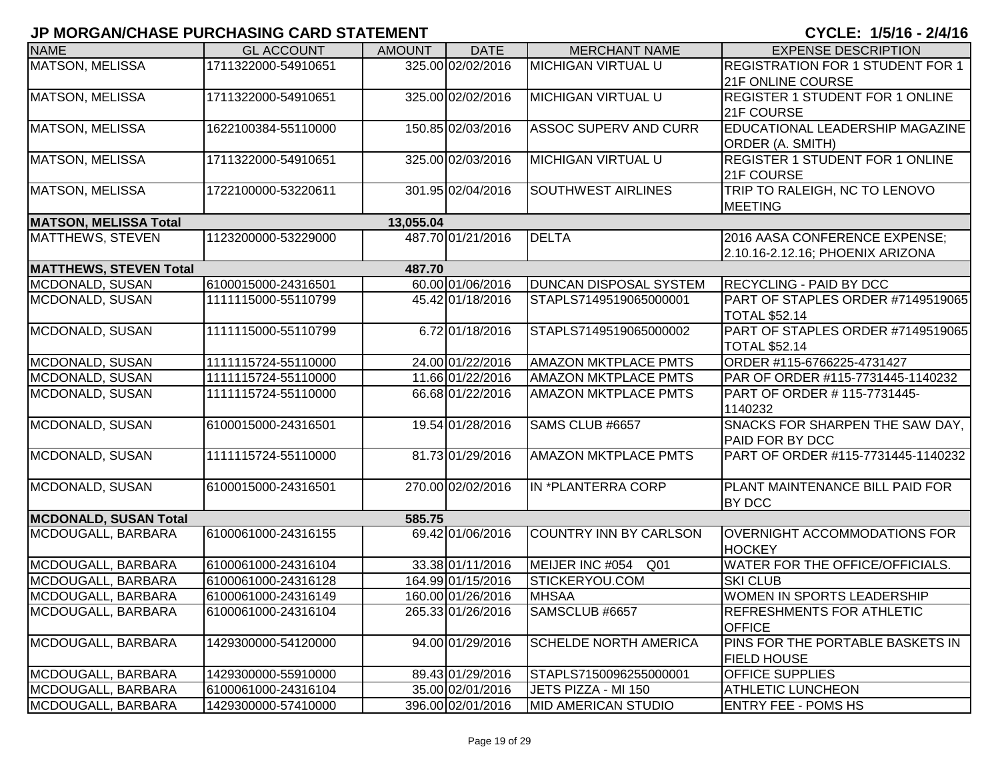| <b>NAME</b>                   | <b>GL ACCOUNT</b>   | <b>AMOUNT</b> | <b>DATE</b>       | <b>MERCHANT NAME</b>               | <b>EXPENSE DESCRIPTION</b>                                        |
|-------------------------------|---------------------|---------------|-------------------|------------------------------------|-------------------------------------------------------------------|
| <b>MATSON, MELISSA</b>        | 1711322000-54910651 |               | 325.00 02/02/2016 | <b>MICHIGAN VIRTUAL U</b>          | REGISTRATION FOR 1 STUDENT FOR 1<br>21F ONLINE COURSE             |
| <b>MATSON, MELISSA</b>        | 1711322000-54910651 |               | 325.00 02/02/2016 | <b>MICHIGAN VIRTUAL U</b>          | <b>REGISTER 1 STUDENT FOR 1 ONLINE</b><br>21F COURSE              |
| MATSON, MELISSA               | 1622100384-55110000 |               | 150.85 02/03/2016 | <b>ASSOC SUPERV AND CURR</b>       | EDUCATIONAL LEADERSHIP MAGAZINE<br>ORDER (A. SMITH)               |
| <b>MATSON, MELISSA</b>        | 1711322000-54910651 |               | 325.00 02/03/2016 | <b>MICHIGAN VIRTUAL U</b>          | <b>REGISTER 1 STUDENT FOR 1 ONLINE</b><br>21F COURSE              |
| <b>MATSON, MELISSA</b>        | 1722100000-53220611 |               | 301.95 02/04/2016 | <b>SOUTHWEST AIRLINES</b>          | TRIP TO RALEIGH, NC TO LENOVO<br><b>MEETING</b>                   |
| <b>MATSON, MELISSA Total</b>  |                     | 13,055.04     |                   |                                    |                                                                   |
| <b>MATTHEWS, STEVEN</b>       | 1123200000-53229000 |               | 487.70 01/21/2016 | <b>DELTA</b>                       | 2016 AASA CONFERENCE EXPENSE;<br>2.10.16-2.12.16; PHOENIX ARIZONA |
| <b>MATTHEWS, STEVEN Total</b> |                     | 487.70        |                   |                                    |                                                                   |
| MCDONALD, SUSAN               | 6100015000-24316501 |               | 60.00 01/06/2016  | <b>DUNCAN DISPOSAL SYSTEM</b>      | <b>RECYCLING - PAID BY DCC</b>                                    |
| MCDONALD, SUSAN               | 1111115000-55110799 |               | 45.42 01/18/2016  | STAPLS7149519065000001             | PART OF STAPLES ORDER #7149519065<br><b>TOTAL \$52.14</b>         |
| MCDONALD, SUSAN               | 1111115000-55110799 |               | 6.72 01/18/2016   | STAPLS7149519065000002             | PART OF STAPLES ORDER #7149519065<br><b>TOTAL \$52.14</b>         |
| MCDONALD, SUSAN               | 1111115724-55110000 |               | 24.00 01/22/2016  | <b>AMAZON MKTPLACE PMTS</b>        | ORDER #115-6766225-4731427                                        |
| MCDONALD, SUSAN               | 1111115724-55110000 |               | 11.66 01/22/2016  | <b>AMAZON MKTPLACE PMTS</b>        | PAR OF ORDER #115-7731445-1140232                                 |
| MCDONALD, SUSAN               | 1111115724-55110000 |               | 66.68 01/22/2016  | <b>AMAZON MKTPLACE PMTS</b>        | PART OF ORDER #115-7731445-<br>1140232                            |
| MCDONALD, SUSAN               | 6100015000-24316501 |               | 19.54 01/28/2016  | SAMS CLUB #6657                    | SNACKS FOR SHARPEN THE SAW DAY,<br>PAID FOR BY DCC                |
| MCDONALD, SUSAN               | 1111115724-55110000 |               | 81.73 01/29/2016  | <b>AMAZON MKTPLACE PMTS</b>        | PART OF ORDER #115-7731445-1140232                                |
| MCDONALD, SUSAN               | 6100015000-24316501 |               | 270.00 02/02/2016 | IN *PLANTERRA CORP                 | PLANT MAINTENANCE BILL PAID FOR<br><b>BY DCC</b>                  |
| <b>MCDONALD, SUSAN Total</b>  |                     | 585.75        |                   |                                    |                                                                   |
| MCDOUGALL, BARBARA            | 6100061000-24316155 |               | 69.42 01/06/2016  | COUNTRY INN BY CARLSON             | <b>OVERNIGHT ACCOMMODATIONS FOR</b><br><b>HOCKEY</b>              |
| MCDOUGALL, BARBARA            | 6100061000-24316104 |               | 33.38 01/11/2016  | MEIJER INC #054<br>Q <sub>01</sub> | WATER FOR THE OFFICE/OFFICIALS.                                   |
| MCDOUGALL, BARBARA            | 6100061000-24316128 |               | 164.99 01/15/2016 | STICKERYOU.COM                     | <b>SKI CLUB</b>                                                   |
| MCDOUGALL, BARBARA            | 6100061000-24316149 |               | 160.00 01/26/2016 | <b>MHSAA</b>                       | WOMEN IN SPORTS LEADERSHIP                                        |
| MCDOUGALL, BARBARA            | 6100061000-24316104 |               | 265.33 01/26/2016 | SAMSCLUB #6657                     | <b>REFRESHMENTS FOR ATHLETIC</b><br><b>OFFICE</b>                 |
| MCDOUGALL, BARBARA            | 1429300000-54120000 |               | 94.00 01/29/2016  | <b>SCHELDE NORTH AMERICA</b>       | PINS FOR THE PORTABLE BASKETS IN<br><b>FIELD HOUSE</b>            |
| MCDOUGALL, BARBARA            | 1429300000-55910000 |               | 89.43 01/29/2016  | STAPLS7150096255000001             | <b>OFFICE SUPPLIES</b>                                            |
| MCDOUGALL, BARBARA            | 6100061000-24316104 |               | 35.00 02/01/2016  | JETS PIZZA - MI 150                | <b>ATHLETIC LUNCHEON</b>                                          |
| MCDOUGALL, BARBARA            | 1429300000-57410000 |               | 396.00 02/01/2016 | <b>MID AMERICAN STUDIO</b>         | <b>ENTRY FEE - POMS HS</b>                                        |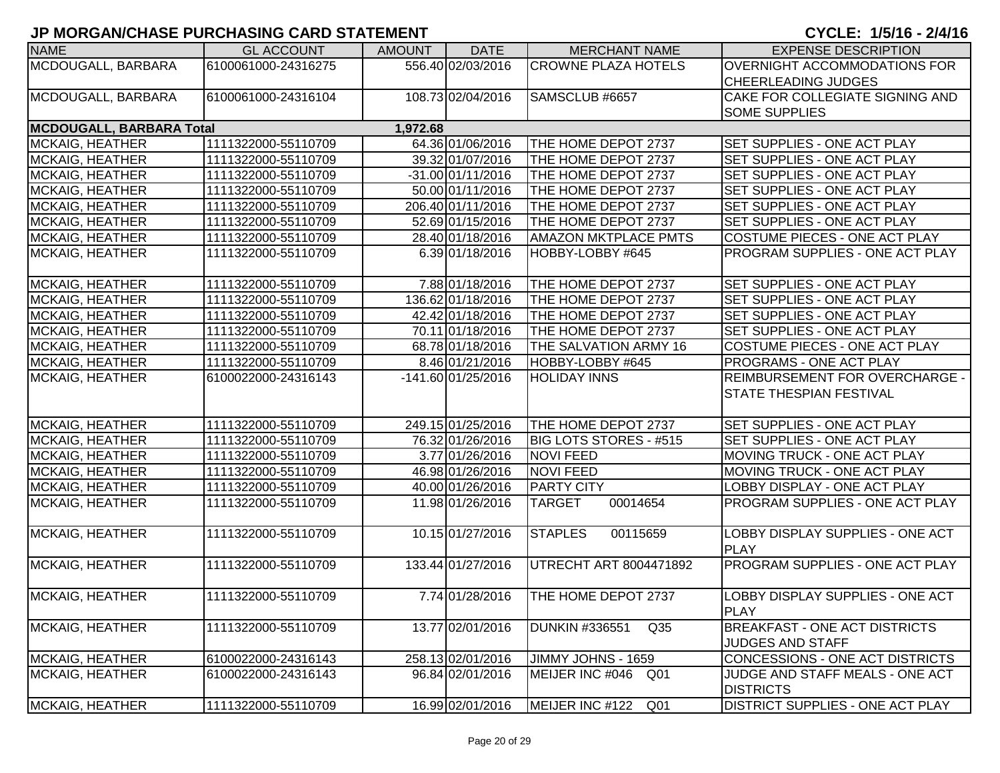| <b>NAME</b>                     | <b>GL ACCOUNT</b>   | <b>AMOUNT</b> | <b>DATE</b>        | <b>MERCHANT NAME</b>               | <b>EXPENSE DESCRIPTION</b>              |
|---------------------------------|---------------------|---------------|--------------------|------------------------------------|-----------------------------------------|
| MCDOUGALL, BARBARA              | 6100061000-24316275 |               | 556.40 02/03/2016  | <b>CROWNE PLAZA HOTELS</b>         | <b>OVERNIGHT ACCOMMODATIONS FOR</b>     |
|                                 |                     |               |                    |                                    | <b>CHEERLEADING JUDGES</b>              |
| MCDOUGALL, BARBARA              | 6100061000-24316104 |               | 108.73 02/04/2016  | SAMSCLUB #6657                     | <b>CAKE FOR COLLEGIATE SIGNING AND</b>  |
|                                 |                     |               |                    |                                    | <b>SOME SUPPLIES</b>                    |
| <b>MCDOUGALL, BARBARA Total</b> |                     | 1,972.68      |                    |                                    |                                         |
| <b>MCKAIG, HEATHER</b>          | 1111322000-55110709 |               | 64.36 01/06/2016   | THE HOME DEPOT 2737                | SET SUPPLIES - ONE ACT PLAY             |
| <b>MCKAIG, HEATHER</b>          | 1111322000-55110709 |               | 39.32 01/07/2016   | THE HOME DEPOT 2737                | SET SUPPLIES - ONE ACT PLAY             |
| <b>MCKAIG, HEATHER</b>          | 1111322000-55110709 |               | -31.00 01/11/2016  | THE HOME DEPOT 2737                | SET SUPPLIES - ONE ACT PLAY             |
| <b>MCKAIG, HEATHER</b>          | 1111322000-55110709 |               | 50.00 01/11/2016   | THE HOME DEPOT 2737                | SET SUPPLIES - ONE ACT PLAY             |
| <b>MCKAIG, HEATHER</b>          | 1111322000-55110709 |               | 206.40 01/11/2016  | THE HOME DEPOT 2737                | SET SUPPLIES - ONE ACT PLAY             |
| MCKAIG, HEATHER                 | 1111322000-55110709 |               | 52.69 01/15/2016   | THE HOME DEPOT 2737                | SET SUPPLIES - ONE ACT PLAY             |
| <b>MCKAIG, HEATHER</b>          | 1111322000-55110709 |               | 28.40 01/18/2016   | <b>AMAZON MKTPLACE PMTS</b>        | COSTUME PIECES - ONE ACT PLAY           |
| <b>MCKAIG, HEATHER</b>          | 1111322000-55110709 |               | 6.39 01/18/2016    | HOBBY-LOBBY #645                   | PROGRAM SUPPLIES - ONE ACT PLAY         |
| <b>MCKAIG, HEATHER</b>          | 1111322000-55110709 |               | 7.88 01/18/2016    | THE HOME DEPOT 2737                | SET SUPPLIES - ONE ACT PLAY             |
| <b>MCKAIG, HEATHER</b>          | 1111322000-55110709 |               | 136.62 01/18/2016  | THE HOME DEPOT 2737                | SET SUPPLIES - ONE ACT PLAY             |
| <b>MCKAIG, HEATHER</b>          | 1111322000-55110709 |               | 42.42 01/18/2016   | THE HOME DEPOT 2737                | SET SUPPLIES - ONE ACT PLAY             |
| <b>MCKAIG, HEATHER</b>          | 1111322000-55110709 |               | 70.11 01/18/2016   | THE HOME DEPOT 2737                | <b>SET SUPPLIES - ONE ACT PLAY</b>      |
| <b>MCKAIG, HEATHER</b>          | 1111322000-55110709 |               | 68.78 01/18/2016   | <b>THE SALVATION ARMY 16</b>       | <b>COSTUME PIECES - ONE ACT PLAY</b>    |
| <b>MCKAIG, HEATHER</b>          | 1111322000-55110709 |               | 8.46 01/21/2016    | HOBBY-LOBBY #645                   | <b>PROGRAMS - ONE ACT PLAY</b>          |
| <b>MCKAIG, HEATHER</b>          | 6100022000-24316143 |               | -141.60 01/25/2016 | <b>HOLIDAY INNS</b>                | <b>REIMBURSEMENT FOR OVERCHARGE -</b>   |
|                                 |                     |               |                    |                                    | <b>STATE THESPIAN FESTIVAL</b>          |
|                                 |                     |               |                    |                                    |                                         |
| <b>MCKAIG, HEATHER</b>          | 1111322000-55110709 |               | 249.15 01/25/2016  | THE HOME DEPOT 2737                | SET SUPPLIES - ONE ACT PLAY             |
| <b>MCKAIG, HEATHER</b>          | 1111322000-55110709 |               | 76.32 01/26/2016   | <b>BIG LOTS STORES - #515</b>      | SET SUPPLIES - ONE ACT PLAY             |
| <b>MCKAIG, HEATHER</b>          | 1111322000-55110709 |               | 3.77 01/26/2016    | <b>NOVI FEED</b>                   | MOVING TRUCK - ONE ACT PLAY             |
| <b>MCKAIG, HEATHER</b>          | 1111322000-55110709 |               | 46.98 01/26/2016   | <b>NOVI FEED</b>                   | MOVING TRUCK - ONE ACT PLAY             |
| <b>MCKAIG, HEATHER</b>          | 1111322000-55110709 |               | 40.00 01/26/2016   | <b>PARTY CITY</b>                  | LOBBY DISPLAY - ONE ACT PLAY            |
| <b>MCKAIG, HEATHER</b>          | 1111322000-55110709 |               | 11.98 01/26/2016   | 00014654<br><b>TARGET</b>          | PROGRAM SUPPLIES - ONE ACT PLAY         |
| <b>MCKAIG, HEATHER</b>          | 1111322000-55110709 |               | 10.15 01/27/2016   | <b>STAPLES</b><br>00115659         | <b>LOBBY DISPLAY SUPPLIES - ONE ACT</b> |
|                                 |                     |               |                    |                                    | <b>PLAY</b>                             |
| <b>MCKAIG, HEATHER</b>          | 1111322000-55110709 |               | 133.44 01/27/2016  | UTRECHT ART 8004471892             | PROGRAM SUPPLIES - ONE ACT PLAY         |
|                                 |                     |               |                    |                                    |                                         |
| <b>MCKAIG, HEATHER</b>          | 1111322000-55110709 |               | 7.74 01/28/2016    | THE HOME DEPOT 2737                | LOBBY DISPLAY SUPPLIES - ONE ACT        |
|                                 |                     |               |                    |                                    | <b>PLAY</b>                             |
| <b>MCKAIG, HEATHER</b>          | 1111322000-55110709 |               | 13.77 02/01/2016   | Q35<br><b>DUNKIN #336551</b>       | <b>BREAKFAST - ONE ACT DISTRICTS</b>    |
|                                 |                     |               |                    |                                    | <b>JUDGES AND STAFF</b>                 |
| <b>MCKAIG, HEATHER</b>          | 6100022000-24316143 |               | 258.13 02/01/2016  | JIMMY JOHNS - 1659                 | CONCESSIONS - ONE ACT DISTRICTS         |
| <b>MCKAIG, HEATHER</b>          | 6100022000-24316143 |               | 96.84 02/01/2016   | MEIJER INC #046<br>Q01             | JUDGE AND STAFF MEALS - ONE ACT         |
|                                 |                     |               |                    |                                    | <b>DISTRICTS</b>                        |
| <b>MCKAIG, HEATHER</b>          | 1111322000-55110709 |               | 16.99 02/01/2016   | MEIJER INC #122<br>Q <sub>01</sub> | <b>DISTRICT SUPPLIES - ONE ACT PLAY</b> |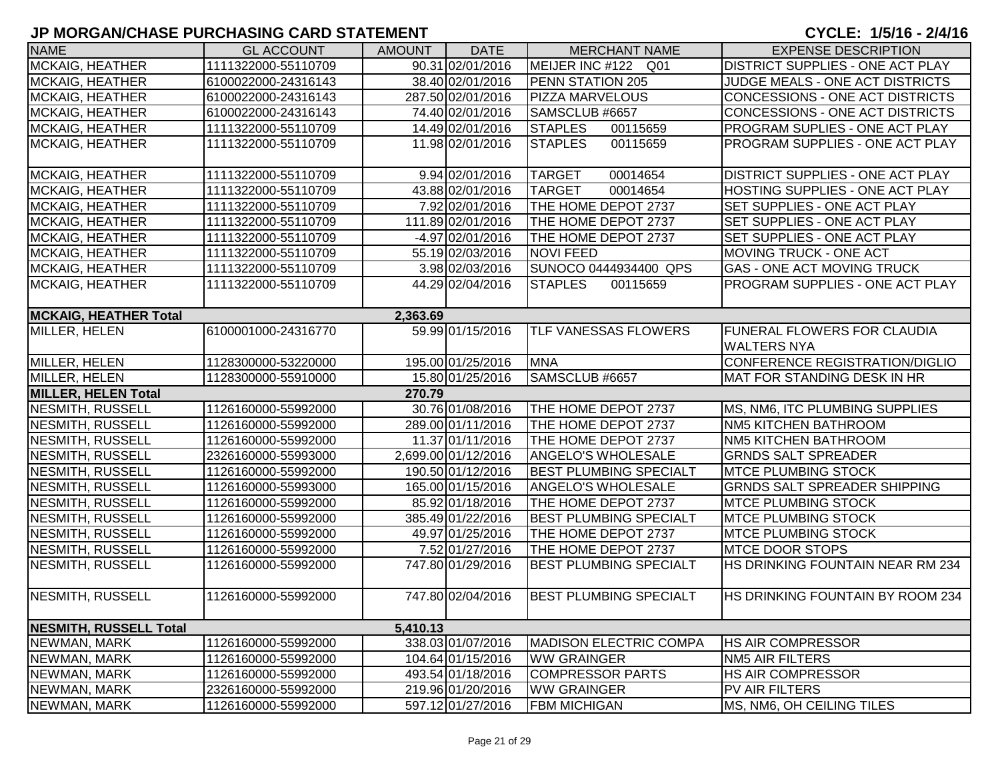| <b>NAME</b>                   | <b>GL ACCOUNT</b>   | <b>AMOUNT</b> | <b>DATE</b>         | <b>MERCHANT NAME</b>          | <b>EXPENSE DESCRIPTION</b>              |
|-------------------------------|---------------------|---------------|---------------------|-------------------------------|-----------------------------------------|
| <b>MCKAIG, HEATHER</b>        | 1111322000-55110709 |               | 90.31 02/01/2016    | MEIJER INC #122 Q01           | <b>DISTRICT SUPPLIES - ONE ACT PLAY</b> |
| <b>MCKAIG, HEATHER</b>        | 6100022000-24316143 |               | 38.40 02/01/2016    | PENN STATION 205              | JUDGE MEALS - ONE ACT DISTRICTS         |
| <b>MCKAIG, HEATHER</b>        | 6100022000-24316143 |               | 287.50 02/01/2016   | <b>PIZZA MARVELOUS</b>        | CONCESSIONS - ONE ACT DISTRICTS         |
| <b>MCKAIG, HEATHER</b>        | 6100022000-24316143 |               | 74.40 02/01/2016    | SAMSCLUB #6657                | CONCESSIONS - ONE ACT DISTRICTS         |
| MCKAIG, HEATHER               | 1111322000-55110709 |               | 14.49 02/01/2016    | <b>STAPLES</b><br>00115659    | <b>PROGRAM SUPLIES - ONE ACT PLAY</b>   |
| MCKAIG, HEATHER               | 1111322000-55110709 |               | 11.98 02/01/2016    | <b>STAPLES</b><br>00115659    | <b>PROGRAM SUPPLIES - ONE ACT PLAY</b>  |
|                               |                     |               |                     |                               |                                         |
| <b>MCKAIG, HEATHER</b>        | 1111322000-55110709 |               | 9.94 02/01/2016     | <b>TARGET</b><br>00014654     | <b>DISTRICT SUPPLIES - ONE ACT PLAY</b> |
| <b>MCKAIG, HEATHER</b>        | 1111322000-55110709 |               | 43.88 02/01/2016    | <b>TARGET</b><br>00014654     | HOSTING SUPPLIES - ONE ACT PLAY         |
| <b>MCKAIG, HEATHER</b>        | 1111322000-55110709 |               | 7.92 02/01/2016     | THE HOME DEPOT 2737           | <b>SET SUPPLIES - ONE ACT PLAY</b>      |
| <b>MCKAIG, HEATHER</b>        | 1111322000-55110709 |               | 111.89 02/01/2016   | THE HOME DEPOT 2737           | SET SUPPLIES - ONE ACT PLAY             |
| <b>MCKAIG, HEATHER</b>        | 1111322000-55110709 |               | $-4.97$ 02/01/2016  | THE HOME DEPOT 2737           | SET SUPPLIES - ONE ACT PLAY             |
| <b>MCKAIG, HEATHER</b>        | 1111322000-55110709 |               | 55.19 02/03/2016    | <b>NOVI FEED</b>              | <b>MOVING TRUCK - ONE ACT</b>           |
| <b>MCKAIG, HEATHER</b>        | 1111322000-55110709 |               | 3.98 02/03/2016     | SUNOCO 0444934400 QPS         | <b>GAS - ONE ACT MOVING TRUCK</b>       |
| <b>MCKAIG, HEATHER</b>        | 1111322000-55110709 |               | 44.29 02/04/2016    | <b>STAPLES</b><br>00115659    | <b>PROGRAM SUPPLIES - ONE ACT PLAY</b>  |
|                               |                     |               |                     |                               |                                         |
| <b>MCKAIG, HEATHER Total</b>  |                     | 2,363.69      |                     |                               |                                         |
| MILLER, HELEN                 | 6100001000-24316770 |               | 59.99 01/15/2016    | <b>TLF VANESSAS FLOWERS</b>   | <b>FUNERAL FLOWERS FOR CLAUDIA</b>      |
|                               |                     |               |                     |                               | <b>WALTERS NYA</b>                      |
| MILLER, HELEN                 | 1128300000-53220000 |               | 195.00 01/25/2016   | <b>MNA</b>                    | CONFERENCE REGISTRATION/DIGLIO          |
| MILLER, HELEN                 | 1128300000-55910000 |               | 15.80 01/25/2016    | SAMSCLUB #6657                | MAT FOR STANDING DESK IN HR             |
| <b>MILLER, HELEN Total</b>    |                     | 270.79        |                     |                               |                                         |
| <b>NESMITH, RUSSELL</b>       | 1126160000-55992000 |               | 30.76 01/08/2016    | THE HOME DEPOT 2737           | MS, NM6, ITC PLUMBING SUPPLIES          |
| <b>NESMITH, RUSSELL</b>       | 1126160000-55992000 |               | 289.00 01/11/2016   | THE HOME DEPOT 2737           | NM5 KITCHEN BATHROOM                    |
| <b>NESMITH, RUSSELL</b>       | 1126160000-55992000 |               | 11.37 01/11/2016    | THE HOME DEPOT 2737           | NM5 KITCHEN BATHROOM                    |
| <b>NESMITH, RUSSELL</b>       | 2326160000-55993000 |               | 2,699.00 01/12/2016 | <b>ANGELO'S WHOLESALE</b>     | <b>GRNDS SALT SPREADER</b>              |
| <b>NESMITH, RUSSELL</b>       | 1126160000-55992000 |               | 190.50 01/12/2016   | <b>BEST PLUMBING SPECIALT</b> | <b>IMTCE PLUMBING STOCK</b>             |
| <b>NESMITH, RUSSELL</b>       | 1126160000-55993000 |               | 165.00 01/15/2016   | <b>ANGELO'S WHOLESALE</b>     | <b>GRNDS SALT SPREADER SHIPPING</b>     |
| <b>NESMITH, RUSSELL</b>       | 1126160000-55992000 |               | 85.92 01/18/2016    | THE HOME DEPOT 2737           | <b>IMTCE PLUMBING STOCK</b>             |
| <b>NESMITH, RUSSELL</b>       | 1126160000-55992000 |               | 385.49 01/22/2016   | <b>BEST PLUMBING SPECIALT</b> | <b>MTCE PLUMBING STOCK</b>              |
| <b>NESMITH, RUSSELL</b>       | 1126160000-55992000 |               | 49.97 01/25/2016    | THE HOME DEPOT 2737           | <b>IMTCE PLUMBING STOCK</b>             |
| <b>NESMITH, RUSSELL</b>       | 1126160000-55992000 |               | 7.52 01/27/2016     | THE HOME DEPOT 2737           | <b>IMTCE DOOR STOPS</b>                 |
| <b>NESMITH, RUSSELL</b>       | 1126160000-55992000 |               | 747.80 01/29/2016   | <b>BEST PLUMBING SPECIALT</b> | HS DRINKING FOUNTAIN NEAR RM 234        |
|                               |                     |               |                     |                               |                                         |
| NESMITH, RUSSELL              | 1126160000-55992000 |               | 747.80 02/04/2016   | <b>BEST PLUMBING SPECIALT</b> | IHS DRINKING FOUNTAIN BY ROOM 234       |
|                               |                     |               |                     |                               |                                         |
| <b>NESMITH, RUSSELL Total</b> |                     | 5,410.13      |                     |                               |                                         |
| NEWMAN, MARK                  | 1126160000-55992000 |               | 338.03 01/07/2016   | <b>MADISON ELECTRIC COMPA</b> | <b>HS AIR COMPRESSOR</b>                |
| NEWMAN, MARK                  | 1126160000-55992000 |               | 104.64 01/15/2016   | <b>WW GRAINGER</b>            | <b>NM5 AIR FILTERS</b>                  |
| NEWMAN, MARK                  | 1126160000-55992000 |               | 493.54 01/18/2016   | <b>COMPRESSOR PARTS</b>       | <b>HS AIR COMPRESSOR</b>                |
| NEWMAN, MARK                  | 2326160000-55992000 |               | 219.96 01/20/2016   | <b>WW GRAINGER</b>            | PV AIR FILTERS                          |
| NEWMAN, MARK                  | 1126160000-55992000 |               | 597.12 01/27/2016   | <b>FBM MICHIGAN</b>           | MS, NM6, OH CEILING TILES               |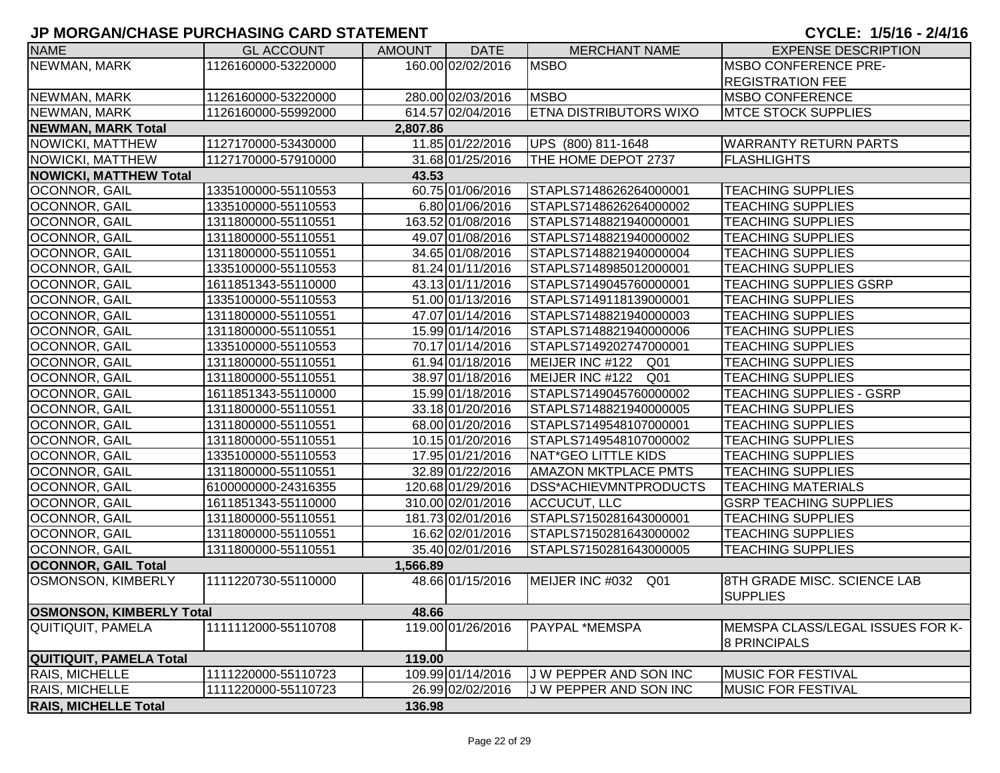| <b>NAME</b>                     | <b>GL ACCOUNT</b>   | <b>AMOUNT</b> | <b>DATE</b>       | <b>MERCHANT NAME</b>          | <b>EXPENSE DESCRIPTION</b>                              |
|---------------------------------|---------------------|---------------|-------------------|-------------------------------|---------------------------------------------------------|
| NEWMAN, MARK                    | 1126160000-53220000 |               | 160.00 02/02/2016 | <b>MSBO</b>                   | <b>IMSBO CONFERENCE PRE-</b>                            |
|                                 |                     |               |                   |                               | <b>REGISTRATION FEE</b>                                 |
| NEWMAN, MARK                    | 1126160000-53220000 |               | 280.00 02/03/2016 | <b>MSBO</b>                   | <b>MSBO CONFERENCE</b>                                  |
| NEWMAN, MARK                    | 1126160000-55992000 |               | 614.57 02/04/2016 | <b>ETNA DISTRIBUTORS WIXO</b> | <b>IMTCE STOCK SUPPLIES</b>                             |
| <b>NEWMAN, MARK Total</b>       |                     | 2,807.86      |                   |                               |                                                         |
| <b>NOWICKI, MATTHEW</b>         | 1127170000-53430000 |               | 11.85 01/22/2016  | UPS (800) 811-1648            | <b>WARRANTY RETURN PARTS</b>                            |
| NOWICKI, MATTHEW                | 1127170000-57910000 |               | 31.68 01/25/2016  | THE HOME DEPOT 2737           | <b>FLASHLIGHTS</b>                                      |
| <b>NOWICKI, MATTHEW Total</b>   |                     | 43.53         |                   |                               |                                                         |
| OCONNOR, GAIL                   | 1335100000-55110553 |               | 60.75 01/06/2016  | STAPLS7148626264000001        | <b>TEACHING SUPPLIES</b>                                |
| OCONNOR, GAIL                   | 1335100000-55110553 |               | 6.80 01/06/2016   | STAPLS7148626264000002        | <b>TEACHING SUPPLIES</b>                                |
| OCONNOR, GAIL                   | 1311800000-55110551 |               | 163.52 01/08/2016 | STAPLS7148821940000001        | <b>TEACHING SUPPLIES</b>                                |
| OCONNOR, GAIL                   | 1311800000-55110551 |               | 49.07 01/08/2016  | STAPLS7148821940000002        | <b>TEACHING SUPPLIES</b>                                |
| OCONNOR, GAIL                   | 1311800000-55110551 |               | 34.65 01/08/2016  | STAPLS7148821940000004        | <b>TEACHING SUPPLIES</b>                                |
| <b>OCONNOR, GAIL</b>            | 1335100000-55110553 |               | 81.24 01/11/2016  | STAPLS7148985012000001        | <b>TEACHING SUPPLIES</b>                                |
| OCONNOR, GAIL                   | 1611851343-55110000 |               | 43.13 01/11/2016  | STAPLS7149045760000001        | <b>TEACHING SUPPLIES GSRP</b>                           |
| <b>OCONNOR, GAIL</b>            | 1335100000-55110553 |               | 51.00 01/13/2016  | STAPLS7149118139000001        | <b>TEACHING SUPPLIES</b>                                |
| OCONNOR, GAIL                   | 1311800000-55110551 |               | 47.07 01/14/2016  | STAPLS7148821940000003        | <b>TEACHING SUPPLIES</b>                                |
| OCONNOR, GAIL                   | 1311800000-55110551 |               | 15.99 01/14/2016  | STAPLS7148821940000006        | <b>TEACHING SUPPLIES</b>                                |
| OCONNOR, GAIL                   | 1335100000-55110553 |               | 70.17 01/14/2016  | STAPLS7149202747000001        | <b>TEACHING SUPPLIES</b>                                |
| OCONNOR, GAIL                   | 1311800000-55110551 |               | 61.94 01/18/2016  | MEIJER INC #122 Q01           | <b>TEACHING SUPPLIES</b>                                |
| OCONNOR, GAIL                   | 1311800000-55110551 |               | 38.97 01/18/2016  | MEIJER INC #122<br>Q01        | <b>TEACHING SUPPLIES</b>                                |
| OCONNOR, GAIL                   | 1611851343-55110000 |               | 15.99 01/18/2016  | STAPLS7149045760000002        | <b>TEACHING SUPPLIES - GSRP</b>                         |
| OCONNOR, GAIL                   | 1311800000-55110551 |               | 33.18 01/20/2016  | STAPLS7148821940000005        | <b>TEACHING SUPPLIES</b>                                |
| OCONNOR, GAIL                   | 1311800000-55110551 |               | 68.00 01/20/2016  | STAPLS7149548107000001        | <b>TEACHING SUPPLIES</b>                                |
| OCONNOR, GAIL                   | 1311800000-55110551 |               | 10.15 01/20/2016  | STAPLS7149548107000002        | <b>TEACHING SUPPLIES</b>                                |
| OCONNOR, GAIL                   | 1335100000-55110553 |               | 17.95 01/21/2016  | NAT*GEO LITTLE KIDS           | <b>TEACHING SUPPLIES</b>                                |
| OCONNOR, GAIL                   | 1311800000-55110551 |               | 32.89 01/22/2016  | <b>AMAZON MKTPLACE PMTS</b>   | <b>TEACHING SUPPLIES</b>                                |
| OCONNOR, GAIL                   | 6100000000-24316355 |               | 120.68 01/29/2016 | DSS*ACHIEVMNTPRODUCTS         | <b>TEACHING MATERIALS</b>                               |
| OCONNOR, GAIL                   | 1611851343-55110000 |               | 310.00 02/01/2016 | <b>ACCUCUT, LLC</b>           | <b>GSRP TEACHING SUPPLIES</b>                           |
| OCONNOR, GAIL                   | 1311800000-55110551 |               | 181.73 02/01/2016 | STAPLS7150281643000001        | <b>TEACHING SUPPLIES</b>                                |
| <b>OCONNOR, GAIL</b>            | 1311800000-55110551 |               | 16.62 02/01/2016  | STAPLS7150281643000002        | <b>TEACHING SUPPLIES</b>                                |
| <b>OCONNOR, GAIL</b>            | 1311800000-55110551 |               | 35.40 02/01/2016  | STAPLS7150281643000005        | <b>TEACHING SUPPLIES</b>                                |
| <b>OCONNOR, GAIL Total</b>      |                     | 1,566.89      |                   |                               |                                                         |
| <b>OSMONSON, KIMBERLY</b>       | 1111220730-55110000 |               | 48.66 01/15/2016  | MEIJER INC #032 Q01           | 8TH GRADE MISC. SCIENCE LAB<br><b>SUPPLIES</b>          |
| <b>OSMONSON, KIMBERLY Total</b> |                     | 48.66         |                   |                               |                                                         |
| <b>QUITIQUIT, PAMELA</b>        | 1111112000-55110708 |               | 119.00 01/26/2016 | <b>PAYPAL *MEMSPA</b>         | MEMSPA CLASS/LEGAL ISSUES FOR K-<br><b>8 PRINCIPALS</b> |
| QUITIQUIT, PAMELA Total         |                     | 119.00        |                   |                               |                                                         |
| <b>RAIS, MICHELLE</b>           | 1111220000-55110723 |               | 109.99 01/14/2016 | J W PEPPER AND SON INC        | <b>MUSIC FOR FESTIVAL</b>                               |
| RAIS, MICHELLE                  | 1111220000-55110723 |               | 26.99 02/02/2016  | J W PEPPER AND SON INC        | <b>MUSIC FOR FESTIVAL</b>                               |
| <b>RAIS, MICHELLE Total</b>     |                     | 136.98        |                   |                               |                                                         |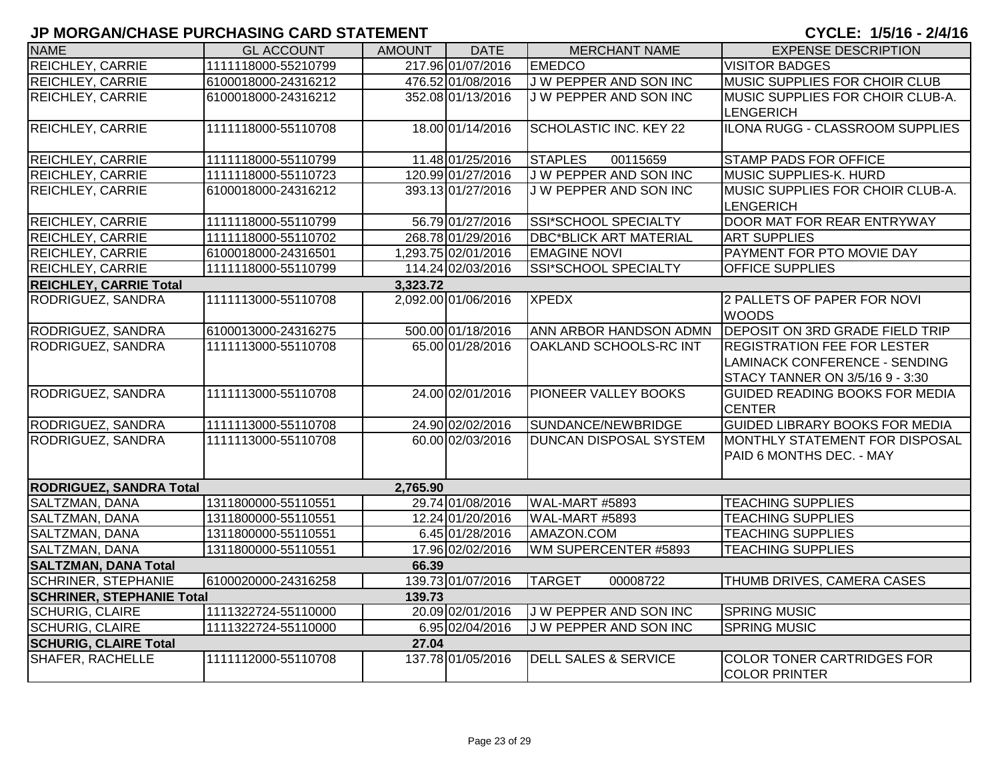| <b>NAME</b>                      | <b>GL ACCOUNT</b>   | <b>AMOUNT</b> | <b>DATE</b>         | <b>MERCHANT NAME</b>            | <b>EXPENSE DESCRIPTION</b>                                |
|----------------------------------|---------------------|---------------|---------------------|---------------------------------|-----------------------------------------------------------|
| REICHLEY, CARRIE                 | 1111118000-55210799 |               | 217.96 01/07/2016   | <b>EMEDCO</b>                   | <b>VISITOR BADGES</b>                                     |
| REICHLEY, CARRIE                 | 6100018000-24316212 |               | 476.52 01/08/2016   | J W PEPPER AND SON INC          | MUSIC SUPPLIES FOR CHOIR CLUB                             |
| REICHLEY, CARRIE                 | 6100018000-24316212 |               | 352.08 01/13/2016   | J W PEPPER AND SON INC          | MUSIC SUPPLIES FOR CHOIR CLUB-A.                          |
|                                  |                     |               |                     |                                 | LENGERICH                                                 |
| REICHLEY, CARRIE                 | 1111118000-55110708 |               | 18.00 01/14/2016    | SCHOLASTIC INC. KEY 22          | ILONA RUGG - CLASSROOM SUPPLIES                           |
| <b>REICHLEY, CARRIE</b>          | 1111118000-55110799 |               | 11.48 01/25/2016    | 00115659<br><b>STAPLES</b>      | <b>STAMP PADS FOR OFFICE</b>                              |
| <b>REICHLEY, CARRIE</b>          | 1111118000-55110723 |               | 120.99 01/27/2016   | <b>JW PEPPER AND SON INC</b>    | <b>MUSIC SUPPLIES-K. HURD</b>                             |
| REICHLEY, CARRIE                 | 6100018000-24316212 |               | 393.13 01/27/2016   | J W PEPPER AND SON INC          | MUSIC SUPPLIES FOR CHOIR CLUB-A.                          |
|                                  |                     |               |                     |                                 | LENGERICH                                                 |
| <b>REICHLEY, CARRIE</b>          | 1111118000-55110799 |               | 56.79 01/27/2016    | <b>SSI*SCHOOL SPECIALTY</b>     | DOOR MAT FOR REAR ENTRYWAY                                |
| <b>REICHLEY, CARRIE</b>          | 1111118000-55110702 |               | 268.78 01/29/2016   | <b>DBC*BLICK ART MATERIAL</b>   | <b>ART SUPPLIES</b>                                       |
| REICHLEY, CARRIE                 | 6100018000-24316501 |               | 1,293.75 02/01/2016 | <b>EMAGINE NOVI</b>             | <b>PAYMENT FOR PTO MOVIE DAY</b>                          |
| <b>REICHLEY, CARRIE</b>          | 1111118000-55110799 |               | 114.24 02/03/2016   | <b>SSI*SCHOOL SPECIALTY</b>     | <b>OFFICE SUPPLIES</b>                                    |
| <b>REICHLEY, CARRIE Total</b>    |                     | 3,323.72      |                     |                                 |                                                           |
| RODRIGUEZ, SANDRA                | 1111113000-55110708 |               | 2,092.00 01/06/2016 | <b>XPEDX</b>                    | 2 PALLETS OF PAPER FOR NOVI                               |
|                                  |                     |               |                     |                                 | <b>WOODS</b>                                              |
| RODRIGUEZ, SANDRA                | 6100013000-24316275 |               | 500.00 01/18/2016   | ANN ARBOR HANDSON ADMN          | <b>DEPOSIT ON 3RD GRADE FIELD TRIP</b>                    |
| RODRIGUEZ, SANDRA                | 1111113000-55110708 |               | 65.00 01/28/2016    | OAKLAND SCHOOLS-RC INT          | <b>REGISTRATION FEE FOR LESTER</b>                        |
|                                  |                     |               |                     |                                 | LAMINACK CONFERENCE - SENDING                             |
|                                  |                     |               |                     |                                 | STACY TANNER ON 3/5/16 9 - 3:30                           |
| RODRIGUEZ, SANDRA                | 1111113000-55110708 |               | 24.00 02/01/2016    | PIONEER VALLEY BOOKS            | GUIDED READING BOOKS FOR MEDIA<br><b>CENTER</b>           |
| RODRIGUEZ, SANDRA                | 1111113000-55110708 |               | 24.90 02/02/2016    | SUNDANCE/NEWBRIDGE              | <b>GUIDED LIBRARY BOOKS FOR MEDIA</b>                     |
| RODRIGUEZ, SANDRA                | 1111113000-55110708 |               | 60.00 02/03/2016    | <b>DUNCAN DISPOSAL SYSTEM</b>   | <b>MONTHLY STATEMENT FOR DISPOSAL</b>                     |
|                                  |                     |               |                     |                                 | PAID 6 MONTHS DEC. - MAY                                  |
|                                  |                     |               |                     |                                 |                                                           |
| <b>RODRIGUEZ, SANDRA Total</b>   |                     | 2,765.90      |                     |                                 |                                                           |
| SALTZMAN, DANA                   | 1311800000-55110551 |               | 29.74 01/08/2016    | WAL-MART #5893                  | <b>TEACHING SUPPLIES</b>                                  |
| SALTZMAN, DANA                   | 1311800000-55110551 |               | 12.24 01/20/2016    | WAL-MART #5893                  | <b>TEACHING SUPPLIES</b>                                  |
| SALTZMAN, DANA                   | 1311800000-55110551 |               | 6.45 01/28/2016     | AMAZON.COM                      | <b>TEACHING SUPPLIES</b>                                  |
| SALTZMAN, DANA                   | 1311800000-55110551 |               | 17.96 02/02/2016    | WM SUPERCENTER #5893            | <b>TEACHING SUPPLIES</b>                                  |
| <b>SALTZMAN, DANA Total</b>      |                     | 66.39         |                     |                                 |                                                           |
| <b>SCHRINER, STEPHANIE</b>       | 6100020000-24316258 |               | 139.73 01/07/2016   | <b>TARGET</b><br>00008722       | THUMB DRIVES, CAMERA CASES                                |
| <b>SCHRINER, STEPHANIE Total</b> |                     | 139.73        |                     |                                 |                                                           |
| <b>SCHURIG, CLAIRE</b>           | 1111322724-55110000 |               | 20.09 02/01/2016    | J W PEPPER AND SON INC          | <b>SPRING MUSIC</b>                                       |
| <b>SCHURIG, CLAIRE</b>           | 1111322724-55110000 |               | 6.95 02/04/2016     | J W PEPPER AND SON INC          | <b>SPRING MUSIC</b>                                       |
| <b>SCHURIG, CLAIRE Total</b>     |                     | 27.04         |                     |                                 |                                                           |
| SHAFER, RACHELLE                 | 1111112000-55110708 |               | 137.78 01/05/2016   | <b>DELL SALES &amp; SERVICE</b> | <b>COLOR TONER CARTRIDGES FOR</b><br><b>COLOR PRINTER</b> |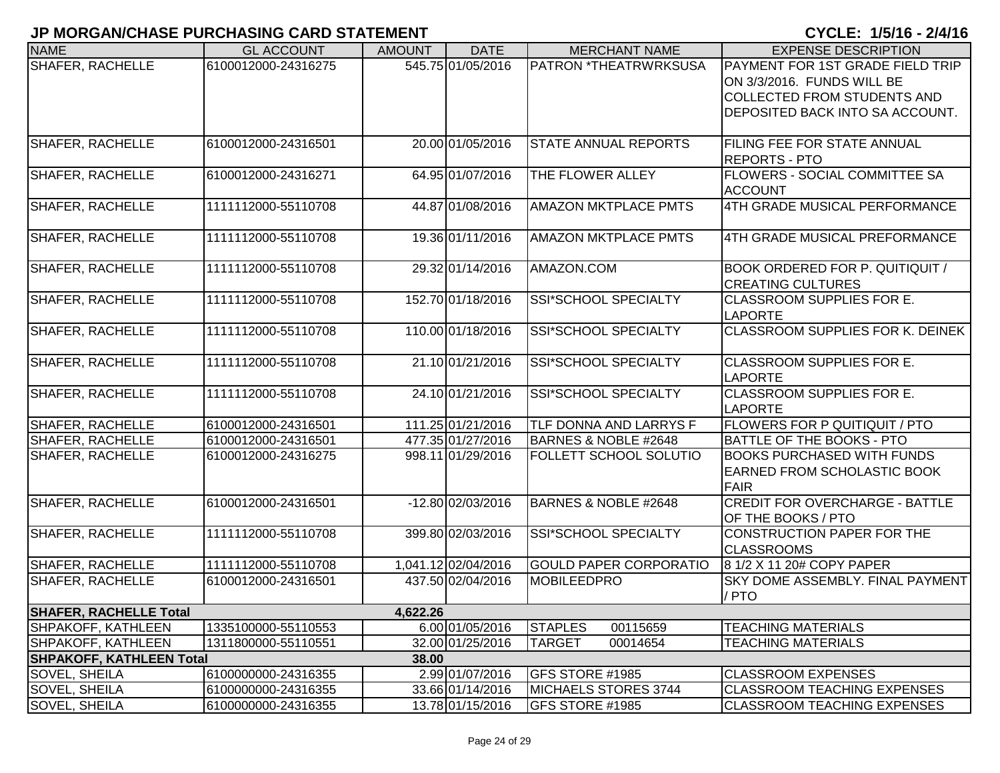| <b>NAME</b>                     | <b>GL ACCOUNT</b>   | <b>AMOUNT</b> | <b>DATE</b>         | <b>MERCHANT NAME</b>          | <b>EXPENSE DESCRIPTION</b>                                            |
|---------------------------------|---------------------|---------------|---------------------|-------------------------------|-----------------------------------------------------------------------|
| <b>SHAFER, RACHELLE</b>         | 6100012000-24316275 |               | 545.75 01/05/2016   | PATRON *THEATRWRKSUSA         | <b>PAYMENT FOR 1ST GRADE FIELD TRIP</b><br>ON 3/3/2016. FUNDS WILL BE |
|                                 |                     |               |                     |                               | <b>COLLECTED FROM STUDENTS AND</b>                                    |
|                                 |                     |               |                     |                               | DEPOSITED BACK INTO SA ACCOUNT.                                       |
|                                 |                     |               |                     |                               |                                                                       |
| <b>SHAFER, RACHELLE</b>         | 6100012000-24316501 |               | 20.00 01/05/2016    | <b>STATE ANNUAL REPORTS</b>   | <b>FILING FEE FOR STATE ANNUAL</b>                                    |
|                                 |                     |               |                     |                               | <b>REPORTS - PTO</b>                                                  |
| <b>SHAFER, RACHELLE</b>         | 6100012000-24316271 |               | 64.95 01/07/2016    | THE FLOWER ALLEY              | <b>FLOWERS - SOCIAL COMMITTEE SA</b>                                  |
|                                 |                     |               | 44.87 01/08/2016    |                               | <b>ACCOUNT</b><br>4TH GRADE MUSICAL PERFORMANCE                       |
| <b>SHAFER, RACHELLE</b>         | 1111112000-55110708 |               |                     | <b>AMAZON MKTPLACE PMTS</b>   |                                                                       |
| <b>SHAFER, RACHELLE</b>         | 1111112000-55110708 |               | 19.36 01/11/2016    | <b>AMAZON MKTPLACE PMTS</b>   | 4TH GRADE MUSICAL PREFORMANCE                                         |
|                                 |                     |               |                     |                               |                                                                       |
| <b>SHAFER, RACHELLE</b>         | 1111112000-55110708 |               | 29.32 01/14/2016    | AMAZON.COM                    | <b>BOOK ORDERED FOR P. QUITIQUIT /</b>                                |
|                                 |                     |               |                     |                               | <b>CREATING CULTURES</b>                                              |
| <b>SHAFER, RACHELLE</b>         | 1111112000-55110708 |               | 152.70 01/18/2016   | <b>SSI*SCHOOL SPECIALTY</b>   | CLASSROOM SUPPLIES FOR E.                                             |
|                                 |                     |               |                     |                               | <b>LAPORTE</b>                                                        |
| <b>SHAFER, RACHELLE</b>         | 1111112000-55110708 |               | 110.00 01/18/2016   | <b>SSI*SCHOOL SPECIALTY</b>   | <b>CLASSROOM SUPPLIES FOR K. DEINEK</b>                               |
| <b>SHAFER, RACHELLE</b>         | 1111112000-55110708 |               | 21.10 01/21/2016    | <b>SSI*SCHOOL SPECIALTY</b>   | <b>CLASSROOM SUPPLIES FOR E.</b>                                      |
|                                 |                     |               |                     |                               | <b>LAPORTE</b>                                                        |
| SHAFER, RACHELLE                | 1111112000-55110708 |               | 24.10 01/21/2016    | SSI*SCHOOL SPECIALTY          | <b>CLASSROOM SUPPLIES FOR E.</b>                                      |
|                                 |                     |               |                     |                               | <b>LAPORTE</b>                                                        |
| SHAFER, RACHELLE                | 6100012000-24316501 |               | 111.25 01/21/2016   | TLF DONNA AND LARRYS F        | <b>FLOWERS FOR P QUITIQUIT / PTO</b>                                  |
| <b>SHAFER, RACHELLE</b>         | 6100012000-24316501 |               | 477.35 01/27/2016   | BARNES & NOBLE #2648          | <b>BATTLE OF THE BOOKS - PTO</b>                                      |
| <b>SHAFER, RACHELLE</b>         | 6100012000-24316275 |               | 998.11 01/29/2016   | <b>FOLLETT SCHOOL SOLUTIO</b> | <b>BOOKS PURCHASED WITH FUNDS</b>                                     |
|                                 |                     |               |                     |                               | <b>EARNED FROM SCHOLASTIC BOOK</b>                                    |
|                                 |                     |               |                     |                               | FAIR                                                                  |
| <b>SHAFER, RACHELLE</b>         | 6100012000-24316501 |               | -12.80 02/03/2016   | BARNES & NOBLE #2648          | <b>CREDIT FOR OVERCHARGE - BATTLE</b>                                 |
| <b>SHAFER, RACHELLE</b>         | 1111112000-55110708 |               | 399.80 02/03/2016   | <b>SSI*SCHOOL SPECIALTY</b>   | OF THE BOOKS / PTO<br><b>CONSTRUCTION PAPER FOR THE</b>               |
|                                 |                     |               |                     |                               | <b>CLASSROOMS</b>                                                     |
| SHAFER, RACHELLE                | 1111112000-55110708 |               | 1,041.12 02/04/2016 | <b>GOULD PAPER CORPORATIO</b> | 8 1/2 X 11 20# COPY PAPER                                             |
| <b>SHAFER, RACHELLE</b>         | 6100012000-24316501 |               | 437.50 02/04/2016   | <b>MOBILEEDPRO</b>            | <b>SKY DOME ASSEMBLY. FINAL PAYMENT</b>                               |
|                                 |                     |               |                     |                               | / PTO                                                                 |
| <b>SHAFER, RACHELLE Total</b>   |                     | 4,622.26      |                     |                               |                                                                       |
| SHPAKOFF, KATHLEEN              | 1335100000-55110553 |               | 6.00 01/05/2016     | <b>STAPLES</b><br>00115659    | <b>TEACHING MATERIALS</b>                                             |
| SHPAKOFF, KATHLEEN              | 1311800000-55110551 |               | 32.00 01/25/2016    | <b>TARGET</b><br>00014654     | <b>TEACHING MATERIALS</b>                                             |
| <b>SHPAKOFF, KATHLEEN Total</b> |                     | 38.00         |                     |                               |                                                                       |
| <b>SOVEL, SHEILA</b>            | 6100000000-24316355 |               | 2.99 01/07/2016     | GFS STORE #1985               | <b>CLASSROOM EXPENSES</b>                                             |
| <b>SOVEL, SHEILA</b>            | 6100000000-24316355 |               | 33.66 01/14/2016    | MICHAELS STORES 3744          | <b>CLASSROOM TEACHING EXPENSES</b>                                    |
| <b>SOVEL, SHEILA</b>            | 6100000000-24316355 |               | 13.78 01/15/2016    | GFS STORE #1985               | <b>CLASSROOM TEACHING EXPENSES</b>                                    |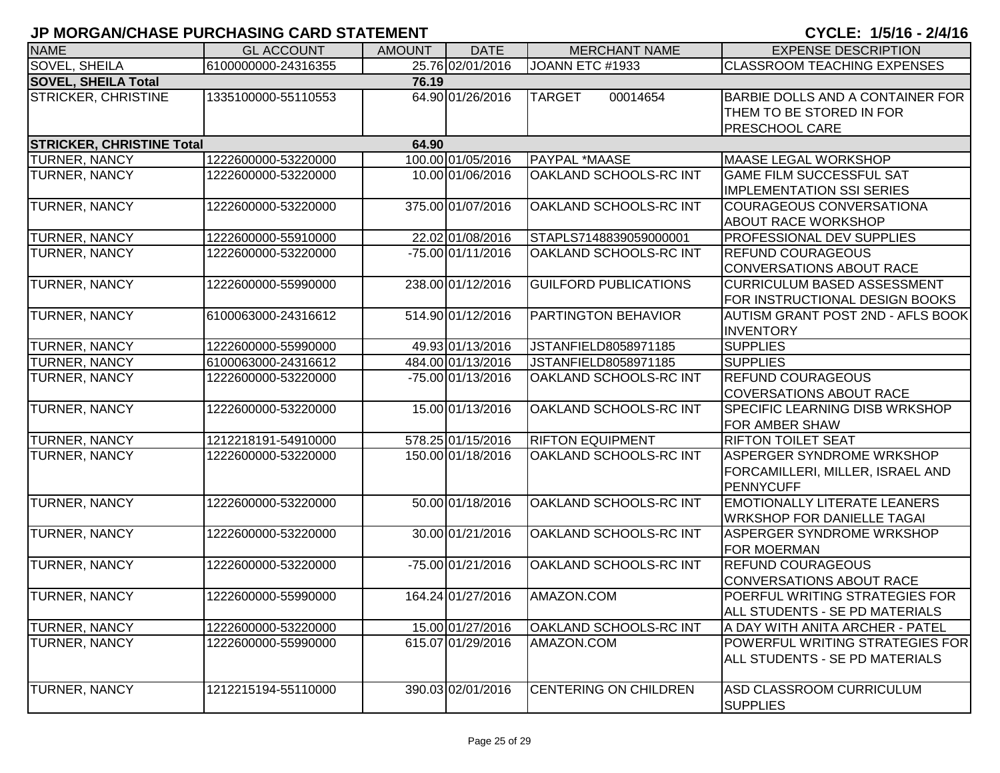| <b>NAME</b>                         | <b>GL ACCOUNT</b>   | <b>AMOUNT</b> | <b>DATE</b>       | <b>MERCHANT NAME</b>         | <b>EXPENSE DESCRIPTION</b>                                                            |  |
|-------------------------------------|---------------------|---------------|-------------------|------------------------------|---------------------------------------------------------------------------------------|--|
| SOVEL, SHEILA                       | 6100000000-24316355 |               | 25.76 02/01/2016  | JOANN ETC #1933              | <b>CLASSROOM TEACHING EXPENSES</b>                                                    |  |
| <b>SOVEL, SHEILA Total</b><br>76.19 |                     |               |                   |                              |                                                                                       |  |
| STRICKER, CHRISTINE                 | 1335100000-55110553 |               | 64.90 01/26/2016  | <b>TARGET</b><br>00014654    | BARBIE DOLLS AND A CONTAINER FOR<br>THEM TO BE STORED IN FOR<br><b>PRESCHOOL CARE</b> |  |
| <b>STRICKER, CHRISTINE Total</b>    |                     | 64.90         |                   |                              |                                                                                       |  |
| TURNER, NANCY                       | 1222600000-53220000 |               | 100.00 01/05/2016 | PAYPAL *MAASE                | <b>MAASE LEGAL WORKSHOP</b>                                                           |  |
| TURNER, NANCY                       | 1222600000-53220000 |               | 10.00 01/06/2016  | OAKLAND SCHOOLS-RC INT       | <b>GAME FILM SUCCESSFUL SAT</b><br><b>IMPLEMENTATION SSI SERIES</b>                   |  |
| TURNER, NANCY                       | 1222600000-53220000 |               | 375.00 01/07/2016 | OAKLAND SCHOOLS-RC INT       | <b>COURAGEOUS CONVERSATIONA</b><br><b>ABOUT RACE WORKSHOP</b>                         |  |
| TURNER, NANCY                       | 1222600000-55910000 |               | 22.02 01/08/2016  | STAPLS7148839059000001       | <b>PROFESSIONAL DEV SUPPLIES</b>                                                      |  |
| TURNER, NANCY                       | 1222600000-53220000 |               | -75.00 01/11/2016 | OAKLAND SCHOOLS-RC INT       | <b>REFUND COURAGEOUS</b><br><b>CONVERSATIONS ABOUT RACE</b>                           |  |
| TURNER, NANCY                       | 1222600000-55990000 |               | 238.00 01/12/2016 | <b>GUILFORD PUBLICATIONS</b> | <b>CURRICULUM BASED ASSESSMENT</b><br>FOR INSTRUCTIONAL DESIGN BOOKS                  |  |
| TURNER, NANCY                       | 6100063000-24316612 |               | 514.90 01/12/2016 | PARTINGTON BEHAVIOR          | AUTISM GRANT POST 2ND - AFLS BOOK<br><b>INVENTORY</b>                                 |  |
| TURNER, NANCY                       | 1222600000-55990000 |               | 49.93 01/13/2016  | JSTANFIELD8058971185         | <b>SUPPLIES</b>                                                                       |  |
| TURNER, NANCY                       | 6100063000-24316612 |               | 484.00 01/13/2016 | JSTANFIELD8058971185         | <b>SUPPLIES</b>                                                                       |  |
| TURNER, NANCY                       | 1222600000-53220000 |               | -75.00 01/13/2016 | OAKLAND SCHOOLS-RC INT       | <b>REFUND COURAGEOUS</b><br><b>COVERSATIONS ABOUT RACE</b>                            |  |
| TURNER, NANCY                       | 1222600000-53220000 |               | 15.00 01/13/2016  | OAKLAND SCHOOLS-RC INT       | <b>SPECIFIC LEARNING DISB WRKSHOP</b><br><b>FOR AMBER SHAW</b>                        |  |
| TURNER, NANCY                       | 1212218191-54910000 |               | 578.25 01/15/2016 | <b>RIFTON EQUIPMENT</b>      | <b>RIFTON TOILET SEAT</b>                                                             |  |
| TURNER, NANCY                       | 1222600000-53220000 |               | 150.00 01/18/2016 | OAKLAND SCHOOLS-RC INT       | ASPERGER SYNDROME WRKSHOP<br>FORCAMILLERI, MILLER, ISRAEL AND<br><b>PENNYCUFF</b>     |  |
| TURNER, NANCY                       | 1222600000-53220000 |               | 50.00 01/18/2016  | OAKLAND SCHOOLS-RC INT       | <b>EMOTIONALLY LITERATE LEANERS</b><br><b>WRKSHOP FOR DANIELLE TAGAI</b>              |  |
| TURNER, NANCY                       | 1222600000-53220000 |               | 30.00 01/21/2016  | OAKLAND SCHOOLS-RC INT       | ASPERGER SYNDROME WRKSHOP<br><b>FOR MOERMAN</b>                                       |  |
| TURNER, NANCY                       | 1222600000-53220000 |               | -75.00 01/21/2016 | OAKLAND SCHOOLS-RC INT       | <b>REFUND COURAGEOUS</b><br><b>CONVERSATIONS ABOUT RACE</b>                           |  |
| <b>TURNER, NANCY</b>                | 1222600000-55990000 |               | 164.24 01/27/2016 | AMAZON.COM                   | POERFUL WRITING STRATEGIES FOR<br>ALL STUDENTS - SE PD MATERIALS                      |  |
| TURNER, NANCY                       | 1222600000-53220000 |               | 15.00 01/27/2016  | OAKLAND SCHOOLS-RC INT       | A DAY WITH ANITA ARCHER - PATEL                                                       |  |
| TURNER, NANCY                       | 1222600000-55990000 |               | 615.07 01/29/2016 | AMAZON.COM                   | POWERFUL WRITING STRATEGIES FOR<br>ALL STUDENTS - SE PD MATERIALS                     |  |
| TURNER, NANCY                       | 1212215194-55110000 |               | 390.03 02/01/2016 | CENTERING ON CHILDREN        | ASD CLASSROOM CURRICULUM<br><b>SUPPLIES</b>                                           |  |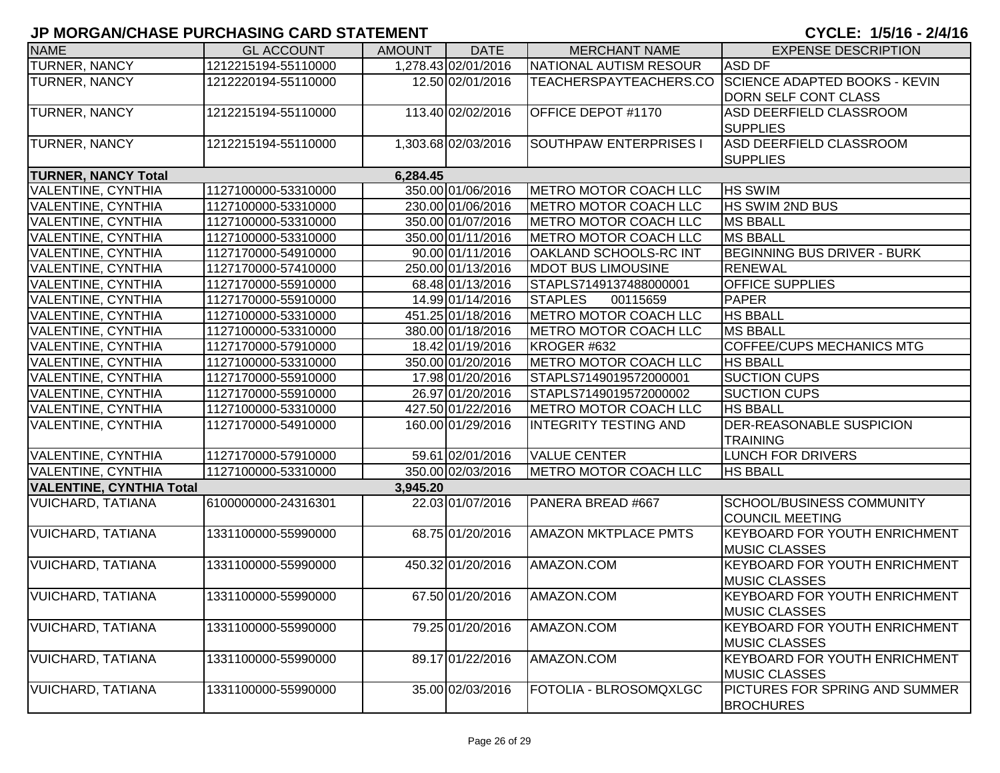| <b>NAME</b>                     | <b>GL ACCOUNT</b>   | <b>AMOUNT</b> | <b>DATE</b>         | <b>MERCHANT NAME</b>          | <b>EXPENSE DESCRIPTION</b>                           |
|---------------------------------|---------------------|---------------|---------------------|-------------------------------|------------------------------------------------------|
| <b>TURNER, NANCY</b>            | 1212215194-55110000 |               | 1,278.43 02/01/2016 | NATIONAL AUTISM RESOUR        | <b>ASD DF</b>                                        |
| TURNER, NANCY                   | 1212220194-55110000 |               | 12.50 02/01/2016    |                               | TEACHERSPAYTEACHERS.CO SCIENCE ADAPTED BOOKS - KEVIN |
|                                 |                     |               |                     |                               | <b>DORN SELF CONT CLASS</b>                          |
| TURNER, NANCY                   | 1212215194-55110000 |               | 113.40 02/02/2016   | OFFICE DEPOT #1170            | <b>ASD DEERFIELD CLASSROOM</b>                       |
|                                 |                     |               |                     |                               | <b>SUPPLIES</b>                                      |
| <b>TURNER, NANCY</b>            | 1212215194-55110000 |               | 1,303.68 02/03/2016 | <b>SOUTHPAW ENTERPRISES I</b> | <b>ASD DEERFIELD CLASSROOM</b>                       |
|                                 |                     |               |                     |                               | <b>SUPPLIES</b>                                      |
| <b>TURNER, NANCY Total</b>      |                     | 6,284.45      |                     |                               |                                                      |
| VALENTINE, CYNTHIA              | 1127100000-53310000 |               | 350.00 01/06/2016   | METRO MOTOR COACH LLC         | <b>HS SWIM</b>                                       |
| VALENTINE, CYNTHIA              | 1127100000-53310000 |               | 230.00 01/06/2016   | METRO MOTOR COACH LLC         | HS SWIM 2ND BUS                                      |
| <b>VALENTINE, CYNTHIA</b>       | 1127100000-53310000 |               | 350.00 01/07/2016   | <b>METRO MOTOR COACH LLC</b>  | <b>MS BBALL</b>                                      |
| VALENTINE, CYNTHIA              | 1127100000-53310000 |               | 350.00 01/11/2016   | <b>METRO MOTOR COACH LLC</b>  | <b>MS BBALL</b>                                      |
| VALENTINE, CYNTHIA              | 1127170000-54910000 |               | 90.00 01/11/2016    | OAKLAND SCHOOLS-RC INT        | <b>BEGINNING BUS DRIVER - BURK</b>                   |
| VALENTINE, CYNTHIA              | 1127170000-57410000 |               | 250.00 01/13/2016   | <b>MDOT BUS LIMOUSINE</b>     | <b>RENEWAL</b>                                       |
| VALENTINE, CYNTHIA              | 1127170000-55910000 |               | 68.48 01/13/2016    | STAPLS7149137488000001        | <b>OFFICE SUPPLIES</b>                               |
| <b>VALENTINE, CYNTHIA</b>       | 1127170000-55910000 |               | 14.99 01/14/2016    | <b>STAPLES</b><br>00115659    | <b>PAPER</b>                                         |
| VALENTINE, CYNTHIA              | 1127100000-53310000 |               | 451.25 01/18/2016   | <b>METRO MOTOR COACH LLC</b>  | <b>HS BBALL</b>                                      |
| <b>VALENTINE, CYNTHIA</b>       | 1127100000-53310000 |               | 380.00 01/18/2016   | <b>METRO MOTOR COACH LLC</b>  | <b>MS BBALL</b>                                      |
| VALENTINE, CYNTHIA              | 1127170000-57910000 |               | 18.42 01/19/2016    | KROGER #632                   | <b>COFFEE/CUPS MECHANICS MTG</b>                     |
| VALENTINE, CYNTHIA              | 1127100000-53310000 |               | 350.00 01/20/2016   | METRO MOTOR COACH LLC         | <b>HS BBALL</b>                                      |
| VALENTINE, CYNTHIA              | 1127170000-55910000 |               | 17.98 01/20/2016    | STAPLS7149019572000001        | <b>SUCTION CUPS</b>                                  |
| VALENTINE, CYNTHIA              | 1127170000-55910000 |               | 26.97 01/20/2016    | STAPLS7149019572000002        | <b>SUCTION CUPS</b>                                  |
| VALENTINE, CYNTHIA              | 1127100000-53310000 |               | 427.50 01/22/2016   | <b>METRO MOTOR COACH LLC</b>  | <b>HS BBALL</b>                                      |
| VALENTINE, CYNTHIA              | 1127170000-54910000 |               | 160.00 01/29/2016   | <b>INTEGRITY TESTING AND</b>  | <b>DER-REASONABLE SUSPICION</b>                      |
|                                 |                     |               |                     |                               | <b>TRAINING</b>                                      |
| VALENTINE, CYNTHIA              | 1127170000-57910000 |               | 59.61 02/01/2016    | <b>VALUE CENTER</b>           | <b>LUNCH FOR DRIVERS</b>                             |
| VALENTINE, CYNTHIA              | 1127100000-53310000 |               | 350.00 02/03/2016   | METRO MOTOR COACH LLC         | <b>HS BBALL</b>                                      |
| <b>VALENTINE, CYNTHIA Total</b> |                     | 3,945.20      |                     |                               |                                                      |
| <b>VUICHARD, TATIANA</b>        | 6100000000-24316301 |               | 22.03 01/07/2016    | PANERA BREAD #667             | SCHOOL/BUSINESS COMMUNITY                            |
|                                 |                     |               |                     |                               | <b>COUNCIL MEETING</b>                               |
| <b>VUICHARD, TATIANA</b>        | 1331100000-55990000 |               | 68.75 01/20/2016    | <b>AMAZON MKTPLACE PMTS</b>   | <b>KEYBOARD FOR YOUTH ENRICHMENT</b>                 |
|                                 |                     |               |                     |                               | <b>MUSIC CLASSES</b>                                 |
| <b>VUICHARD, TATIANA</b>        | 1331100000-55990000 |               | 450.32 01/20/2016   | AMAZON.COM                    | <b>KEYBOARD FOR YOUTH ENRICHMENT</b>                 |
|                                 |                     |               |                     |                               | <b>MUSIC CLASSES</b>                                 |
| <b>VUICHARD, TATIANA</b>        | 1331100000-55990000 |               | 67.50 01/20/2016    | AMAZON.COM                    | <b>KEYBOARD FOR YOUTH ENRICHMENT</b>                 |
|                                 |                     |               |                     |                               | <b>MUSIC CLASSES</b>                                 |
| <b>VUICHARD, TATIANA</b>        | 1331100000-55990000 |               | 79.25 01/20/2016    | AMAZON.COM                    | KEYBOARD FOR YOUTH ENRICHMENT                        |
|                                 |                     |               |                     |                               | <b>MUSIC CLASSES</b>                                 |
| <b>VUICHARD, TATIANA</b>        | 1331100000-55990000 |               | 89.17 01/22/2016    | AMAZON.COM                    | <b>KEYBOARD FOR YOUTH ENRICHMENT</b>                 |
|                                 |                     |               |                     |                               | <b>MUSIC CLASSES</b>                                 |
| <b>VUICHARD, TATIANA</b>        | 1331100000-55990000 |               | 35.00 02/03/2016    | FOTOLIA - BLROSOMQXLGC        | PICTURES FOR SPRING AND SUMMER                       |
|                                 |                     |               |                     |                               | <b>BROCHURES</b>                                     |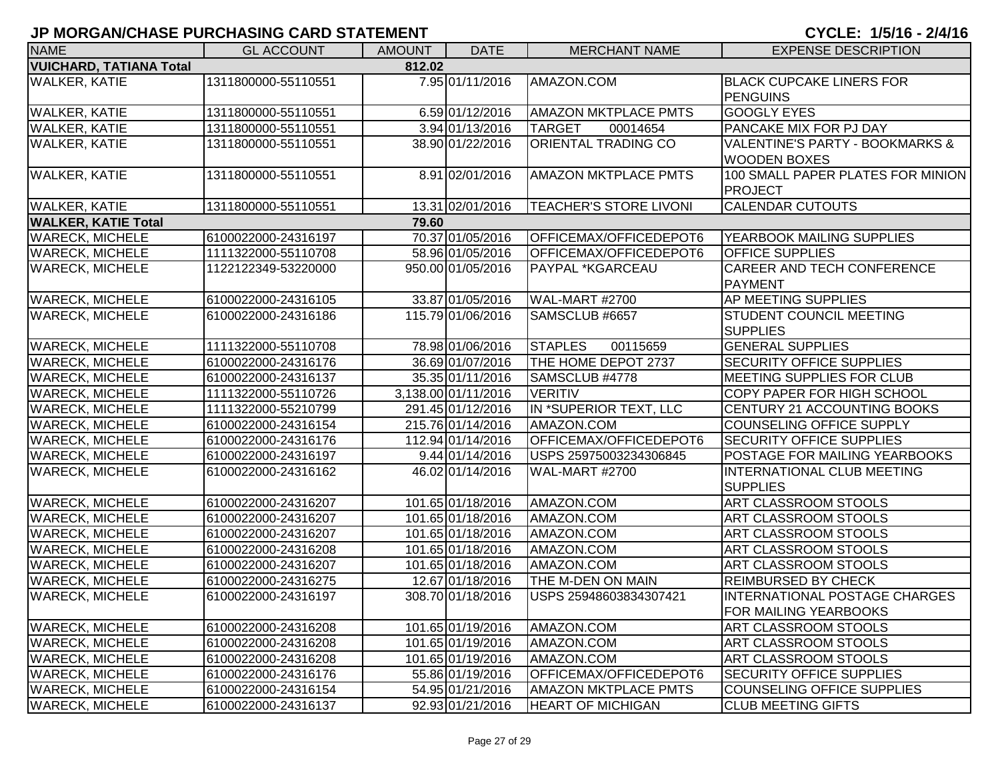| <b>NAME</b>                              | <b>GL ACCOUNT</b>   | <b>AMOUNT</b> | <b>DATE</b>         | <b>MERCHANT NAME</b>          | <b>EXPENSE DESCRIPTION</b>                                        |  |
|------------------------------------------|---------------------|---------------|---------------------|-------------------------------|-------------------------------------------------------------------|--|
| <b>VUICHARD, TATIANA Total</b><br>812.02 |                     |               |                     |                               |                                                                   |  |
| <b>WALKER, KATIE</b>                     | 1311800000-55110551 |               | 7.95 01/11/2016     | AMAZON.COM                    | <b>BLACK CUPCAKE LINERS FOR</b><br><b>PENGUINS</b>                |  |
| <b>WALKER, KATIE</b>                     | 1311800000-55110551 |               | 6.59 01/12/2016     | <b>AMAZON MKTPLACE PMTS</b>   | <b>GOOGLY EYES</b>                                                |  |
| <b>WALKER, KATIE</b>                     | 1311800000-55110551 |               | 3.94 01/13/2016     | <b>TARGET</b><br>00014654     | <b>PANCAKE MIX FOR PJ DAY</b>                                     |  |
| <b>WALKER, KATIE</b>                     | 1311800000-55110551 |               | 38.90 01/22/2016    | <b>ORIENTAL TRADING CO</b>    | <b>VALENTINE'S PARTY - BOOKMARKS &amp;</b><br><b>WOODEN BOXES</b> |  |
| <b>WALKER, KATIE</b>                     | 1311800000-55110551 |               | 8.91 02/01/2016     | <b>AMAZON MKTPLACE PMTS</b>   | 100 SMALL PAPER PLATES FOR MINION<br><b>PROJECT</b>               |  |
| <b>WALKER, KATIE</b>                     | 1311800000-55110551 |               | 13.31 02/01/2016    | <b>TEACHER'S STORE LIVONI</b> | <b>CALENDAR CUTOUTS</b>                                           |  |
| <b>WALKER, KATIE Total</b>               |                     | 79.60         |                     |                               |                                                                   |  |
| <b>WARECK, MICHELE</b>                   | 6100022000-24316197 |               | 70.37 01/05/2016    | OFFICEMAX/OFFICEDEPOT6        | YEARBOOK MAILING SUPPLIES                                         |  |
| <b>WARECK, MICHELE</b>                   | 1111322000-55110708 |               | 58.96 01/05/2016    | OFFICEMAX/OFFICEDEPOT6        | <b>OFFICE SUPPLIES</b>                                            |  |
| <b>WARECK, MICHELE</b>                   | 1122122349-53220000 |               | 950.00 01/05/2016   | PAYPAL *KGARCEAU              | <b>CAREER AND TECH CONFERENCE</b><br><b>PAYMENT</b>               |  |
| <b>WARECK, MICHELE</b>                   | 6100022000-24316105 |               | 33.87 01/05/2016    | WAL-MART #2700                | AP MEETING SUPPLIES                                               |  |
| <b>WARECK, MICHELE</b>                   | 6100022000-24316186 |               | 115.79 01/06/2016   | SAMSCLUB #6657                | <b>STUDENT COUNCIL MEETING</b><br><b>SUPPLIES</b>                 |  |
| <b>WARECK, MICHELE</b>                   | 1111322000-55110708 |               | 78.98 01/06/2016    | <b>STAPLES</b><br>00115659    | <b>GENERAL SUPPLIES</b>                                           |  |
| <b>WARECK, MICHELE</b>                   | 6100022000-24316176 |               | 36.69 01/07/2016    | THE HOME DEPOT 2737           | <b>SECURITY OFFICE SUPPLIES</b>                                   |  |
| <b>WARECK, MICHELE</b>                   | 6100022000-24316137 |               | 35.35 01/11/2016    | SAMSCLUB #4778                | <b>IMEETING SUPPLIES FOR CLUB</b>                                 |  |
| <b>WARECK, MICHELE</b>                   | 1111322000-55110726 |               | 3,138.00 01/11/2016 | <b>VERITIV</b>                | <b>COPY PAPER FOR HIGH SCHOOL</b>                                 |  |
| <b>WARECK, MICHELE</b>                   | 1111322000-55210799 |               | 291.45 01/12/2016   | IN *SUPERIOR TEXT, LLC        | <b>CENTURY 21 ACCOUNTING BOOKS</b>                                |  |
| <b>WARECK, MICHELE</b>                   | 6100022000-24316154 |               | 215.76 01/14/2016   | AMAZON.COM                    | COUNSELING OFFICE SUPPLY                                          |  |
| <b>WARECK, MICHELE</b>                   | 6100022000-24316176 |               | 112.94 01/14/2016   | OFFICEMAX/OFFICEDEPOT6        | <b>SECURITY OFFICE SUPPLIES</b>                                   |  |
| <b>WARECK, MICHELE</b>                   | 6100022000-24316197 |               | 9.44 01/14/2016     | USPS 25975003234306845        | <b>POSTAGE FOR MAILING YEARBOOKS</b>                              |  |
| <b>WARECK, MICHELE</b>                   | 6100022000-24316162 |               | 46.02 01/14/2016    | <b>WAL-MART #2700</b>         | <b>INTERNATIONAL CLUB MEETING</b><br><b>SUPPLIES</b>              |  |
| <b>WARECK, MICHELE</b>                   | 6100022000-24316207 |               | 101.65 01/18/2016   | AMAZON.COM                    | <b>ART CLASSROOM STOOLS</b>                                       |  |
| <b>WARECK, MICHELE</b>                   | 6100022000-24316207 |               | 101.65 01/18/2016   | AMAZON.COM                    | <b>ART CLASSROOM STOOLS</b>                                       |  |
| <b>WARECK, MICHELE</b>                   | 6100022000-24316207 |               | 101.65 01/18/2016   | AMAZON.COM                    | <b>ART CLASSROOM STOOLS</b>                                       |  |
| <b>WARECK, MICHELE</b>                   | 6100022000-24316208 |               | 101.65 01/18/2016   | AMAZON.COM                    | ART CLASSROOM STOOLS                                              |  |
| <b>WARECK, MICHELE</b>                   | 6100022000-24316207 |               | 101.65 01/18/2016   | AMAZON.COM                    | ART CLASSROOM STOOLS                                              |  |
| <b>WARECK, MICHELE</b>                   | 6100022000-24316275 |               | 12.67 01/18/2016    | THE M-DEN ON MAIN             | <b>REIMBURSED BY CHECK</b>                                        |  |
| <b>WARECK, MICHELE</b>                   | 6100022000-24316197 |               | 308.70 01/18/2016   | USPS 25948603834307421        | INTERNATIONAL POSTAGE CHARGES<br> FOR MAILING YEARBOOKS           |  |
| <b>WARECK, MICHELE</b>                   | 6100022000-24316208 |               | 101.65 01/19/2016   | AMAZON.COM                    | <b>ART CLASSROOM STOOLS</b>                                       |  |
| <b>WARECK, MICHELE</b>                   | 6100022000-24316208 |               | 101.65 01/19/2016   | AMAZON.COM                    | <b>ART CLASSROOM STOOLS</b>                                       |  |
| <b>WARECK, MICHELE</b>                   | 6100022000-24316208 |               | 101.65 01/19/2016   | AMAZON.COM                    | <b>ART CLASSROOM STOOLS</b>                                       |  |
| <b>WARECK, MICHELE</b>                   | 6100022000-24316176 |               | 55.86 01/19/2016    | OFFICEMAX/OFFICEDEPOT6        | <b>SECURITY OFFICE SUPPLIES</b>                                   |  |
| <b>WARECK, MICHELE</b>                   | 6100022000-24316154 |               | 54.95 01/21/2016    | <b>AMAZON MKTPLACE PMTS</b>   | COUNSELING OFFICE SUPPLIES                                        |  |
| <b>WARECK, MICHELE</b>                   | 6100022000-24316137 |               | 92.93 01/21/2016    | <b>HEART OF MICHIGAN</b>      | <b>CLUB MEETING GIFTS</b>                                         |  |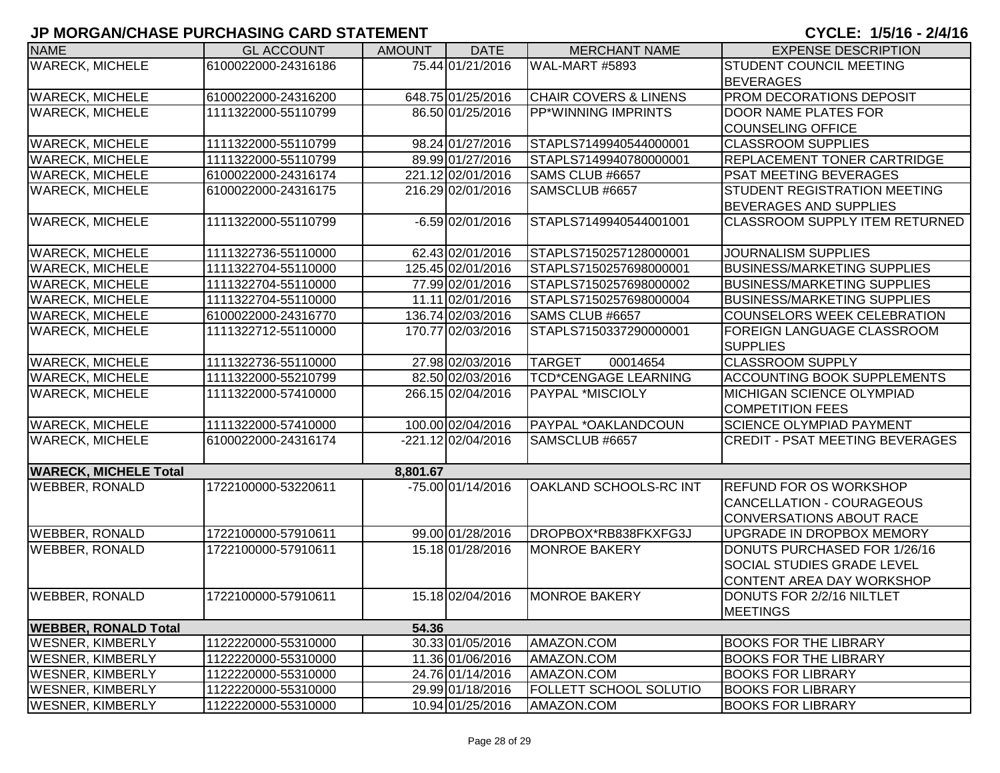| <b>NAME</b>                  | <b>GL ACCOUNT</b>   | <b>AMOUNT</b> | <b>DATE</b>          | <b>MERCHANT NAME</b>             | <b>EXPENSE DESCRIPTION</b>             |
|------------------------------|---------------------|---------------|----------------------|----------------------------------|----------------------------------------|
| <b>WARECK, MICHELE</b>       | 6100022000-24316186 |               | 75.44 01/21/2016     | WAL-MART #5893                   | <b>STUDENT COUNCIL MEETING</b>         |
|                              |                     |               |                      |                                  | <b>BEVERAGES</b>                       |
| <b>WARECK, MICHELE</b>       | 6100022000-24316200 |               | 648.75 01/25/2016    | <b>CHAIR COVERS &amp; LINENS</b> | PROM DECORATIONS DEPOSIT               |
| <b>WARECK, MICHELE</b>       | 1111322000-55110799 |               | 86.50 01/25/2016     | <b>PP*WINNING IMPRINTS</b>       | <b>DOOR NAME PLATES FOR</b>            |
|                              |                     |               |                      |                                  | <b>COUNSELING OFFICE</b>               |
| <b>WARECK, MICHELE</b>       | 1111322000-55110799 |               | 98.24 01/27/2016     | STAPLS7149940544000001           | <b>CLASSROOM SUPPLIES</b>              |
| <b>WARECK, MICHELE</b>       | 1111322000-55110799 |               | 89.99 01/27/2016     | STAPLS7149940780000001           | <b>REPLACEMENT TONER CARTRIDGE</b>     |
| <b>WARECK, MICHELE</b>       | 6100022000-24316174 |               | 221.12 02/01/2016    | SAMS CLUB #6657                  | <b>PSAT MEETING BEVERAGES</b>          |
| <b>WARECK, MICHELE</b>       | 6100022000-24316175 |               | 216.29 02/01/2016    | SAMSCLUB #6657                   | <b>STUDENT REGISTRATION MEETING</b>    |
|                              |                     |               |                      |                                  | <b>BEVERAGES AND SUPPLIES</b>          |
| <b>WARECK, MICHELE</b>       | 1111322000-55110799 |               | $-6.59$ 02/01/2016   | STAPLS7149940544001001           | <b>CLASSROOM SUPPLY ITEM RETURNED</b>  |
|                              |                     |               |                      |                                  |                                        |
| <b>WARECK, MICHELE</b>       | 1111322736-55110000 |               | 62.43 02/01/2016     | STAPLS7150257128000001           | <b>JOURNALISM SUPPLIES</b>             |
| <b>WARECK, MICHELE</b>       | 1111322704-55110000 |               | 125.45 02/01/2016    | STAPLS7150257698000001           | <b>BUSINESS/MARKETING SUPPLIES</b>     |
| <b>WARECK, MICHELE</b>       | 1111322704-55110000 |               | 77.99 02/01/2016     | STAPLS7150257698000002           | <b>BUSINESS/MARKETING SUPPLIES</b>     |
| <b>WARECK, MICHELE</b>       | 1111322704-55110000 |               | 11.11 02/01/2016     | STAPLS7150257698000004           | <b>BUSINESS/MARKETING SUPPLIES</b>     |
| <b>WARECK, MICHELE</b>       | 6100022000-24316770 |               | 136.74 02/03/2016    | SAMS CLUB #6657                  | <b>COUNSELORS WEEK CELEBRATION</b>     |
| <b>WARECK, MICHELE</b>       | 1111322712-55110000 |               | 170.77 02/03/2016    | STAPLS7150337290000001           | FOREIGN LANGUAGE CLASSROOM             |
|                              |                     |               |                      |                                  | <b>SUPPLIES</b>                        |
| <b>WARECK, MICHELE</b>       | 1111322736-55110000 |               | 27.98 02/03/2016     | 00014654<br><b>TARGET</b>        | <b>CLASSROOM SUPPLY</b>                |
| <b>WARECK, MICHELE</b>       | 1111322000-55210799 |               | 82.50 02/03/2016     | <b>TCD*CENGAGE LEARNING</b>      | <b>ACCOUNTING BOOK SUPPLEMENTS</b>     |
| <b>WARECK, MICHELE</b>       | 1111322000-57410000 |               | 266.15 02/04/2016    | <b>PAYPAL *MISCIOLY</b>          | MICHIGAN SCIENCE OLYMPIAD              |
|                              |                     |               |                      |                                  | <b>COMPETITION FEES</b>                |
| <b>WARECK, MICHELE</b>       | 1111322000-57410000 |               | 100.00 02/04/2016    | PAYPAL *OAKLANDCOUN              | <b>SCIENCE OLYMPIAD PAYMENT</b>        |
| <b>WARECK, MICHELE</b>       | 6100022000-24316174 |               | $-221.12 02/04/2016$ | SAMSCLUB #6657                   | <b>CREDIT - PSAT MEETING BEVERAGES</b> |
|                              |                     |               |                      |                                  |                                        |
| <b>WARECK, MICHELE Total</b> |                     | 8,801.67      |                      |                                  |                                        |
| <b>WEBBER, RONALD</b>        | 1722100000-53220611 |               | -75.00 01/14/2016    | <b>OAKLAND SCHOOLS-RC INT</b>    | <b>REFUND FOR OS WORKSHOP</b>          |
|                              |                     |               |                      |                                  | <b>CANCELLATION - COURAGEOUS</b>       |
|                              |                     |               |                      |                                  | <b>CONVERSATIONS ABOUT RACE</b>        |
| <b>WEBBER, RONALD</b>        | 1722100000-57910611 |               | 99.00 01/28/2016     | DROPBOX*RB838FKXFG3J             | <b>UPGRADE IN DROPBOX MEMORY</b>       |
| <b>WEBBER, RONALD</b>        | 1722100000-57910611 |               | 15.18 01/28/2016     | <b>MONROE BAKERY</b>             | DONUTS PURCHASED FOR 1/26/16           |
|                              |                     |               |                      |                                  | <b>SOCIAL STUDIES GRADE LEVEL</b>      |
|                              |                     |               |                      |                                  | <b>CONTENT AREA DAY WORKSHOP</b>       |
| <b>WEBBER, RONALD</b>        | 1722100000-57910611 |               | 15.18 02/04/2016     | <b>MONROE BAKERY</b>             | DONUTS FOR 2/2/16 NILTLET              |
|                              |                     |               |                      |                                  | <b>MEETINGS</b>                        |
| <b>WEBBER, RONALD Total</b>  |                     | 54.36         |                      |                                  |                                        |
| <b>WESNER, KIMBERLY</b>      | 1122220000-55310000 |               | 30.33 01/05/2016     | AMAZON.COM                       | <b>BOOKS FOR THE LIBRARY</b>           |
| <b>WESNER, KIMBERLY</b>      | 1122220000-55310000 |               | 11.36 01/06/2016     | AMAZON.COM                       | <b>BOOKS FOR THE LIBRARY</b>           |
| <b>WESNER, KIMBERLY</b>      | 1122220000-55310000 |               | 24.76 01/14/2016     | AMAZON.COM                       | <b>BOOKS FOR LIBRARY</b>               |
| <b>WESNER, KIMBERLY</b>      | 1122220000-55310000 |               | 29.99 01/18/2016     | <b>FOLLETT SCHOOL SOLUTIO</b>    | <b>BOOKS FOR LIBRARY</b>               |
| <b>WESNER, KIMBERLY</b>      | 1122220000-55310000 |               | 10.94 01/25/2016     | AMAZON.COM                       | <b>BOOKS FOR LIBRARY</b>               |